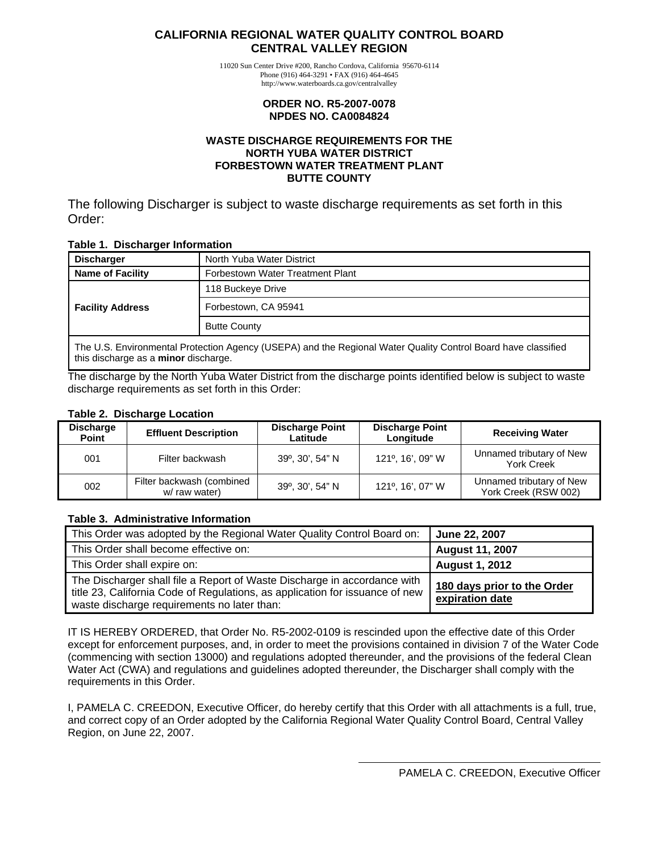#### <span id="page-0-0"></span>**CALIFORNIA REGIONAL WATER QUALITY CONTROL BOARD CENTRAL VALLEY REGION**

11020 Sun Center Drive #200, Rancho Cordova, California 95670-6114 Phone (916) 464-3291 • FAX (916) 464-4645 http://www.waterboards.ca.gov/centralvalley

#### **ORDER NO. R5-2007-0078 NPDES NO. CA0084824**

#### **WASTE DISCHARGE REQUIREMENTS FOR THE NORTH YUBA WATER DISTRICT FORBESTOWN WATER TREATMENT PLANT BUTTE COUNTY**

The following Discharger is subject to waste discharge requirements as set forth in this Order:

#### **Table 1. Discharger Information**

| Discharger              | North Yuba Water District                                                                                     |  |  |  |
|-------------------------|---------------------------------------------------------------------------------------------------------------|--|--|--|
| Name of Facility        | Forbestown Water Treatment Plant                                                                              |  |  |  |
| <b>Facility Address</b> | 118 Buckeye Drive                                                                                             |  |  |  |
|                         | Forbestown, CA 95941                                                                                          |  |  |  |
|                         | <b>Butte County</b>                                                                                           |  |  |  |
|                         | The U.S. Environmental Protection Agency (USEPA) and the Regional Water Quality Control Board have classified |  |  |  |

this discharge as a **minor** discharge.

The discharge by the North Yuba Water District from the discharge points identified below is subject to waste discharge requirements as set forth in this Order:

#### **Table 2. Discharge Location**

| <b>Discharge</b><br>Point | <b>Effluent Description</b>                | <b>Discharge Point</b><br>Latitude | <b>Discharge Point</b><br>Longitude | <b>Receiving Water</b>                           |
|---------------------------|--------------------------------------------|------------------------------------|-------------------------------------|--------------------------------------------------|
| 001                       | Filter backwash                            | 39°, 30', 54" N                    | 121°, 16', 09" W                    | Unnamed tributary of New<br><b>York Creek</b>    |
| 002                       | Filter backwash (combined<br>w/ raw water) | 39°, 30', 54" N                    | 121°, 16', 07" W                    | Unnamed tributary of New<br>York Creek (RSW 002) |

#### **Table 3. Administrative Information**

| This Order was adopted by the Regional Water Quality Control Board on:                                                                                                                                  | <b>June 22, 2007</b>                           |
|---------------------------------------------------------------------------------------------------------------------------------------------------------------------------------------------------------|------------------------------------------------|
| This Order shall become effective on:                                                                                                                                                                   | <b>August 11, 2007</b>                         |
| This Order shall expire on:                                                                                                                                                                             | <b>August 1, 2012</b>                          |
| The Discharger shall file a Report of Waste Discharge in accordance with<br>title 23, California Code of Regulations, as application for issuance of new<br>waste discharge requirements no later than: | 180 days prior to the Order<br>expiration date |

IT IS HEREBY ORDERED, that Order No. R5-2002-0109 is rescinded upon the effective date of this Order except for enforcement purposes, and, in order to meet the provisions contained in division 7 of the Water Code (commencing with section 13000) and regulations adopted thereunder, and the provisions of the federal Clean Water Act (CWA) and regulations and guidelines adopted thereunder, the Discharger shall comply with the requirements in this Order.

I, PAMELA C. CREEDON, Executive Officer, do hereby certify that this Order with all attachments is a full, true, and correct copy of an Order adopted by the California Regional Water Quality Control Board, Central Valley Region, on June 22, 2007.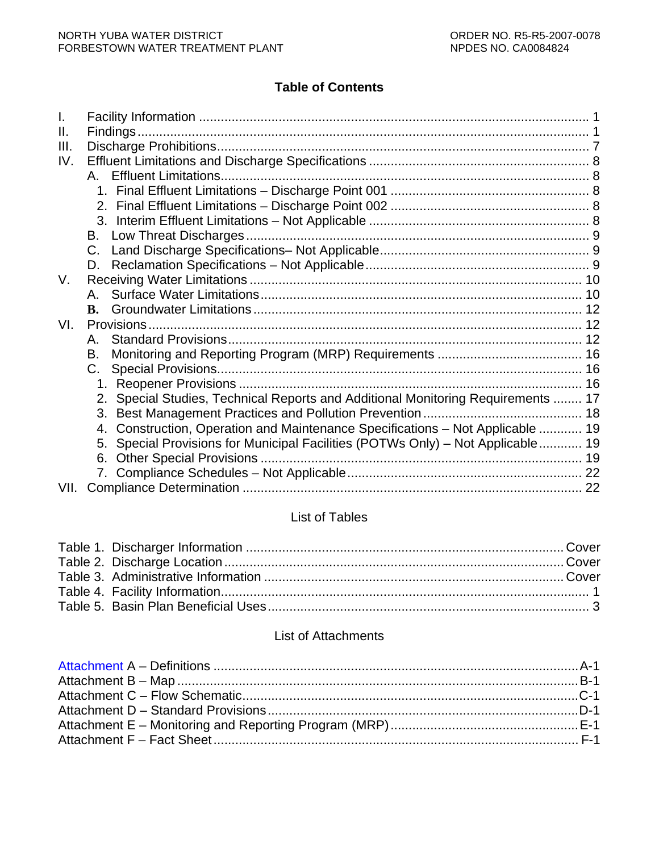# **Table of Contents**

| I.   |                                                                                    |  |
|------|------------------------------------------------------------------------------------|--|
| Ш.   |                                                                                    |  |
| III. |                                                                                    |  |
| IV.  |                                                                                    |  |
|      | <b>Effluent Limitations.</b><br>А.                                                 |  |
|      |                                                                                    |  |
|      |                                                                                    |  |
|      |                                                                                    |  |
|      | В.                                                                                 |  |
|      | C.                                                                                 |  |
|      | D.                                                                                 |  |
| V.   |                                                                                    |  |
|      |                                                                                    |  |
|      | $\mathbf{R}$ .                                                                     |  |
| VI.  |                                                                                    |  |
|      | А.                                                                                 |  |
|      | В.                                                                                 |  |
|      | C.                                                                                 |  |
|      |                                                                                    |  |
|      | 2. Special Studies, Technical Reports and Additional Monitoring Requirements  17   |  |
|      | 3.                                                                                 |  |
|      | Construction, Operation and Maintenance Specifications - Not Applicable  19<br>4.  |  |
|      | Special Provisions for Municipal Facilities (POTWs Only) – Not Applicable 19<br>5. |  |
|      | 6.                                                                                 |  |
|      |                                                                                    |  |
| VII. |                                                                                    |  |

# List of Tables

## List of Attachments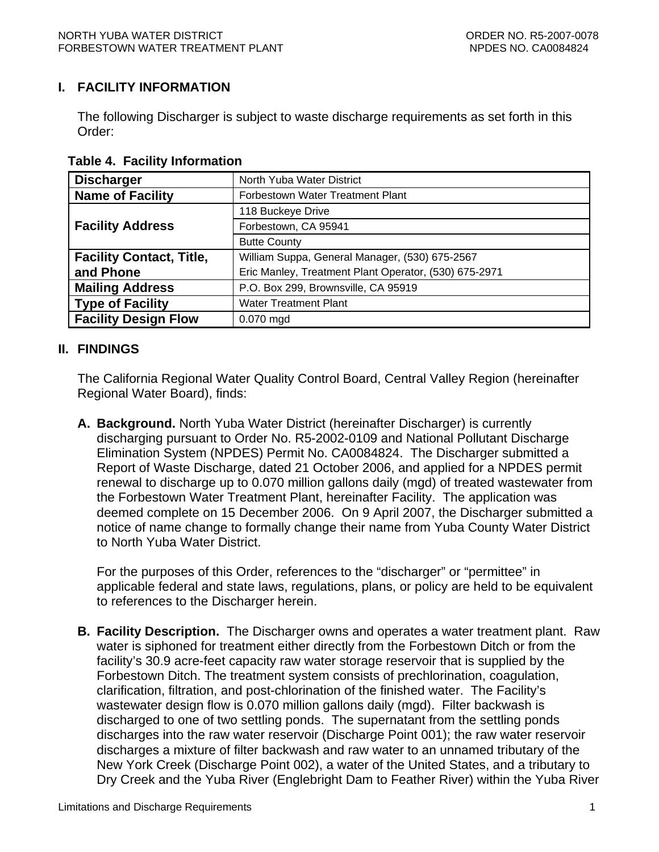### <span id="page-2-0"></span>**I. FACILITY INFORMATION**

The following Discharger is subject to waste discharge requirements as set forth in this Order:

| <b>Discharger</b>               | North Yuba Water District                             |  |  |
|---------------------------------|-------------------------------------------------------|--|--|
| <b>Name of Facility</b>         | Forbestown Water Treatment Plant                      |  |  |
|                                 | 118 Buckeye Drive                                     |  |  |
| <b>Facility Address</b>         | Forbestown, CA 95941                                  |  |  |
|                                 | <b>Butte County</b>                                   |  |  |
| <b>Facility Contact, Title,</b> | William Suppa, General Manager, (530) 675-2567        |  |  |
| and Phone                       | Eric Manley, Treatment Plant Operator, (530) 675-2971 |  |  |
| <b>Mailing Address</b>          | P.O. Box 299, Brownsville, CA 95919                   |  |  |
| <b>Type of Facility</b>         | <b>Water Treatment Plant</b>                          |  |  |
| <b>Facility Design Flow</b>     | 0.070 mgd                                             |  |  |

 **Table 4. Facility Information** 

### **II. FINDINGS**

The California Regional Water Quality Control Board, Central Valley Region (hereinafter Regional Water Board), finds:

**A. Background.** North Yuba Water District (hereinafter Discharger) is currently discharging pursuant to Order No. R5-2002-0109 and National Pollutant Discharge Elimination System (NPDES) Permit No. CA0084824. The Discharger submitted a Report of Waste Discharge, dated 21 October 2006, and applied for a NPDES permit renewal to discharge up to 0.070 million gallons daily (mgd) of treated wastewater from the Forbestown Water Treatment Plant, hereinafter Facility. The application was deemed complete on 15 December 2006. On 9 April 2007, the Discharger submitted a notice of name change to formally change their name from Yuba County Water District to North Yuba Water District.

For the purposes of this Order, references to the "discharger" or "permittee" in applicable federal and state laws, regulations, plans, or policy are held to be equivalent to references to the Discharger herein.

**B. Facility Description.** The Discharger owns and operates a water treatment plant. Raw water is siphoned for treatment either directly from the Forbestown Ditch or from the facility's 30.9 acre-feet capacity raw water storage reservoir that is supplied by the Forbestown Ditch. The treatment system consists of prechlorination, coagulation, clarification, filtration, and post-chlorination of the finished water. The Facility's wastewater design flow is 0.070 million gallons daily (mgd). Filter backwash is discharged to one of two settling ponds. The supernatant from the settling ponds discharges into the raw water reservoir (Discharge Point 001); the raw water reservoir discharges a mixture of filter backwash and raw water to an unnamed tributary of the New York Creek (Discharge Point 002), a water of the United States, and a tributary to Dry Creek and the Yuba River (Englebright Dam to Feather River) within the Yuba River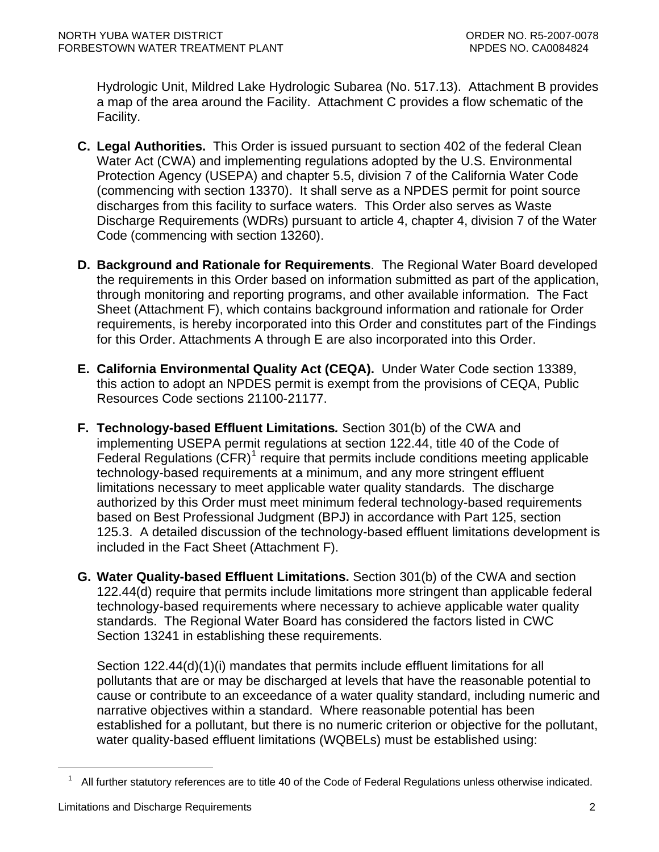Hydrologic Unit, Mildred Lake Hydrologic Subarea (No. 517.13). Attachment B provides a map of the area around the Facility. Attachment C provides a flow schematic of the Facility.

- **C. Legal Authorities.** This Order is issued pursuant to section 402 of the federal Clean Water Act (CWA) and implementing regulations adopted by the U.S. Environmental Protection Agency (USEPA) and chapter 5.5, division 7 of the California Water Code (commencing with section 13370). It shall serve as a NPDES permit for point source discharges from this facility to surface waters. This Order also serves as Waste Discharge Requirements (WDRs) pursuant to article 4, chapter 4, division 7 of the Water Code (commencing with section 13260).
- **D. Background and Rationale for Requirements**. The Regional Water Board developed the requirements in this Order based on information submitted as part of the application, through monitoring and reporting programs, and other available information. The Fact Sheet (Attachment F), which contains background information and rationale for Order requirements, is hereby incorporated into this Order and constitutes part of the Findings for this Order. Attachments A through E are also incorporated into this Order.
- **E. California Environmental Quality Act (CEQA).** Under Water Code section 13389, this action to adopt an NPDES permit is exempt from the provisions of CEQA, Public Resources Code sections 21100-21177.
- **F. Technology-based Effluent Limitations***.* Section 301(b) of the CWA and implementing USEPA permit regulations at section 122.44, title 40 of the Code of Federal Regulations  $(CFR)^1$  $(CFR)^1$  require that permits include conditions meeting applicable technology-based requirements at a minimum, and any more stringent effluent limitations necessary to meet applicable water quality standards. The discharge authorized by this Order must meet minimum federal technology-based requirements based on Best Professional Judgment (BPJ) in accordance with Part 125, section 125.3. A detailed discussion of the technology-based effluent limitations development is included in the Fact Sheet (Attachment F).
- **G. Water Quality-based Effluent Limitations.** Section 301(b) of the CWA and section 122.44(d) require that permits include limitations more stringent than applicable federal technology-based requirements where necessary to achieve applicable water quality standards. The Regional Water Board has considered the factors listed in CWC Section 13241 in establishing these requirements.

Section 122.44(d)(1)(i) mandates that permits include effluent limitations for all pollutants that are or may be discharged at levels that have the reasonable potential to cause or contribute to an exceedance of a water quality standard, including numeric and narrative objectives within a standard. Where reasonable potential has been established for a pollutant, but there is no numeric criterion or objective for the pollutant, water quality-based effluent limitations (WQBELs) must be established using:

<span id="page-3-0"></span> $\overline{a}$ 

 $1$  All further statutory references are to title 40 of the Code of Federal Regulations unless otherwise indicated.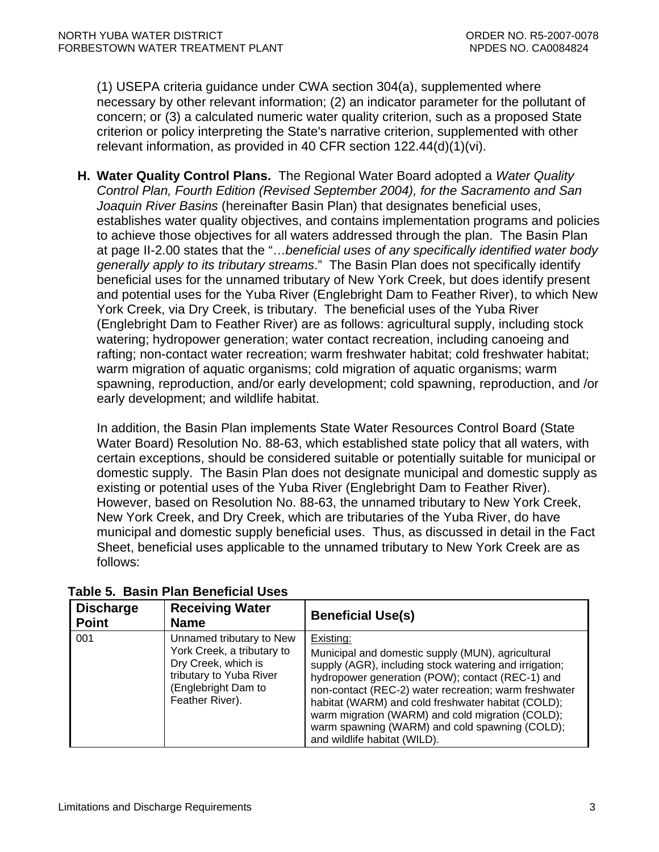<span id="page-4-0"></span>(1) USEPA criteria guidance under CWA section 304(a), supplemented where necessary by other relevant information; (2) an indicator parameter for the pollutant of concern; or (3) a calculated numeric water quality criterion, such as a proposed State criterion or policy interpreting the State's narrative criterion, supplemented with other relevant information, as provided in 40 CFR section 122.44(d)(1)(vi).

**H. Water Quality Control Plans.** The Regional Water Board adopted a *Water Quality Control Plan, Fourth Edition (Revised September 2004), for the Sacramento and San Joaquin River Basins* (hereinafter Basin Plan) that designates beneficial uses, establishes water quality objectives, and contains implementation programs and policies to achieve those objectives for all waters addressed through the plan. The Basin Plan at page II-2.00 states that the "…*beneficial uses of any specifically identified water body generally apply to its tributary streams*." The Basin Plan does not specifically identify beneficial uses for the unnamed tributary of New York Creek, but does identify present and potential uses for the Yuba River (Englebright Dam to Feather River), to which New York Creek, via Dry Creek, is tributary. The beneficial uses of the Yuba River (Englebright Dam to Feather River) are as follows: agricultural supply, including stock watering; hydropower generation; water contact recreation, including canoeing and rafting; non-contact water recreation; warm freshwater habitat; cold freshwater habitat; warm migration of aquatic organisms; cold migration of aquatic organisms; warm spawning, reproduction, and/or early development; cold spawning, reproduction, and /or early development; and wildlife habitat.

In addition, the Basin Plan implements State Water Resources Control Board (State Water Board) Resolution No. 88-63, which established state policy that all waters, with certain exceptions, should be considered suitable or potentially suitable for municipal or domestic supply. The Basin Plan does not designate municipal and domestic supply as existing or potential uses of the Yuba River (Englebright Dam to Feather River). However, based on Resolution No. 88-63, the unnamed tributary to New York Creek, New York Creek, and Dry Creek, which are tributaries of the Yuba River, do have municipal and domestic supply beneficial uses. Thus, as discussed in detail in the Fact Sheet, beneficial uses applicable to the unnamed tributary to New York Creek are as follows:

| <b>Discharge</b><br><b>Point</b> | <b>Receiving Water</b><br><b>Name</b>                                                                                                              | <b>Beneficial Use(s)</b>                                                                                                                                                                                                                                                                                                                                                                                                          |
|----------------------------------|----------------------------------------------------------------------------------------------------------------------------------------------------|-----------------------------------------------------------------------------------------------------------------------------------------------------------------------------------------------------------------------------------------------------------------------------------------------------------------------------------------------------------------------------------------------------------------------------------|
| 001                              | Unnamed tributary to New<br>York Creek, a tributary to<br>Dry Creek, which is<br>tributary to Yuba River<br>(Englebright Dam to<br>Feather River). | Existing:<br>Municipal and domestic supply (MUN), agricultural<br>supply (AGR), including stock watering and irrigation;<br>hydropower generation (POW); contact (REC-1) and<br>non-contact (REC-2) water recreation; warm freshwater<br>habitat (WARM) and cold freshwater habitat (COLD);<br>warm migration (WARM) and cold migration (COLD);<br>warm spawning (WARM) and cold spawning (COLD);<br>and wildlife habitat (WILD). |

 **Table 5. Basin Plan Beneficial Uses**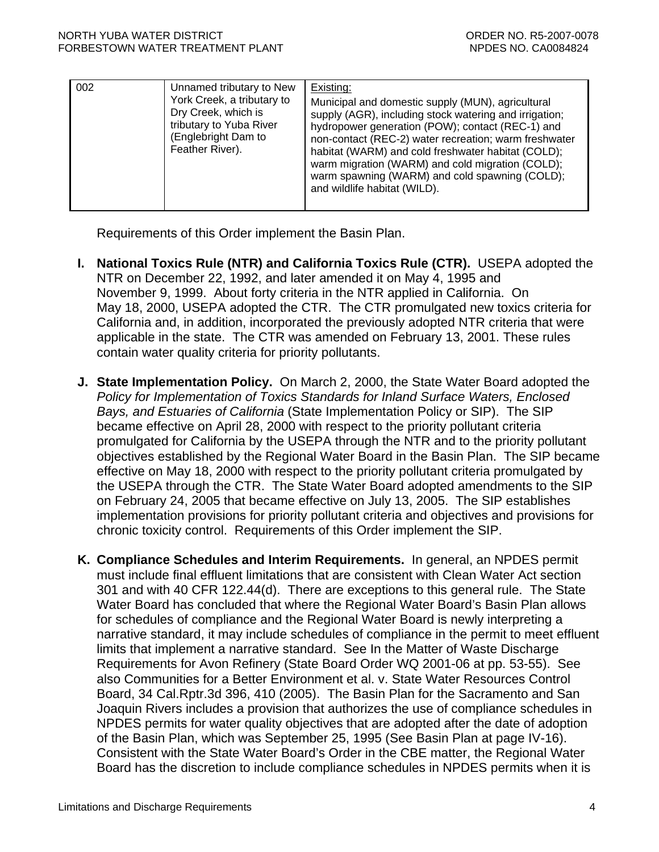| 002 | Unnamed tributary to New<br>York Creek, a tributary to<br>Dry Creek, which is<br>tributary to Yuba River<br>(Englebright Dam to<br>Feather River). | Existing:<br>Municipal and domestic supply (MUN), agricultural<br>supply (AGR), including stock watering and irrigation;<br>hydropower generation (POW); contact (REC-1) and<br>non-contact (REC-2) water recreation; warm freshwater<br>habitat (WARM) and cold freshwater habitat (COLD);<br>warm migration (WARM) and cold migration (COLD);<br>warm spawning (WARM) and cold spawning (COLD);<br>and wildlife habitat (WILD). |
|-----|----------------------------------------------------------------------------------------------------------------------------------------------------|-----------------------------------------------------------------------------------------------------------------------------------------------------------------------------------------------------------------------------------------------------------------------------------------------------------------------------------------------------------------------------------------------------------------------------------|
|     |                                                                                                                                                    |                                                                                                                                                                                                                                                                                                                                                                                                                                   |

Requirements of this Order implement the Basin Plan.

- **I. National Toxics Rule (NTR) and California Toxics Rule (CTR).** USEPA adopted the NTR on December 22, 1992, and later amended it on May 4, 1995 and November 9, 1999. About forty criteria in the NTR applied in California. On May 18, 2000, USEPA adopted the CTR. The CTR promulgated new toxics criteria for California and, in addition, incorporated the previously adopted NTR criteria that were applicable in the state. The CTR was amended on February 13, 2001. These rules contain water quality criteria for priority pollutants.
- **J. State Implementation Policy.** On March 2, 2000, the State Water Board adopted the *Policy for Implementation of Toxics Standards for Inland Surface Waters, Enclosed Bays, and Estuaries of California* (State Implementation Policy or SIP). The SIP became effective on April 28, 2000 with respect to the priority pollutant criteria promulgated for California by the USEPA through the NTR and to the priority pollutant objectives established by the Regional Water Board in the Basin Plan. The SIP became effective on May 18, 2000 with respect to the priority pollutant criteria promulgated by the USEPA through the CTR. The State Water Board adopted amendments to the SIP on February 24, 2005 that became effective on July 13, 2005. The SIP establishes implementation provisions for priority pollutant criteria and objectives and provisions for chronic toxicity control. Requirements of this Order implement the SIP.
- **K. Compliance Schedules and Interim Requirements.** In general, an NPDES permit must include final effluent limitations that are consistent with Clean Water Act section 301 and with 40 CFR 122.44(d). There are exceptions to this general rule. The State Water Board has concluded that where the Regional Water Board's Basin Plan allows for schedules of compliance and the Regional Water Board is newly interpreting a narrative standard, it may include schedules of compliance in the permit to meet effluent limits that implement a narrative standard. See In the Matter of Waste Discharge Requirements for Avon Refinery (State Board Order WQ 2001-06 at pp. 53-55). See also Communities for a Better Environment et al. v. State Water Resources Control Board, 34 Cal.Rptr.3d 396, 410 (2005). The Basin Plan for the Sacramento and San Joaquin Rivers includes a provision that authorizes the use of compliance schedules in NPDES permits for water quality objectives that are adopted after the date of adoption of the Basin Plan, which was September 25, 1995 (See Basin Plan at page IV-16). Consistent with the State Water Board's Order in the CBE matter, the Regional Water Board has the discretion to include compliance schedules in NPDES permits when it is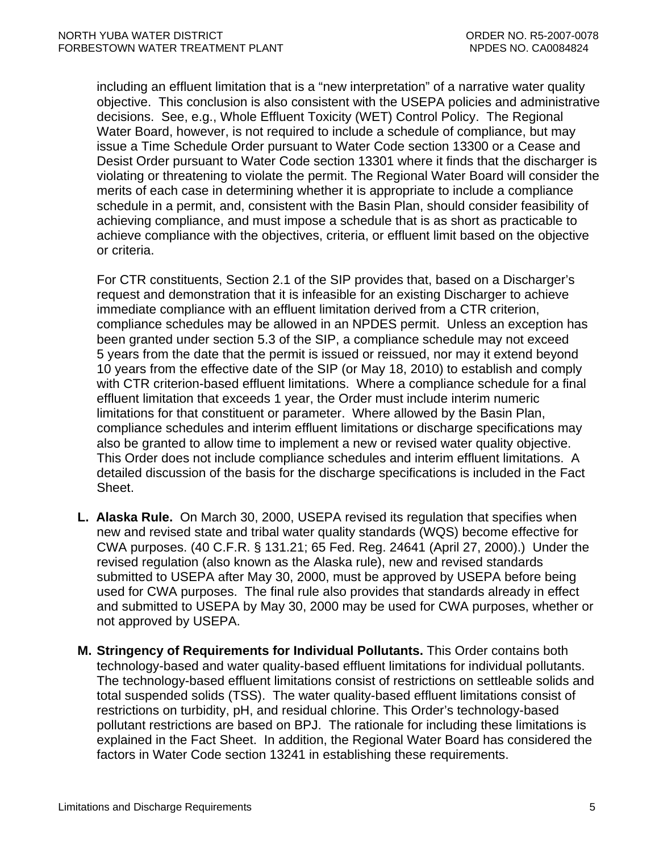including an effluent limitation that is a "new interpretation" of a narrative water quality objective. This conclusion is also consistent with the USEPA policies and administrative decisions. See, e.g., Whole Effluent Toxicity (WET) Control Policy. The Regional Water Board, however, is not required to include a schedule of compliance, but may issue a Time Schedule Order pursuant to Water Code section 13300 or a Cease and Desist Order pursuant to Water Code section 13301 where it finds that the discharger is violating or threatening to violate the permit. The Regional Water Board will consider the merits of each case in determining whether it is appropriate to include a compliance schedule in a permit, and, consistent with the Basin Plan, should consider feasibility of achieving compliance, and must impose a schedule that is as short as practicable to achieve compliance with the objectives, criteria, or effluent limit based on the objective or criteria.

For CTR constituents, Section 2.1 of the SIP provides that, based on a Discharger's request and demonstration that it is infeasible for an existing Discharger to achieve immediate compliance with an effluent limitation derived from a CTR criterion, compliance schedules may be allowed in an NPDES permit. Unless an exception has been granted under section 5.3 of the SIP, a compliance schedule may not exceed 5 years from the date that the permit is issued or reissued, nor may it extend beyond 10 years from the effective date of the SIP (or May 18, 2010) to establish and comply with CTR criterion-based effluent limitations. Where a compliance schedule for a final effluent limitation that exceeds 1 year, the Order must include interim numeric limitations for that constituent or parameter. Where allowed by the Basin Plan, compliance schedules and interim effluent limitations or discharge specifications may also be granted to allow time to implement a new or revised water quality objective. This Order does not include compliance schedules and interim effluent limitations. A detailed discussion of the basis for the discharge specifications is included in the Fact Sheet.

- **L. Alaska Rule.** On March 30, 2000, USEPA revised its regulation that specifies when new and revised state and tribal water quality standards (WQS) become effective for CWA purposes. (40 C.F.R. § 131.21; 65 Fed. Reg. 24641 (April 27, 2000).) Under the revised regulation (also known as the Alaska rule), new and revised standards submitted to USEPA after May 30, 2000, must be approved by USEPA before being used for CWA purposes. The final rule also provides that standards already in effect and submitted to USEPA by May 30, 2000 may be used for CWA purposes, whether or not approved by USEPA.
- **M. Stringency of Requirements for Individual Pollutants.** This Order contains both technology-based and water quality-based effluent limitations for individual pollutants. The technology-based effluent limitations consist of restrictions on settleable solids and total suspended solids (TSS). The water quality-based effluent limitations consist of restrictions on turbidity, pH, and residual chlorine. This Order's technology-based pollutant restrictions are based on BPJ. The rationale for including these limitations is explained in the Fact Sheet. In addition, the Regional Water Board has considered the factors in Water Code section 13241 in establishing these requirements.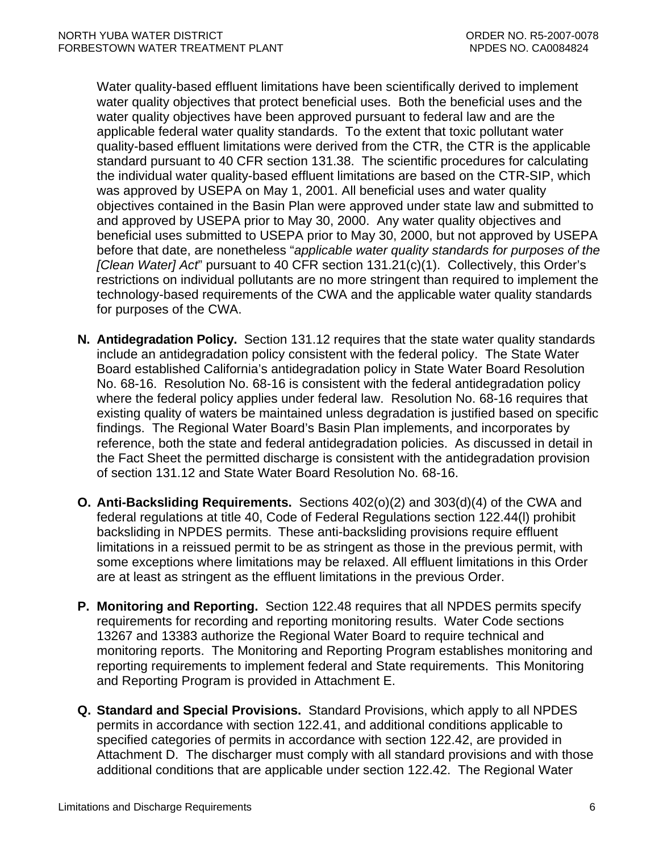Water quality-based effluent limitations have been scientifically derived to implement water quality objectives that protect beneficial uses. Both the beneficial uses and the water quality objectives have been approved pursuant to federal law and are the applicable federal water quality standards. To the extent that toxic pollutant water quality-based effluent limitations were derived from the CTR, the CTR is the applicable standard pursuant to 40 CFR section 131.38. The scientific procedures for calculating the individual water quality-based effluent limitations are based on the CTR-SIP, which was approved by USEPA on May 1, 2001. All beneficial uses and water quality objectives contained in the Basin Plan were approved under state law and submitted to and approved by USEPA prior to May 30, 2000. Any water quality objectives and beneficial uses submitted to USEPA prior to May 30, 2000, but not approved by USEPA before that date, are nonetheless "*applicable water quality standards for purposes of the [Clean Water] Act*" pursuant to 40 CFR section 131.21(c)(1). Collectively, this Order's restrictions on individual pollutants are no more stringent than required to implement the technology-based requirements of the CWA and the applicable water quality standards for purposes of the CWA.

- **N. Antidegradation Policy.** Section 131.12 requires that the state water quality standards include an antidegradation policy consistent with the federal policy. The State Water Board established California's antidegradation policy in State Water Board Resolution No. 68-16. Resolution No. 68-16 is consistent with the federal antidegradation policy where the federal policy applies under federal law. Resolution No. 68-16 requires that existing quality of waters be maintained unless degradation is justified based on specific findings. The Regional Water Board's Basin Plan implements, and incorporates by reference, both the state and federal antidegradation policies. As discussed in detail in the Fact Sheet the permitted discharge is consistent with the antidegradation provision of section 131.12 and State Water Board Resolution No. 68-16.
- **O. Anti-Backsliding Requirements.** Sections 402(o)(2) and 303(d)(4) of the CWA and federal regulations at title 40, Code of Federal Regulations section 122.44(l) prohibit backsliding in NPDES permits. These anti-backsliding provisions require effluent limitations in a reissued permit to be as stringent as those in the previous permit, with some exceptions where limitations may be relaxed. All effluent limitations in this Order are at least as stringent as the effluent limitations in the previous Order.
- **P. Monitoring and Reporting.** Section 122.48 requires that all NPDES permits specify requirements for recording and reporting monitoring results. Water Code sections 13267 and 13383 authorize the Regional Water Board to require technical and monitoring reports. The Monitoring and Reporting Program establishes monitoring and reporting requirements to implement federal and State requirements. This Monitoring and Reporting Program is provided in Attachment E.
- **Q. Standard and Special Provisions.** Standard Provisions, which apply to all NPDES permits in accordance with section 122.41, and additional conditions applicable to specified categories of permits in accordance with section 122.42, are provided in Attachment D. The discharger must comply with all standard provisions and with those additional conditions that are applicable under section 122.42. The Regional Water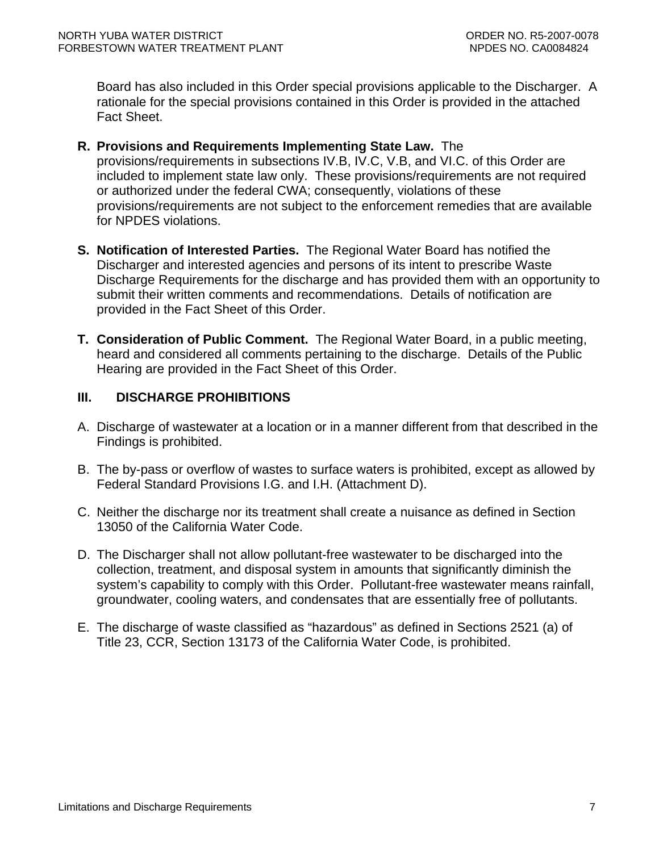<span id="page-8-0"></span>Board has also included in this Order special provisions applicable to the Discharger. A rationale for the special provisions contained in this Order is provided in the attached Fact Sheet.

- **R. Provisions and Requirements Implementing State Law.** The provisions/requirements in subsections IV.B, IV.C, V.B, and VI.C. of this Order are included to implement state law only. These provisions/requirements are not required or authorized under the federal CWA; consequently, violations of these provisions/requirements are not subject to the enforcement remedies that are available for NPDES violations.
- **S. Notification of Interested Parties.** The Regional Water Board has notified the Discharger and interested agencies and persons of its intent to prescribe Waste Discharge Requirements for the discharge and has provided them with an opportunity to submit their written comments and recommendations. Details of notification are provided in the Fact Sheet of this Order.
- **T. Consideration of Public Comment.** The Regional Water Board, in a public meeting, heard and considered all comments pertaining to the discharge. Details of the Public Hearing are provided in the Fact Sheet of this Order.

## **III. DISCHARGE PROHIBITIONS**

- A. Discharge of wastewater at a location or in a manner different from that described in the Findings is prohibited.
- B. The by-pass or overflow of wastes to surface waters is prohibited, except as allowed by Federal Standard Provisions [I.G.](#page-33-0) and [I.H.](#page-34-0) (Attachment D).
- C. Neither the discharge nor its treatment shall create a nuisance as defined in Section 13050 of the California Water Code.
- D. The Discharger shall not allow pollutant-free wastewater to be discharged into the collection, treatment, and disposal system in amounts that significantly diminish the system's capability to comply with this Order. Pollutant-free wastewater means rainfall, groundwater, cooling waters, and condensates that are essentially free of pollutants.
- E. The discharge of waste classified as "hazardous" as defined in Sections 2521 (a) of Title 23, CCR, Section 13173 of the California Water Code, is prohibited.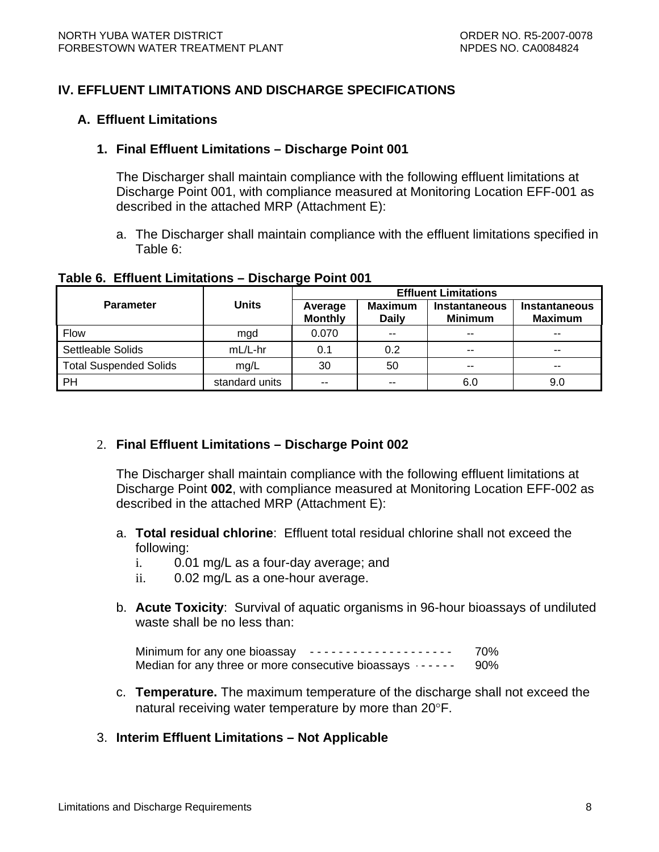### <span id="page-9-0"></span>**IV. EFFLUENT LIMITATIONS AND DISCHARGE SPECIFICATIONS**

#### **A. Effluent Limitations**

#### **1. Final Effluent Limitations – Discharge Point 001**

The Discharger shall maintain compliance with the following effluent limitations at Discharge Point 001, with compliance measured at Monitoring Location EFF-001 as described in the attached MRP (Attachment E):

a. The Discharger shall maintain compliance with the effluent limitations specified in Table 6:

|  |  | Table 6. Effluent Limitations - Discharge Point 001 |
|--|--|-----------------------------------------------------|
|--|--|-----------------------------------------------------|

|                               | Units          | <b>Effluent Limitations</b> |                                |                                 |                                 |  |
|-------------------------------|----------------|-----------------------------|--------------------------------|---------------------------------|---------------------------------|--|
| <b>Parameter</b>              |                | Average<br><b>Monthly</b>   | <b>Maximum</b><br><b>Daily</b> | Instantaneous<br><b>Minimum</b> | Instantaneous<br><b>Maximum</b> |  |
| <b>Flow</b>                   | mgd            | 0.070                       | $- -$                          | $-$                             | $- -$                           |  |
| Settleable Solids             | mL/L-hr        | 0.1                         | 0.2                            | $- -$                           | $- -$                           |  |
| <b>Total Suspended Solids</b> | mg/L           | 30                          | 50                             | $- -$                           | $\sim$ $\sim$                   |  |
| PH                            | standard units | $\sim$ $\sim$               | $- -$                          | 6.0                             | 9.0                             |  |

### 2. **Final Effluent Limitations – Discharge Point 002**

The Discharger shall maintain compliance with the following effluent limitations at Discharge Point **002**, with compliance measured at Monitoring Location EFF-002 as described in the attached MRP (Attachment E):

- a. **Total residual chlorine**: Effluent total residual chlorine shall not exceed the following:
	- i. 0.01 mg/L as a four-day average; and
	- ii. 0.02 mg/L as a one-hour average.
- b. **Acute Toxicity**: Survival of aquatic organisms in 96-hour bioassays of undiluted waste shall be no less than:

Minimum for any one bioassay ---------------------- 70% Median for any three or more consecutive bioassays  $-$  -  $-$  - 90%

c. **Temperature.** The maximum temperature of the discharge shall not exceed the natural receiving water temperature by more than 20°F.

### 3. **Interim Effluent Limitations – Not Applicable**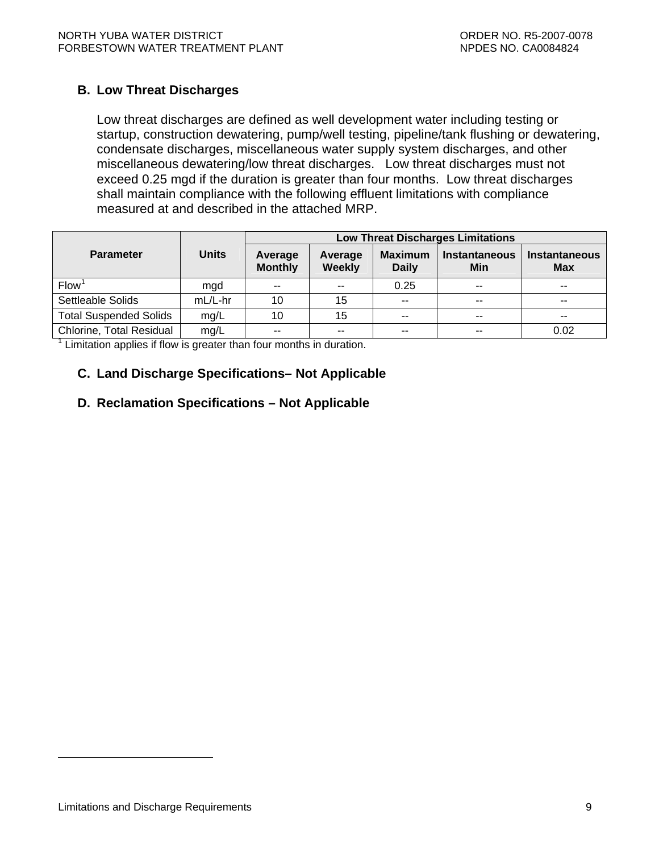### <span id="page-10-0"></span>**B. Low Threat Discharges**

Low threat discharges are defined as well development water including testing or startup, construction dewatering, pump/well testing, pipeline/tank flushing or dewatering, condensate discharges, miscellaneous water supply system discharges, and other miscellaneous dewatering/low threat discharges. Low threat discharges must not exceed 0.25 mgd if the duration is greater than four months. Low threat discharges shall maintain compliance with the following effluent limitations with compliance measured at and described in the attached MRP.

|                               |              | <b>Low Threat Discharges Limitations</b> |                          |                                |                             |                                    |
|-------------------------------|--------------|------------------------------------------|--------------------------|--------------------------------|-----------------------------|------------------------------------|
| <b>Parameter</b>              | <b>Units</b> | Average<br><b>Monthly</b>                | Average<br><b>Weekly</b> | <b>Maximum</b><br><b>Daily</b> | <b>Instantaneous</b><br>Min | <b>Instantaneous</b><br><b>Max</b> |
| Flow <sup>1</sup>             | mgd          | $\sim$                                   | $-$                      | 0.25                           | $- -$                       | $-$                                |
| Settleable Solids             | mL/L-hr      | 10                                       | 15                       | $- -$                          | $- -$                       | --                                 |
| <b>Total Suspended Solids</b> | mg/L         | 10                                       | 15                       | $\sim$                         | $\sim$                      | $- -$                              |
| Chlorine, Total Residual      | mg/L         | $-$                                      | $\sim$ $\sim$            | $- -$                          | $- -$                       | 0.02                               |

 $1$  Limitation applies if flow is greater than four months in duration.

### **C. Land Discharge Specifications– Not Applicable**

### **D. Reclamation Specifications – Not Applicable**

 $\overline{a}$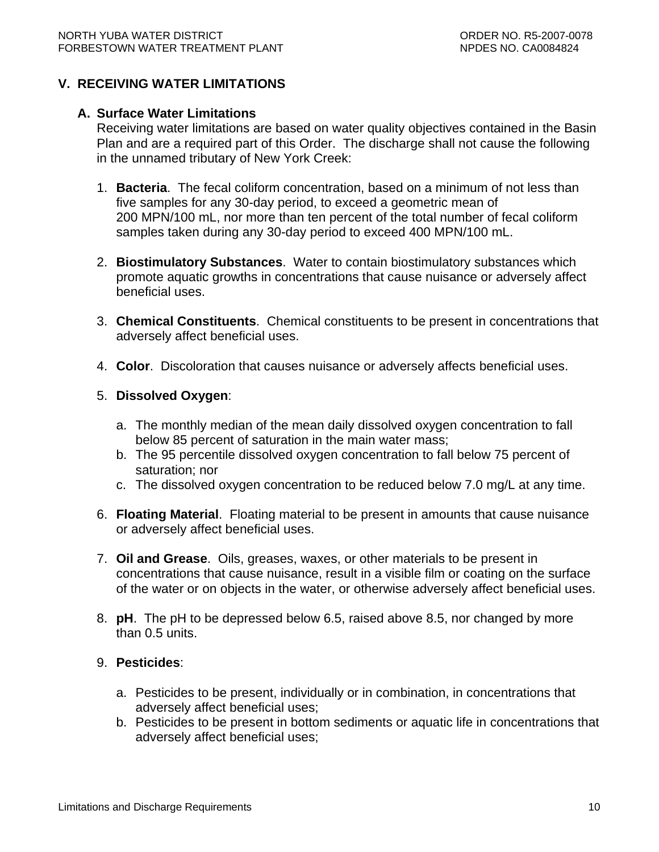### <span id="page-11-0"></span>**V. RECEIVING WATER LIMITATIONS**

#### **A. Surface Water Limitations**

Receiving water limitations are based on water quality objectives contained in the Basin Plan and are a required part of this Order. The discharge shall not cause the following in the unnamed tributary of New York Creek:

- 1. **Bacteria**. The fecal coliform concentration, based on a minimum of not less than five samples for any 30-day period, to exceed a geometric mean of 200 MPN/100 mL, nor more than ten percent of the total number of fecal coliform samples taken during any 30-day period to exceed 400 MPN/100 mL.
- 2. **Biostimulatory Substances**. Water to contain biostimulatory substances which promote aquatic growths in concentrations that cause nuisance or adversely affect beneficial uses.
- 3. **Chemical Constituents**. Chemical constituents to be present in concentrations that adversely affect beneficial uses.
- 4. **Color**. Discoloration that causes nuisance or adversely affects beneficial uses.

#### 5. **Dissolved Oxygen**:

- a. The monthly median of the mean daily dissolved oxygen concentration to fall below 85 percent of saturation in the main water mass;
- b. The 95 percentile dissolved oxygen concentration to fall below 75 percent of saturation; nor
- c. The dissolved oxygen concentration to be reduced below 7.0 mg/L at any time.
- 6. **Floating Material**. Floating material to be present in amounts that cause nuisance or adversely affect beneficial uses.
- 7. **Oil and Grease**. Oils, greases, waxes, or other materials to be present in concentrations that cause nuisance, result in a visible film or coating on the surface of the water or on objects in the water, or otherwise adversely affect beneficial uses.
- 8. **pH**. The pH to be depressed below 6.5, raised above 8.5, nor changed by more than 0.5 units.

### 9. **Pesticides**:

- a. Pesticides to be present, individually or in combination, in concentrations that adversely affect beneficial uses;
- b. Pesticides to be present in bottom sediments or aquatic life in concentrations that adversely affect beneficial uses;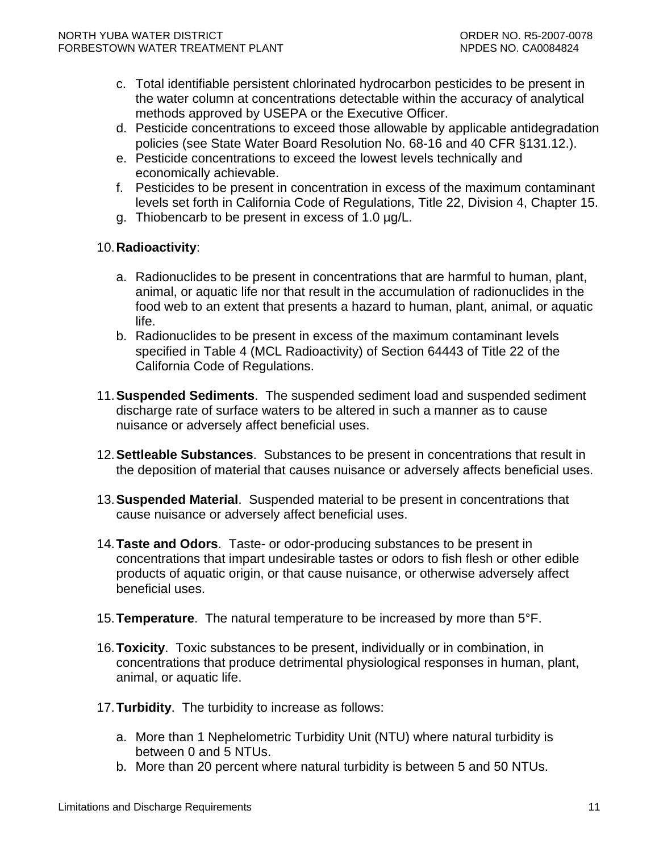- c. Total identifiable persistent chlorinated hydrocarbon pesticides to be present in the water column at concentrations detectable within the accuracy of analytical methods approved by USEPA or the Executive Officer.
- d. Pesticide concentrations to exceed those allowable by applicable antidegradation policies (see State Water Board Resolution No. 68-16 and 40 CFR §131.12.).
- e. Pesticide concentrations to exceed the lowest levels technically and economically achievable.
- f. Pesticides to be present in concentration in excess of the maximum contaminant levels set forth in California Code of Regulations, Title 22, Division 4, Chapter 15.
- g. Thiobencarb to be present in excess of 1.0 µg/L.

### 10. **Radioactivity**:

- a. Radionuclides to be present in concentrations that are harmful to human, plant, animal, or aquatic life nor that result in the accumulation of radionuclides in the food web to an extent that presents a hazard to human, plant, animal, or aquatic life.
- b. Radionuclides to be present in excess of the maximum contaminant levels specified in Table 4 (MCL Radioactivity) of Section 64443 of Title 22 of the California Code of Regulations.
- 11. **Suspended Sediments**. The suspended sediment load and suspended sediment discharge rate of surface waters to be altered in such a manner as to cause nuisance or adversely affect beneficial uses.
- 12. **Settleable Substances**. Substances to be present in concentrations that result in the deposition of material that causes nuisance or adversely affects beneficial uses.
- 13. **Suspended Material**. Suspended material to be present in concentrations that cause nuisance or adversely affect beneficial uses.
- 14. **Taste and Odors**. Taste- or odor-producing substances to be present in concentrations that impart undesirable tastes or odors to fish flesh or other edible products of aquatic origin, or that cause nuisance, or otherwise adversely affect beneficial uses.
- 15. **Temperature**. The natural temperature to be increased by more than 5°F.
- 16. **Toxicity**. Toxic substances to be present, individually or in combination, in concentrations that produce detrimental physiological responses in human, plant, animal, or aquatic life.
- 17. **Turbidity**. The turbidity to increase as follows:
	- a. More than 1 Nephelometric Turbidity Unit (NTU) where natural turbidity is between 0 and 5 NTUs.
	- b. More than 20 percent where natural turbidity is between 5 and 50 NTUs.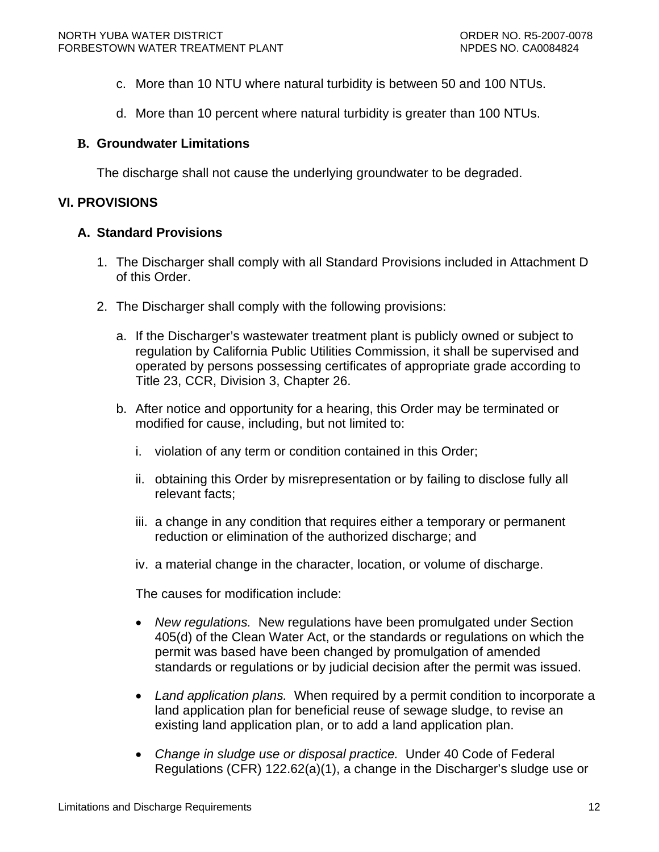- <span id="page-13-0"></span>c. More than 10 NTU where natural turbidity is between 50 and 100 NTUs.
- d. More than 10 percent where natural turbidity is greater than 100 NTUs.

### **B. Groundwater Limitations**

The discharge shall not cause the underlying groundwater to be degraded.

### **VI. PROVISIONS**

### **A. Standard Provisions**

- 1. The Discharger shall comply with all Standard Provisions included in Attachment D of this Order.
- 2. The Discharger shall comply with the following provisions:
	- a. If the Discharger's wastewater treatment plant is publicly owned or subject to regulation by California Public Utilities Commission, it shall be supervised and operated by persons possessing certificates of appropriate grade according to Title 23, CCR, Division 3, Chapter 26.
	- b. After notice and opportunity for a hearing, this Order may be terminated or modified for cause, including, but not limited to:
		- i. violation of any term or condition contained in this Order;
		- ii. obtaining this Order by misrepresentation or by failing to disclose fully all relevant facts;
		- iii. a change in any condition that requires either a temporary or permanent reduction or elimination of the authorized discharge; and
		- iv. a material change in the character, location, or volume of discharge.

The causes for modification include:

- *New regulations.* New regulations have been promulgated under Section 405(d) of the Clean Water Act, or the standards or regulations on which the permit was based have been changed by promulgation of amended standards or regulations or by judicial decision after the permit was issued.
- *Land application plans.* When required by a permit condition to incorporate a land application plan for beneficial reuse of sewage sludge, to revise an existing land application plan, or to add a land application plan.
- *Change in sludge use or disposal practice.* Under 40 Code of Federal Regulations (CFR) 122.62(a)(1), a change in the Discharger's sludge use or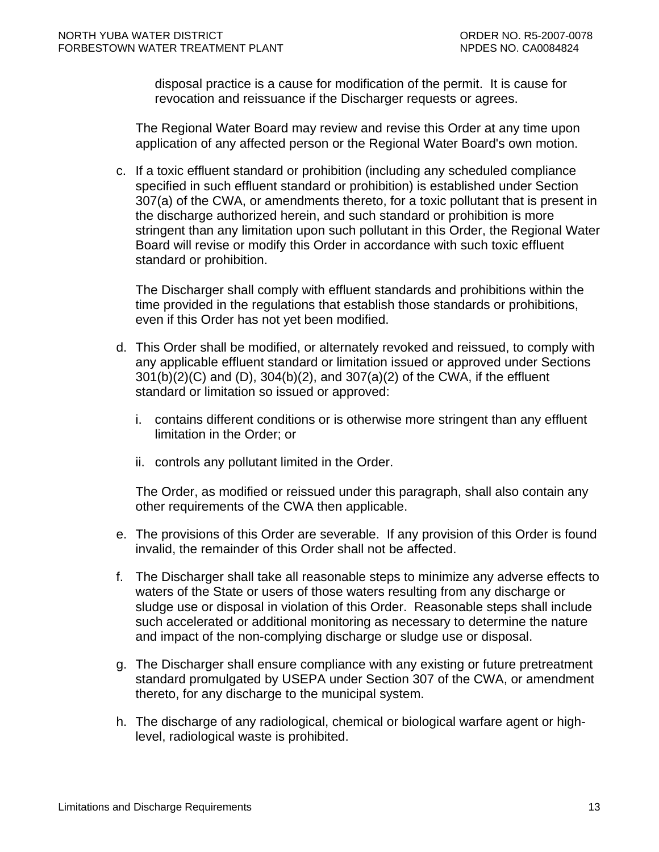disposal practice is a cause for modification of the permit. It is cause for revocation and reissuance if the Discharger requests or agrees.

The Regional Water Board may review and revise this Order at any time upon application of any affected person or the Regional Water Board's own motion.

c. If a toxic effluent standard or prohibition (including any scheduled compliance specified in such effluent standard or prohibition) is established under Section 307(a) of the CWA, or amendments thereto, for a toxic pollutant that is present in the discharge authorized herein, and such standard or prohibition is more stringent than any limitation upon such pollutant in this Order, the Regional Water Board will revise or modify this Order in accordance with such toxic effluent standard or prohibition.

The Discharger shall comply with effluent standards and prohibitions within the time provided in the regulations that establish those standards or prohibitions, even if this Order has not yet been modified.

- d. This Order shall be modified, or alternately revoked and reissued, to comply with any applicable effluent standard or limitation issued or approved under Sections 301(b)(2)(C) and (D), 304(b)(2), and 307(a)(2) of the CWA, if the effluent standard or limitation so issued or approved:
	- i. contains different conditions or is otherwise more stringent than any effluent limitation in the Order; or
	- ii. controls any pollutant limited in the Order.

The Order, as modified or reissued under this paragraph, shall also contain any other requirements of the CWA then applicable.

- e. The provisions of this Order are severable. If any provision of this Order is found invalid, the remainder of this Order shall not be affected.
- f. The Discharger shall take all reasonable steps to minimize any adverse effects to waters of the State or users of those waters resulting from any discharge or sludge use or disposal in violation of this Order. Reasonable steps shall include such accelerated or additional monitoring as necessary to determine the nature and impact of the non-complying discharge or sludge use or disposal.
- g. The Discharger shall ensure compliance with any existing or future pretreatment standard promulgated by USEPA under Section 307 of the CWA, or amendment thereto, for any discharge to the municipal system.
- h. The discharge of any radiological, chemical or biological warfare agent or highlevel, radiological waste is prohibited.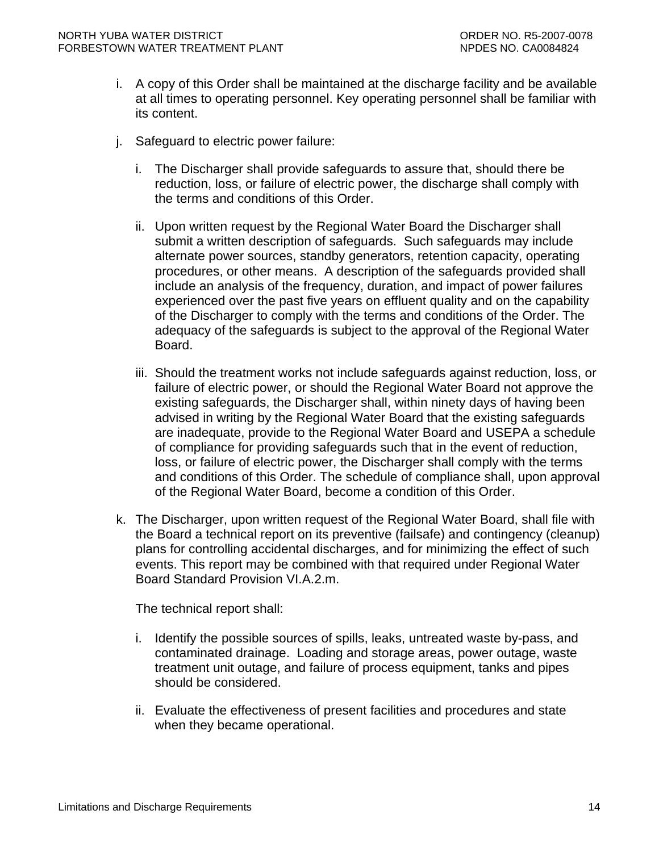- i. A copy of this Order shall be maintained at the discharge facility and be available at all times to operating personnel. Key operating personnel shall be familiar with its content.
- j. Safeguard to electric power failure:
	- i. The Discharger shall provide safeguards to assure that, should there be reduction, loss, or failure of electric power, the discharge shall comply with the terms and conditions of this Order.
	- ii. Upon written request by the Regional Water Board the Discharger shall submit a written description of safeguards. Such safeguards may include alternate power sources, standby generators, retention capacity, operating procedures, or other means. A description of the safeguards provided shall include an analysis of the frequency, duration, and impact of power failures experienced over the past five years on effluent quality and on the capability of the Discharger to comply with the terms and conditions of the Order. The adequacy of the safeguards is subject to the approval of the Regional Water Board.
	- iii. Should the treatment works not include safeguards against reduction, loss, or failure of electric power, or should the Regional Water Board not approve the existing safeguards, the Discharger shall, within ninety days of having been advised in writing by the Regional Water Board that the existing safeguards are inadequate, provide to the Regional Water Board and USEPA a schedule of compliance for providing safeguards such that in the event of reduction, loss, or failure of electric power, the Discharger shall comply with the terms and conditions of this Order. The schedule of compliance shall, upon approval of the Regional Water Board, become a condition of this Order.
- k. The Discharger, upon written request of the Regional Water Board, shall file with the Board a technical report on its preventive (failsafe) and contingency (cleanup) plans for controlling accidental discharges, and for minimizing the effect of such events. This report may be combined with that required under Regional Water Board Standard Provision VI.A.2.m.

The technical report shall:

- i. Identify the possible sources of spills, leaks, untreated waste by-pass, and contaminated drainage. Loading and storage areas, power outage, waste treatment unit outage, and failure of process equipment, tanks and pipes should be considered.
- ii. Evaluate the effectiveness of present facilities and procedures and state when they became operational.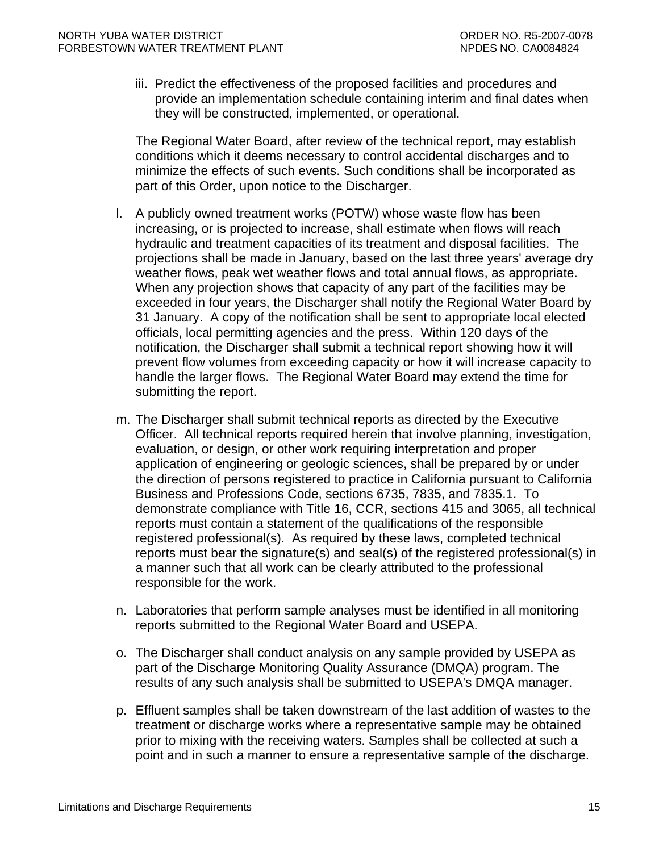iii. Predict the effectiveness of the proposed facilities and procedures and provide an implementation schedule containing interim and final dates when they will be constructed, implemented, or operational.

The Regional Water Board, after review of the technical report, may establish conditions which it deems necessary to control accidental discharges and to minimize the effects of such events. Such conditions shall be incorporated as part of this Order, upon notice to the Discharger.

- l. A publicly owned treatment works (POTW) whose waste flow has been increasing, or is projected to increase, shall estimate when flows will reach hydraulic and treatment capacities of its treatment and disposal facilities. The projections shall be made in January, based on the last three years' average dry weather flows, peak wet weather flows and total annual flows, as appropriate. When any projection shows that capacity of any part of the facilities may be exceeded in four years, the Discharger shall notify the Regional Water Board by 31 January. A copy of the notification shall be sent to appropriate local elected officials, local permitting agencies and the press. Within 120 days of the notification, the Discharger shall submit a technical report showing how it will prevent flow volumes from exceeding capacity or how it will increase capacity to handle the larger flows. The Regional Water Board may extend the time for submitting the report.
- m. The Discharger shall submit technical reports as directed by the Executive Officer. All technical reports required herein that involve planning, investigation, evaluation, or design, or other work requiring interpretation and proper application of engineering or geologic sciences, shall be prepared by or under the direction of persons registered to practice in California pursuant to California Business and Professions Code, sections 6735, 7835, and 7835.1. To demonstrate compliance with Title 16, CCR, sections 415 and 3065, all technical reports must contain a statement of the qualifications of the responsible registered professional(s). As required by these laws, completed technical reports must bear the signature(s) and seal(s) of the registered professional(s) in a manner such that all work can be clearly attributed to the professional responsible for the work.
- n. Laboratories that perform sample analyses must be identified in all monitoring reports submitted to the Regional Water Board and USEPA.
- o. The Discharger shall conduct analysis on any sample provided by USEPA as part of the Discharge Monitoring Quality Assurance (DMQA) program. The results of any such analysis shall be submitted to USEPA's DMQA manager.
- p. Effluent samples shall be taken downstream of the last addition of wastes to the treatment or discharge works where a representative sample may be obtained prior to mixing with the receiving waters. Samples shall be collected at such a point and in such a manner to ensure a representative sample of the discharge.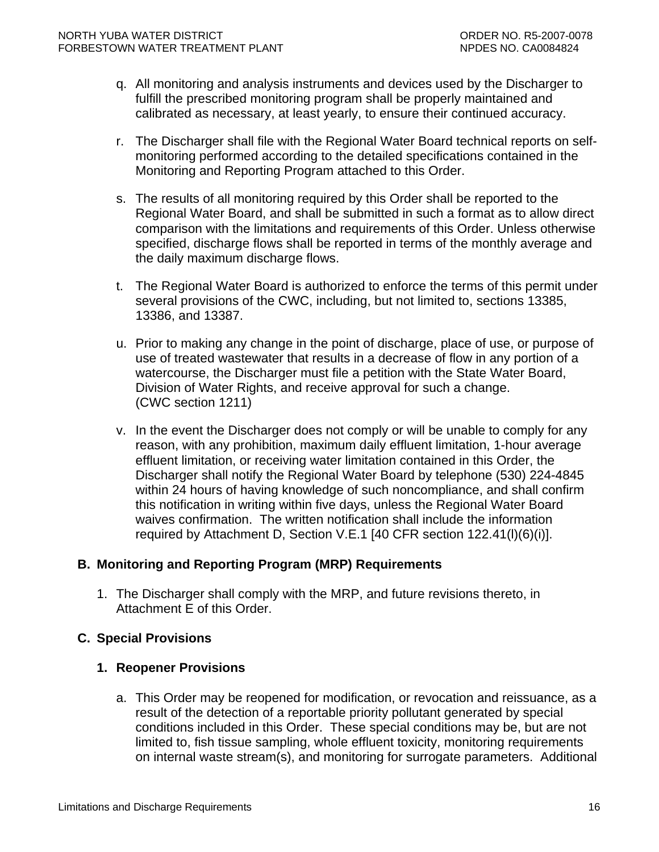- <span id="page-17-0"></span>q. All monitoring and analysis instruments and devices used by the Discharger to fulfill the prescribed monitoring program shall be properly maintained and calibrated as necessary, at least yearly, to ensure their continued accuracy.
- r. The Discharger shall file with the Regional Water Board technical reports on selfmonitoring performed according to the detailed specifications contained in the Monitoring and Reporting Program attached to this Order.
- s. The results of all monitoring required by this Order shall be reported to the Regional Water Board, and shall be submitted in such a format as to allow direct comparison with the limitations and requirements of this Order. Unless otherwise specified, discharge flows shall be reported in terms of the monthly average and the daily maximum discharge flows.
- t. The Regional Water Board is authorized to enforce the terms of this permit under several provisions of the CWC, including, but not limited to, sections 13385, 13386, and 13387.
- u. Prior to making any change in the point of discharge, place of use, or purpose of use of treated wastewater that results in a decrease of flow in any portion of a watercourse, the Discharger must file a petition with the State Water Board, Division of Water Rights, and receive approval for such a change. (CWC section 1211)
- v. In the event the Discharger does not comply or will be unable to comply for any reason, with any prohibition, maximum daily effluent limitation, 1-hour average effluent limitation, or receiving water limitation contained in this Order, the Discharger shall notify the Regional Water Board by telephone (530) 224-4845 within 24 hours of having knowledge of such noncompliance, and shall confirm this notification in writing within five days, unless the Regional Water Board waives confirmation. The written notification shall include the information required by [Attachment D, Section V.E.1](#page-0-0) [40 CFR section 122.41(l)(6)(i)].

## **B. Monitoring and Reporting Program (MRP) Requirements**

1. The Discharger shall comply with the MRP, and future revisions thereto, in Attachment E of this Order.

## **C. Special Provisions**

### **1. Reopener Provisions**

a. This Order may be reopened for modification, or revocation and reissuance, as a result of the detection of a reportable priority pollutant generated by special conditions included in this Order. These special conditions may be, but are not limited to, fish tissue sampling, whole effluent toxicity, monitoring requirements on internal waste stream(s), and monitoring for surrogate parameters. Additional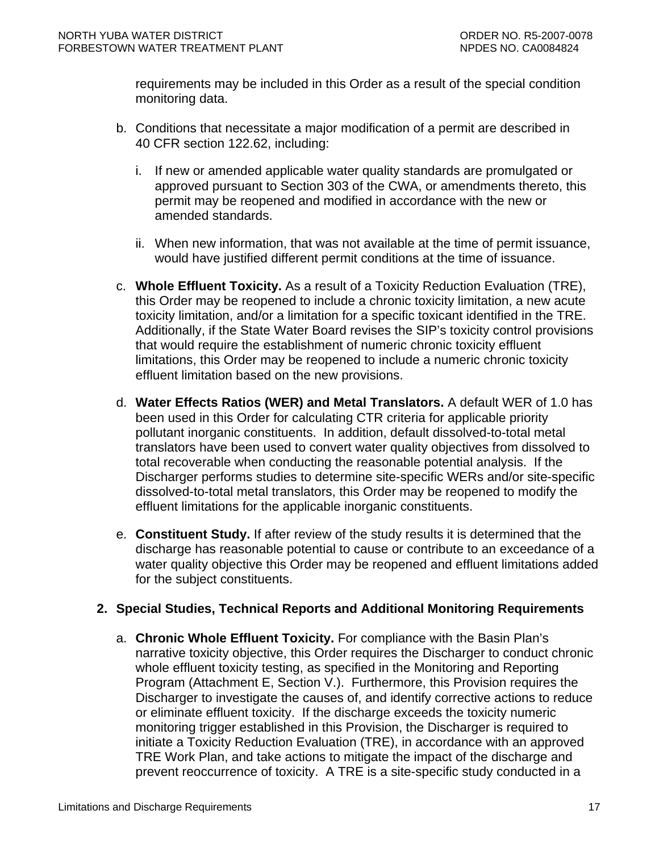<span id="page-18-0"></span>requirements may be included in this Order as a result of the special condition monitoring data.

- b. Conditions that necessitate a major modification of a permit are described in 40 CFR section 122.62, including:
	- i. If new or amended applicable water quality standards are promulgated or approved pursuant to Section 303 of the CWA, or amendments thereto, this permit may be reopened and modified in accordance with the new or amended standards.
	- ii. When new information, that was not available at the time of permit issuance, would have justified different permit conditions at the time of issuance.
- c. **Whole Effluent Toxicity.** As a result of a Toxicity Reduction Evaluation (TRE), this Order may be reopened to include a chronic toxicity limitation, a new acute toxicity limitation, and/or a limitation for a specific toxicant identified in the TRE. Additionally, if the State Water Board revises the SIP's toxicity control provisions that would require the establishment of numeric chronic toxicity effluent limitations, this Order may be reopened to include a numeric chronic toxicity effluent limitation based on the new provisions.
- d. **Water Effects Ratios (WER) and Metal Translators.** A default WER of 1.0 has been used in this Order for calculating CTR criteria for applicable priority pollutant inorganic constituents.In addition, default dissolved-to-total metal translators have been used to convert water quality objectives from dissolved to total recoverable when conducting the reasonable potential analysis. If the Discharger performs studies to determine site-specific WERs and/or site-specific dissolved-to-total metal translators, this Order may be reopened to modify the effluent limitations for the applicable inorganic constituents.
- e. **Constituent Study.** If after review of the study results it is determined that the discharge has reasonable potential to cause or contribute to an exceedance of a water quality objective this Order may be reopened and effluent limitations added for the subject constituents.

## **2. Special Studies, Technical Reports and Additional Monitoring Requirements**

a. **Chronic Whole Effluent Toxicity.** For compliance with the Basin Plan's narrative toxicity objective, this Order requires the Discharger to conduct chronic whole effluent toxicity testing, as specified in the Monitoring and Reporting Program (Attachment E, Section V.). Furthermore, this Provision requires the Discharger to investigate the causes of, and identify corrective actions to reduce or eliminate effluent toxicity. If the discharge exceeds the toxicity numeric monitoring trigger established in this Provision, the Discharger is required to initiate a Toxicity Reduction Evaluation (TRE), in accordance with an approved TRE Work Plan, and take actions to mitigate the impact of the discharge and prevent reoccurrence of toxicity. A TRE is a site-specific study conducted in a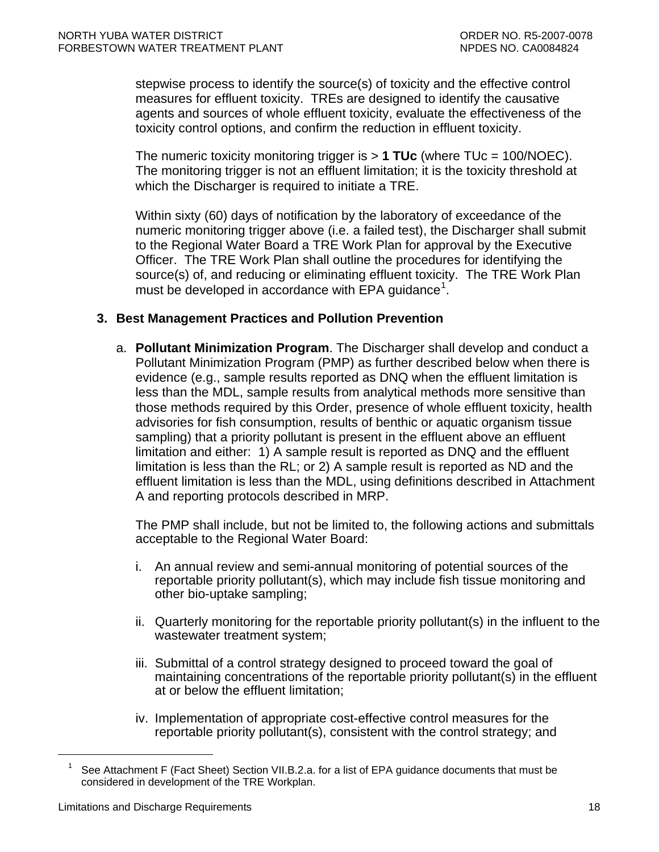<span id="page-19-0"></span>stepwise process to identify the source(s) of toxicity and the effective control measures for effluent toxicity. TREs are designed to identify the causative agents and sources of whole effluent toxicity, evaluate the effectiveness of the toxicity control options, and confirm the reduction in effluent toxicity.

The numeric toxicity monitoring trigger is > **1 TUc** (where TUc = 100/NOEC). The monitoring trigger is not an effluent limitation; it is the toxicity threshold at which the Discharger is required to initiate a TRE.

Within sixty (60) days of notification by the laboratory of exceedance of the numeric monitoring trigger above (i.e. a failed test), the Discharger shall submit to the Regional Water Board a TRE Work Plan for approval by the Executive Officer. The TRE Work Plan shall outline the procedures for identifying the source(s) of, and reducing or eliminating effluent toxicity. The TRE Work Plan must be developed in accordance with EPA guidance<sup>[1](#page-19-1)</sup>.

### **3. Best Management Practices and Pollution Prevention**

a. **Pollutant Minimization Program**. The Discharger shall develop and conduct a Pollutant Minimization Program (PMP) as further described below when there is evidence (e.g., sample results reported as DNQ when the effluent limitation is less than the MDL, sample results from analytical methods more sensitive than those methods required by this Order, presence of whole effluent toxicity, health advisories for fish consumption, results of benthic or aquatic organism tissue sampling) that a priority pollutant is present in the effluent above an effluent limitation and either: 1) A sample result is reported as DNQ and the effluent limitation is less than the RL; or 2) A sample result is reported as ND and the effluent limitation is less than the MDL, using definitions described in Attachment A and reporting protocols described in MRP.

The PMP shall include, but not be limited to, the following actions and submittals acceptable to the Regional Water Board:

- i. An annual review and semi-annual monitoring of potential sources of the reportable priority pollutant(s), which may include fish tissue monitoring and other bio-uptake sampling;
- ii. Quarterly monitoring for the reportable priority pollutant(s) in the influent to the wastewater treatment system;
- iii. Submittal of a control strategy designed to proceed toward the goal of maintaining concentrations of the reportable priority pollutant(s) in the effluent at or below the effluent limitation;
- iv. Implementation of appropriate cost-effective control measures for the reportable priority pollutant(s), consistent with the control strategy; and

<span id="page-19-1"></span> $\overline{a}$ 

See Attachment F (Fact Sheet) Section VII.B.2.a. for a list of EPA guidance documents that must be considered in development of the TRE Workplan.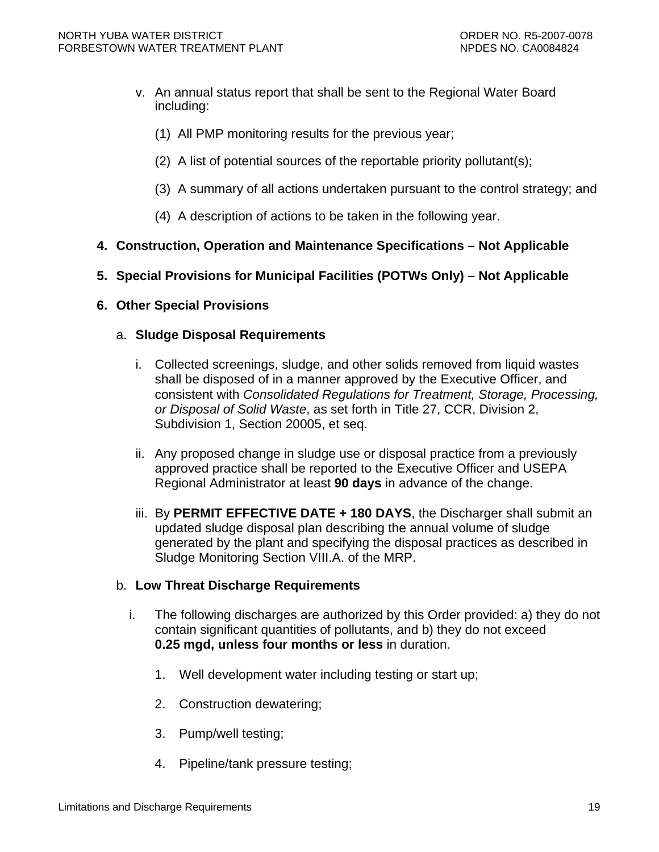- <span id="page-20-0"></span>v. An annual status report that shall be sent to the Regional Water Board including:
	- (1) All PMP monitoring results for the previous year;
	- (2) A list of potential sources of the reportable priority pollutant(s);
	- (3) A summary of all actions undertaken pursuant to the control strategy; and
	- (4) A description of actions to be taken in the following year.
- **4. Construction, Operation and Maintenance Specifications Not Applicable**

### **5. Special Provisions for Municipal Facilities (POTWs Only) – Not Applicable**

**6. Other Special Provisions** 

### a. **Sludge Disposal Requirements**

- i. Collected screenings, sludge, and other solids removed from liquid wastes shall be disposed of in a manner approved by the Executive Officer, and consistent with *Consolidated Regulations for Treatment, Storage, Processing, or Disposal of Solid Waste*, as set forth in Title 27, CCR, Division 2, Subdivision 1, Section 20005, et seq.
- ii. Any proposed change in sludge use or disposal practice from a previously approved practice shall be reported to the Executive Officer and USEPA Regional Administrator at least **90 days** in advance of the change.
- iii. By **PERMIT EFFECTIVE DATE + 180 DAYS**, the Discharger shall submit an updated sludge disposal plan describing the annual volume of sludge generated by the plant and specifying the disposal practices as described in Sludge Monitoring Section VIII.A. of the MRP.

### b. **Low Threat Discharge Requirements**

- i. The following discharges are authorized by this Order provided: a) they do not contain significant quantities of pollutants, and b) they do not exceed **0.25 mgd, unless four months or less** in duration.
	- 1. Well development water including testing or start up;
	- 2. Construction dewatering;
	- 3. Pump/well testing;
	- 4. Pipeline/tank pressure testing;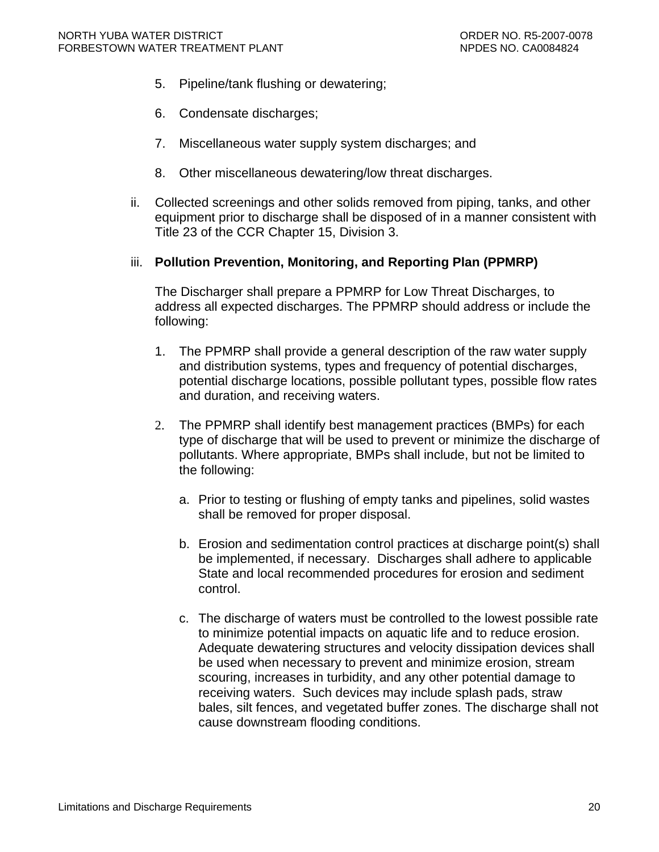- 5. Pipeline/tank flushing or dewatering;
- 6. Condensate discharges;
- 7. Miscellaneous water supply system discharges; and
- 8. Other miscellaneous dewatering/low threat discharges.
- ii. Collected screenings and other solids removed from piping, tanks, and other equipment prior to discharge shall be disposed of in a manner consistent with Title 23 of the CCR Chapter 15, Division 3.

#### iii. **Pollution Prevention, Monitoring, and Reporting Plan (PPMRP)**

The Discharger shall prepare a PPMRP for Low Threat Discharges, to address all expected discharges. The PPMRP should address or include the following:

- 1. The PPMRP shall provide a general description of the raw water supply and distribution systems, types and frequency of potential discharges, potential discharge locations, possible pollutant types, possible flow rates and duration, and receiving waters.
- 2. The PPMRP shall identify best management practices (BMPs) for each type of discharge that will be used to prevent or minimize the discharge of pollutants. Where appropriate, BMPs shall include, but not be limited to the following:
	- a. Prior to testing or flushing of empty tanks and pipelines, solid wastes shall be removed for proper disposal.
	- b. Erosion and sedimentation control practices at discharge point(s) shall be implemented, if necessary. Discharges shall adhere to applicable State and local recommended procedures for erosion and sediment control.
	- c. The discharge of waters must be controlled to the lowest possible rate to minimize potential impacts on aquatic life and to reduce erosion. Adequate dewatering structures and velocity dissipation devices shall be used when necessary to prevent and minimize erosion, stream scouring, increases in turbidity, and any other potential damage to receiving waters. Such devices may include splash pads, straw bales, silt fences, and vegetated buffer zones. The discharge shall not cause downstream flooding conditions.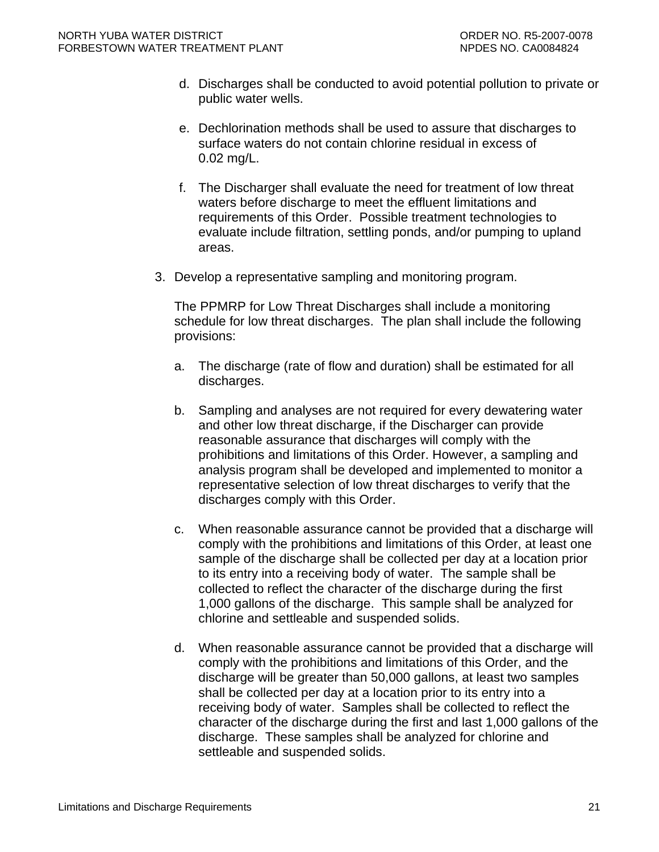- d. Discharges shall be conducted to avoid potential pollution to private or public water wells.
- e. Dechlorination methods shall be used to assure that discharges to surface waters do not contain chlorine residual in excess of 0.02 mg/L.
- f. The Discharger shall evaluate the need for treatment of low threat waters before discharge to meet the effluent limitations and requirements of this Order. Possible treatment technologies to evaluate include filtration, settling ponds, and/or pumping to upland areas.
- 3. Develop a representative sampling and monitoring program.

The PPMRP for Low Threat Discharges shall include a monitoring schedule for low threat discharges. The plan shall include the following provisions:

- a. The discharge (rate of flow and duration) shall be estimated for all discharges.
- b. Sampling and analyses are not required for every dewatering water and other low threat discharge, if the Discharger can provide reasonable assurance that discharges will comply with the prohibitions and limitations of this Order. However, a sampling and analysis program shall be developed and implemented to monitor a representative selection of low threat discharges to verify that the discharges comply with this Order.
- c. When reasonable assurance cannot be provided that a discharge will comply with the prohibitions and limitations of this Order, at least one sample of the discharge shall be collected per day at a location prior to its entry into a receiving body of water. The sample shall be collected to reflect the character of the discharge during the first 1,000 gallons of the discharge. This sample shall be analyzed for chlorine and settleable and suspended solids.
- d. When reasonable assurance cannot be provided that a discharge will comply with the prohibitions and limitations of this Order, and the discharge will be greater than 50,000 gallons, at least two samples shall be collected per day at a location prior to its entry into a receiving body of water. Samples shall be collected to reflect the character of the discharge during the first and last 1,000 gallons of the discharge. These samples shall be analyzed for chlorine and settleable and suspended solids.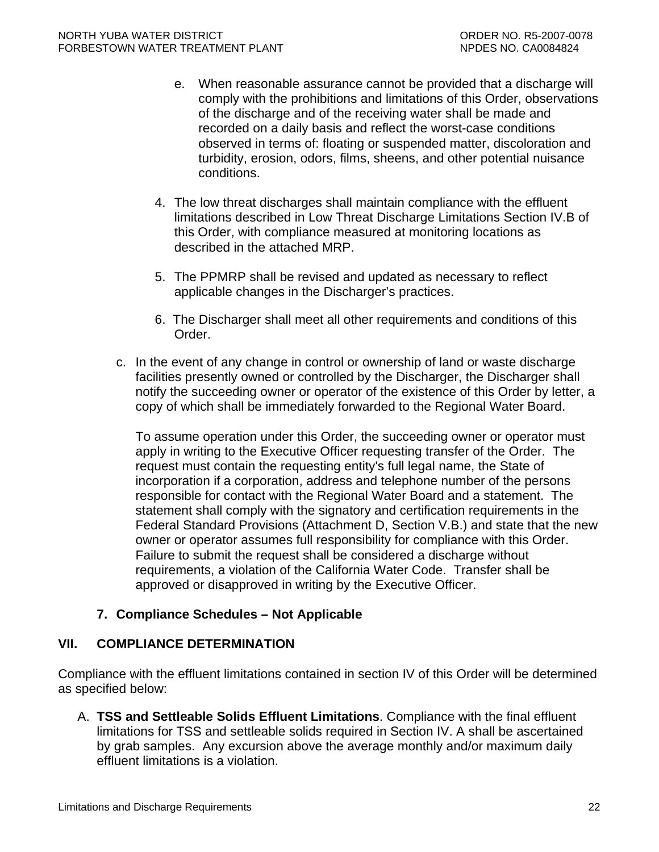- <span id="page-23-0"></span>e. When reasonable assurance cannot be provided that a discharge will comply with the prohibitions and limitations of this Order, observations of the discharge and of the receiving water shall be made and recorded on a daily basis and reflect the worst-case conditions observed in terms of: floating or suspended matter, discoloration and turbidity, erosion, odors, films, sheens, and other potential nuisance conditions.
- 4. The low threat discharges shall maintain compliance with the effluent limitations described in Low Threat Discharge Limitations Section IV.B of this Order, with compliance measured at monitoring locations as described in the attached MRP.
- 5. The PPMRP shall be revised and updated as necessary to reflect applicable changes in the Discharger's practices.
- 6. The Discharger shall meet all other requirements and conditions of this Order.
- c. In the event of any change in control or ownership of land or waste discharge facilities presently owned or controlled by the Discharger, the Discharger shall notify the succeeding owner or operator of the existence of this Order by letter, a copy of which shall be immediately forwarded to the Regional Water Board.

To assume operation under this Order, the succeeding owner or operator must apply in writing to the Executive Officer requesting transfer of the Order. The request must contain the requesting entity's full legal name, the State of incorporation if a corporation, address and telephone number of the persons responsible for contact with the Regional Water Board and a statement. The statement shall comply with the signatory and certification requirements in the Federal Standard Provisions (Attachment D, Section V.B.) and state that the new owner or operator assumes full responsibility for compliance with this Order. Failure to submit the request shall be considered a discharge without requirements, a violation of the California Water Code. Transfer shall be approved or disapproved in writing by the Executive Officer.

## **7. Compliance Schedules – Not Applicable**

## **VII. COMPLIANCE DETERMINATION**

Compliance with the effluent limitations contained in section IV of this Order will be determined as specified below:

A. **TSS and Settleable Solids Effluent Limitations**. Compliance with the final effluent limitations for TSS and settleable solids required in Section IV. A shall be ascertained by grab samples. Any excursion above the average monthly and/or maximum daily effluent limitations is a violation.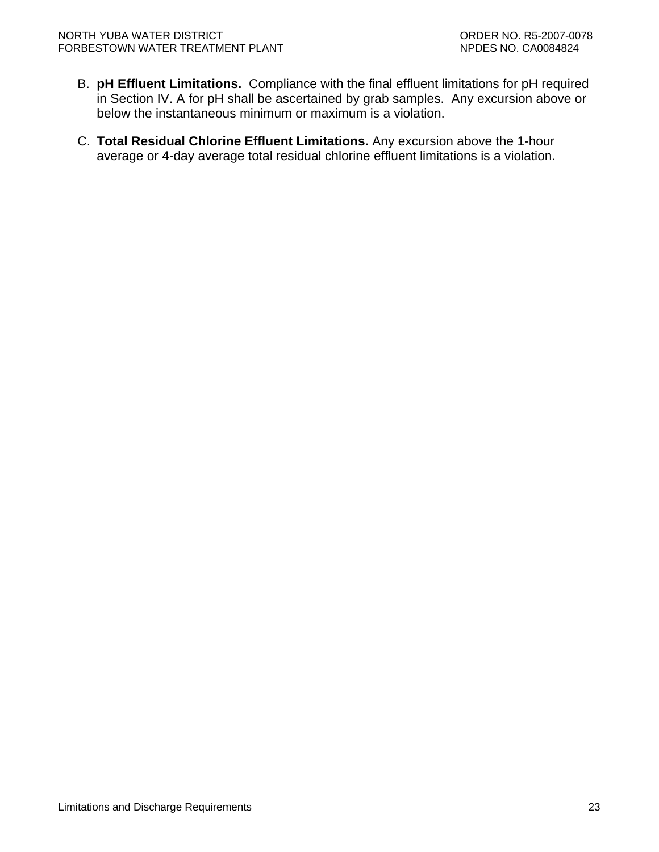- B. **pH Effluent Limitations.** Compliance with the final effluent limitations for pH required in Section IV. A for pH shall be ascertained by grab samples. Any excursion above or below the instantaneous minimum or maximum is a violation.
- C. **Total Residual Chlorine Effluent Limitations.** Any excursion above the 1-hour average or 4-day average total residual chlorine effluent limitations is a violation.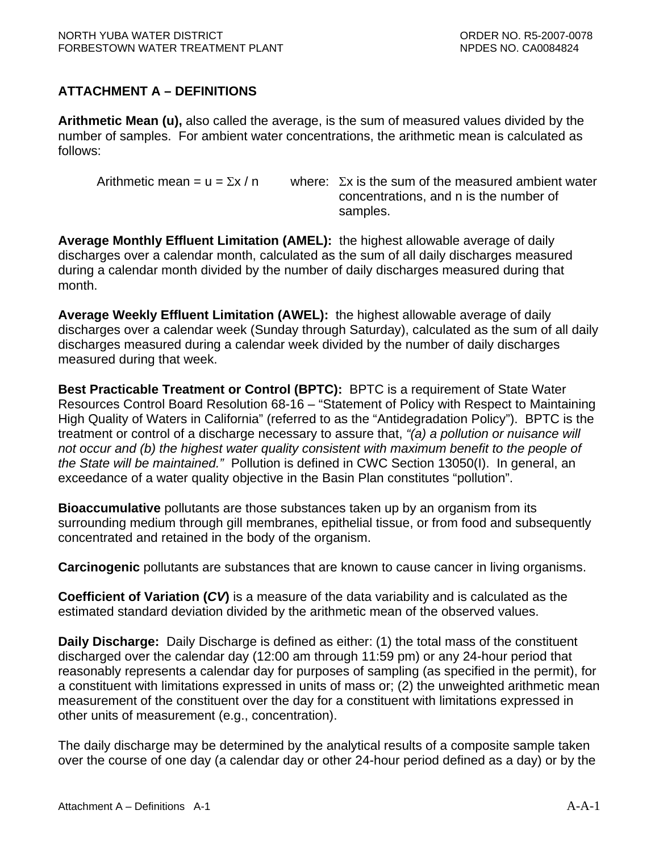## <span id="page-25-0"></span>**ATTACHMENT A – DEFINITIONS**

**Arithmetic Mean (u),** also called the average, is the sum of measured values divided by the number of samples. For ambient water concentrations, the arithmetic mean is calculated as follows:

Arithmetic mean = u =  $\Sigma x / n$  where:  $\Sigma x$  is the sum of the measured ambient water concentrations, and n is the number of samples.

**Average Monthly Effluent Limitation (AMEL):** the highest allowable average of daily discharges over a calendar month, calculated as the sum of all daily discharges measured during a calendar month divided by the number of daily discharges measured during that month.

**Average Weekly Effluent Limitation (AWEL):** the highest allowable average of daily discharges over a calendar week (Sunday through Saturday), calculated as the sum of all daily discharges measured during a calendar week divided by the number of daily discharges measured during that week.

**Best Practicable Treatment or Control (BPTC):** BPTC is a requirement of State Water Resources Control Board Resolution 68-16 – "Statement of Policy with Respect to Maintaining High Quality of Waters in California" (referred to as the "Antidegradation Policy"). BPTC is the treatment or control of a discharge necessary to assure that, *"(a) a pollution or nuisance will not occur and (b) the highest water quality consistent with maximum benefit to the people of the State will be maintained."* Pollution is defined in CWC Section 13050(I). In general, an exceedance of a water quality objective in the Basin Plan constitutes "pollution".

**Bioaccumulative** pollutants are those substances taken up by an organism from its surrounding medium through gill membranes, epithelial tissue, or from food and subsequently concentrated and retained in the body of the organism.

**Carcinogenic** pollutants are substances that are known to cause cancer in living organisms.

**Coefficient of Variation (***CV***)** is a measure of the data variability and is calculated as the estimated standard deviation divided by the arithmetic mean of the observed values.

**Daily Discharge:** Daily Discharge is defined as either: (1) the total mass of the constituent discharged over the calendar day (12:00 am through 11:59 pm) or any 24-hour period that reasonably represents a calendar day for purposes of sampling (as specified in the permit), for a constituent with limitations expressed in units of mass or; (2) the unweighted arithmetic mean measurement of the constituent over the day for a constituent with limitations expressed in other units of measurement (e.g., concentration).

The daily discharge may be determined by the analytical results of a composite sample taken over the course of one day (a calendar day or other 24-hour period defined as a day) or by the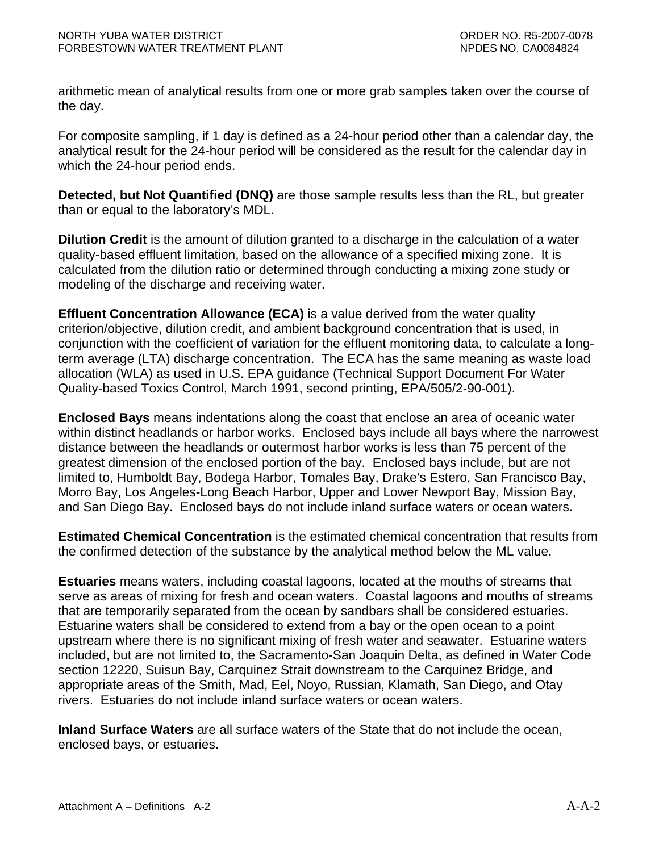arithmetic mean of analytical results from one or more grab samples taken over the course of the day.

For composite sampling, if 1 day is defined as a 24-hour period other than a calendar day, the analytical result for the 24-hour period will be considered as the result for the calendar day in which the 24-hour period ends.

**Detected, but Not Quantified (DNQ)** are those sample results less than the RL, but greater than or equal to the laboratory's MDL.

**Dilution Credit** is the amount of dilution granted to a discharge in the calculation of a water quality-based effluent limitation, based on the allowance of a specified mixing zone. It is calculated from the dilution ratio or determined through conducting a mixing zone study or modeling of the discharge and receiving water.

**Effluent Concentration Allowance (ECA)** is a value derived from the water quality criterion/objective, dilution credit, and ambient background concentration that is used, in conjunction with the coefficient of variation for the effluent monitoring data, to calculate a longterm average (LTA) discharge concentration. The ECA has the same meaning as waste load allocation (WLA) as used in U.S. EPA guidance (Technical Support Document For Water Quality-based Toxics Control, March 1991, second printing, EPA/505/2-90-001).

**Enclosed Bays** means indentations along the coast that enclose an area of oceanic water within distinct headlands or harbor works. Enclosed bays include all bays where the narrowest distance between the headlands or outermost harbor works is less than 75 percent of the greatest dimension of the enclosed portion of the bay. Enclosed bays include, but are not limited to, Humboldt Bay, Bodega Harbor, Tomales Bay, Drake's Estero, San Francisco Bay, Morro Bay, Los Angeles-Long Beach Harbor, Upper and Lower Newport Bay, Mission Bay, and San Diego Bay. Enclosed bays do not include inland surface waters or ocean waters.

**Estimated Chemical Concentration** is the estimated chemical concentration that results from the confirmed detection of the substance by the analytical method below the ML value.

**Estuaries** means waters, including coastal lagoons, located at the mouths of streams that serve as areas of mixing for fresh and ocean waters. Coastal lagoons and mouths of streams that are temporarily separated from the ocean by sandbars shall be considered estuaries. Estuarine waters shall be considered to extend from a bay or the open ocean to a point upstream where there is no significant mixing of fresh water and seawater. Estuarine waters included, but are not limited to, the Sacramento-San Joaquin Delta, as defined in Water Code section 12220, Suisun Bay, Carquinez Strait downstream to the Carquinez Bridge, and appropriate areas of the Smith, Mad, Eel, Noyo, Russian, Klamath, San Diego, and Otay rivers. Estuaries do not include inland surface waters or ocean waters.

**Inland Surface Waters** are all surface waters of the State that do not include the ocean, enclosed bays, or estuaries.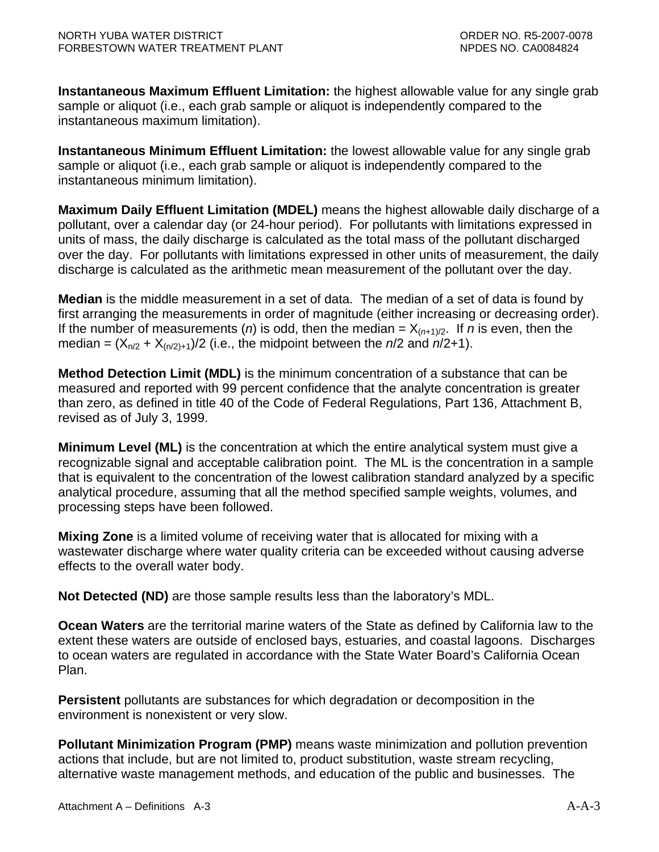**Instantaneous Maximum Effluent Limitation:** the highest allowable value for any single grab sample or aliquot (i.e., each grab sample or aliquot is independently compared to the instantaneous maximum limitation).

**Instantaneous Minimum Effluent Limitation:** the lowest allowable value for any single grab sample or aliquot (i.e., each grab sample or aliquot is independently compared to the instantaneous minimum limitation).

**Maximum Daily Effluent Limitation (MDEL)** means the highest allowable daily discharge of a pollutant, over a calendar day (or 24-hour period). For pollutants with limitations expressed in units of mass, the daily discharge is calculated as the total mass of the pollutant discharged over the day. For pollutants with limitations expressed in other units of measurement, the daily discharge is calculated as the arithmetic mean measurement of the pollutant over the day.

**Median** is the middle measurement in a set of data. The median of a set of data is found by first arranging the measurements in order of magnitude (either increasing or decreasing order). If the number of measurements (*n*) is odd, then the median =  $X_{(n+1)/2}$ . If *n* is even, then the median =  $(X_{n/2} + X_{n/2+1})/2$  (i.e., the midpoint between the  $n/2$  and  $n/2+1$ ).

**Method Detection Limit (MDL)** is the minimum concentration of a substance that can be measured and reported with 99 percent confidence that the analyte concentration is greater than zero, as defined in title 40 of the Code of Federal Regulations, Part 136, Attachment B, revised as of July 3, 1999.

**Minimum Level (ML)** is the concentration at which the entire analytical system must give a recognizable signal and acceptable calibration point. The ML is the concentration in a sample that is equivalent to the concentration of the lowest calibration standard analyzed by a specific analytical procedure, assuming that all the method specified sample weights, volumes, and processing steps have been followed.

**Mixing Zone** is a limited volume of receiving water that is allocated for mixing with a wastewater discharge where water quality criteria can be exceeded without causing adverse effects to the overall water body.

**Not Detected (ND)** are those sample results less than the laboratory's MDL.

**Ocean Waters** are the territorial marine waters of the State as defined by California law to the extent these waters are outside of enclosed bays, estuaries, and coastal lagoons. Discharges to ocean waters are regulated in accordance with the State Water Board's California Ocean Plan.

**Persistent** pollutants are substances for which degradation or decomposition in the environment is nonexistent or very slow.

**Pollutant Minimization Program (PMP)** means waste minimization and pollution prevention actions that include, but are not limited to, product substitution, waste stream recycling, alternative waste management methods, and education of the public and businesses. The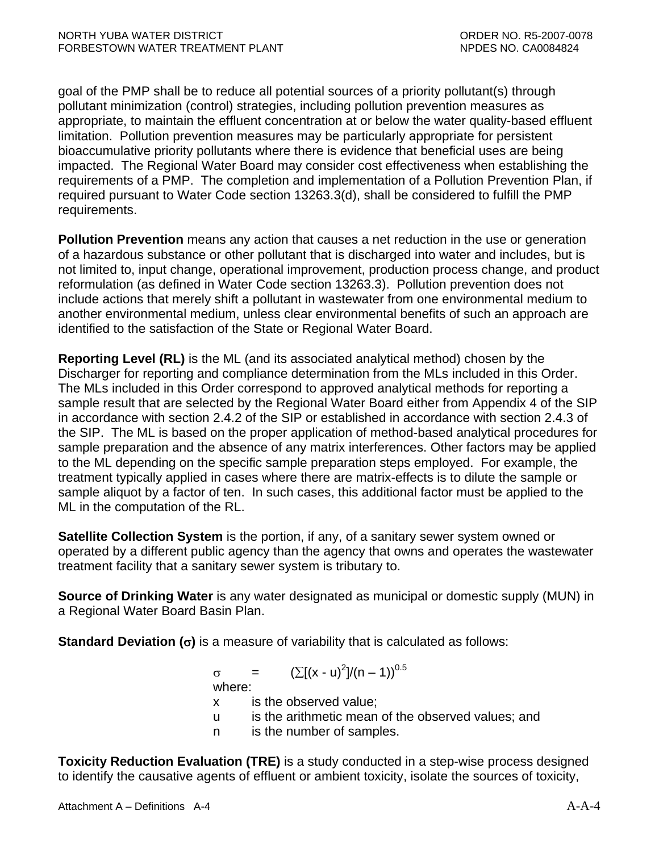goal of the PMP shall be to reduce all potential sources of a priority pollutant(s) through pollutant minimization (control) strategies, including pollution prevention measures as appropriate, to maintain the effluent concentration at or below the water quality-based effluent limitation. Pollution prevention measures may be particularly appropriate for persistent bioaccumulative priority pollutants where there is evidence that beneficial uses are being impacted. The Regional Water Board may consider cost effectiveness when establishing the requirements of a PMP. The completion and implementation of a Pollution Prevention Plan, if required pursuant to Water Code section 13263.3(d), shall be considered to fulfill the PMP requirements.

**Pollution Prevention** means any action that causes a net reduction in the use or generation of a hazardous substance or other pollutant that is discharged into water and includes, but is not limited to, input change, operational improvement, production process change, and product reformulation (as defined in Water Code section 13263.3). Pollution prevention does not include actions that merely shift a pollutant in wastewater from one environmental medium to another environmental medium, unless clear environmental benefits of such an approach are identified to the satisfaction of the State or Regional Water Board.

**Reporting Level (RL)** is the ML (and its associated analytical method) chosen by the Discharger for reporting and compliance determination from the MLs included in this Order. The MLs included in this Order correspond to approved analytical methods for reporting a sample result that are selected by the Regional Water Board either from Appendix 4 of the SIP in accordance with section 2.4.2 of the SIP or established in accordance with section 2.4.3 of the SIP. The ML is based on the proper application of method-based analytical procedures for sample preparation and the absence of any matrix interferences. Other factors may be applied to the ML depending on the specific sample preparation steps employed. For example, the treatment typically applied in cases where there are matrix-effects is to dilute the sample or sample aliquot by a factor of ten. In such cases, this additional factor must be applied to the ML in the computation of the RL.

**Satellite Collection System** is the portion, if any, of a sanitary sewer system owned or operated by a different public agency than the agency that owns and operates the wastewater treatment facility that a sanitary sewer system is tributary to.

**Source of Drinking Water** is any water designated as municipal or domestic supply (MUN) in a Regional Water Board Basin Plan.

**Standard Deviation (**σ**)** is a measure of variability that is calculated as follows:

 $\sigma = (\sum [(x - u)^2]/(n - 1))^{0.5}$ 

where:

- x is the observed value;
- u is the arithmetic mean of the observed values; and
- n is the number of samples.

**Toxicity Reduction Evaluation (TRE)** is a study conducted in a step-wise process designed to identify the causative agents of effluent or ambient toxicity, isolate the sources of toxicity,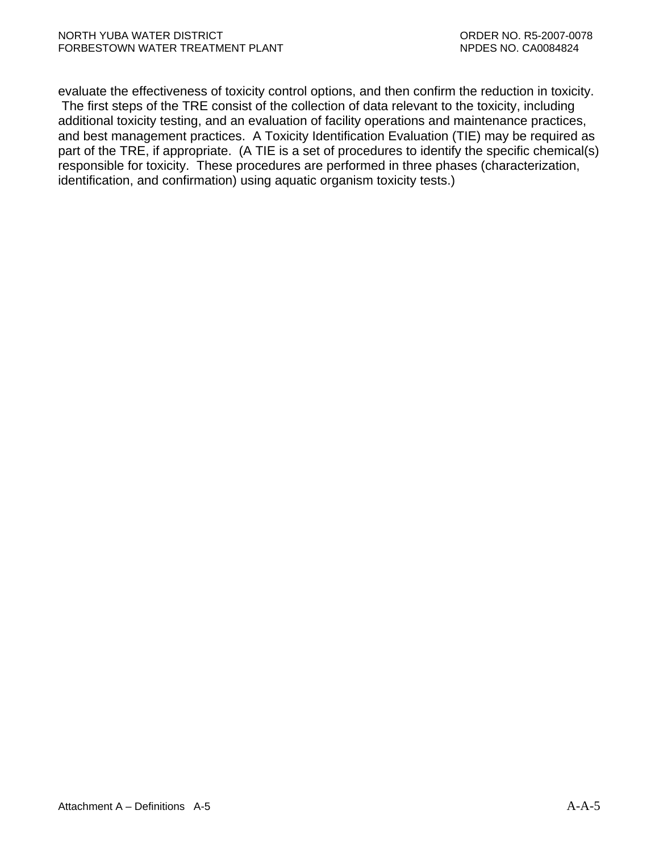evaluate the effectiveness of toxicity control options, and then confirm the reduction in toxicity. The first steps of the TRE consist of the collection of data relevant to the toxicity, including additional toxicity testing, and an evaluation of facility operations and maintenance practices, and best management practices. A Toxicity Identification Evaluation (TIE) may be required as part of the TRE, if appropriate. (A TIE is a set of procedures to identify the specific chemical(s) responsible for toxicity. These procedures are performed in three phases (characterization, identification, and confirmation) using aquatic organism toxicity tests.)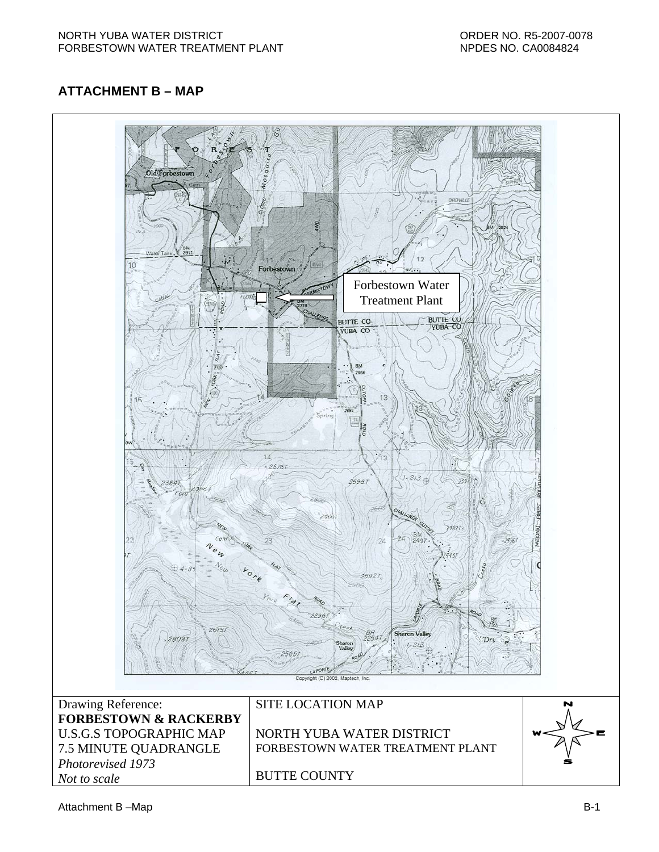## <span id="page-30-0"></span>**ATTACHMENT B – MAP**

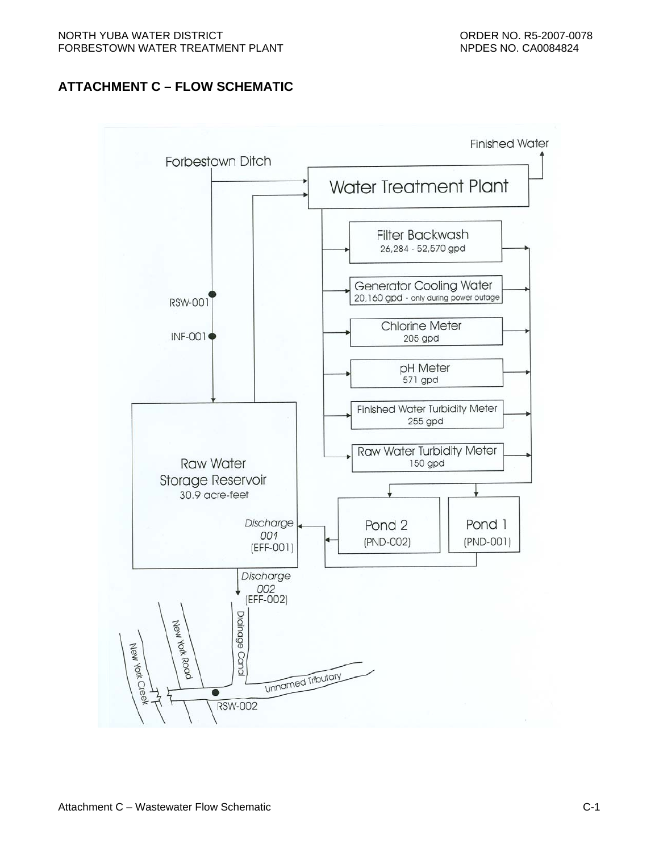## <span id="page-31-0"></span>**ATTACHMENT C – FLOW SCHEMATIC**

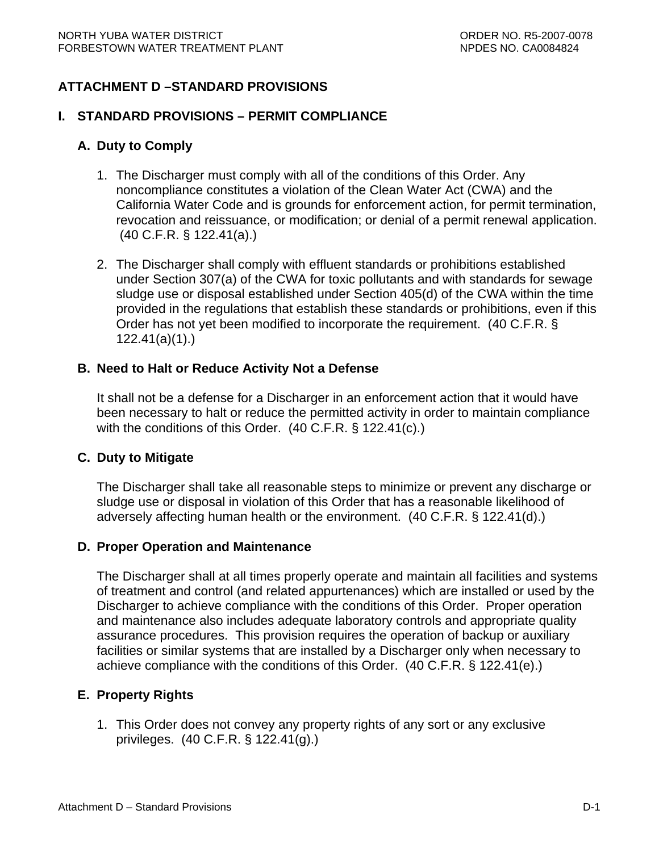## <span id="page-32-0"></span>**ATTACHMENT D –STANDARD PROVISIONS**

#### **I. STANDARD PROVISIONS – PERMIT COMPLIANCE**

#### **A. Duty to Comply**

- 1. The Discharger must comply with all of the conditions of this Order. Any noncompliance constitutes a violation of the Clean Water Act (CWA) and the California Water Code and is grounds for enforcement action, for permit termination, revocation and reissuance, or modification; or denial of a permit renewal application. (40 C.F.R. § 122.41(a).)
- 2. The Discharger shall comply with effluent standards or prohibitions established under Section 307(a) of the CWA for toxic pollutants and with standards for sewage sludge use or disposal established under Section 405(d) of the CWA within the time provided in the regulations that establish these standards or prohibitions, even if this Order has not yet been modified to incorporate the requirement. (40 C.F.R. § 122.41(a)(1).)

#### **B. Need to Halt or Reduce Activity Not a Defense**

It shall not be a defense for a Discharger in an enforcement action that it would have been necessary to halt or reduce the permitted activity in order to maintain compliance with the conditions of this Order. (40 C.F.R. § 122.41(c).)

#### **C. Duty to Mitigate**

The Discharger shall take all reasonable steps to minimize or prevent any discharge or sludge use or disposal in violation of this Order that has a reasonable likelihood of adversely affecting human health or the environment. (40 C.F.R. § 122.41(d).)

#### **D. Proper Operation and Maintenance**

The Discharger shall at all times properly operate and maintain all facilities and systems of treatment and control (and related appurtenances) which are installed or used by the Discharger to achieve compliance with the conditions of this Order. Proper operation and maintenance also includes adequate laboratory controls and appropriate quality assurance procedures. This provision requires the operation of backup or auxiliary facilities or similar systems that are installed by a Discharger only when necessary to achieve compliance with the conditions of this Order. (40 C.F.R. § 122.41(e).)

### **E. Property Rights**

1. This Order does not convey any property rights of any sort or any exclusive privileges. (40 C.F.R. § 122.41(g).)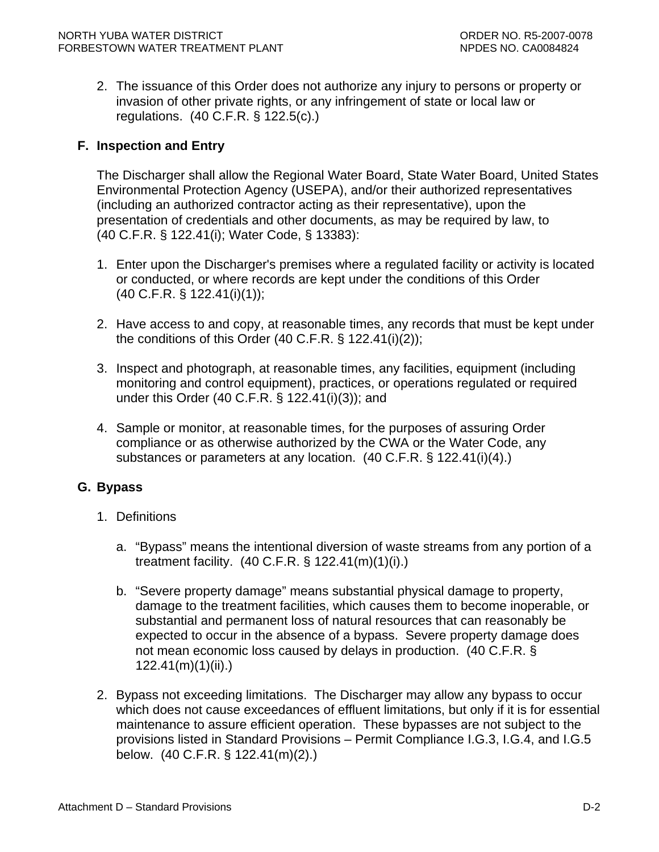<span id="page-33-0"></span>2. The issuance of this Order does not authorize any injury to persons or property or invasion of other private rights, or any infringement of state or local law or regulations. (40 C.F.R. § 122.5(c).)

### **F. Inspection and Entry**

The Discharger shall allow the Regional Water Board, State Water Board, United States Environmental Protection Agency (USEPA), and/or their authorized representatives (including an authorized contractor acting as their representative), upon the presentation of credentials and other documents, as may be required by law, to (40 C.F.R. § 122.41(i); Water Code, § 13383):

- 1. Enter upon the Discharger's premises where a regulated facility or activity is located or conducted, or where records are kept under the conditions of this Order (40 C.F.R. § 122.41(i)(1));
- 2. Have access to and copy, at reasonable times, any records that must be kept under the conditions of this Order (40 C.F.R. § 122.41(i)(2));
- 3. Inspect and photograph, at reasonable times, any facilities, equipment (including monitoring and control equipment), practices, or operations regulated or required under this Order (40 C.F.R. § 122.41(i)(3)); and
- 4. Sample or monitor, at reasonable times, for the purposes of assuring Order compliance or as otherwise authorized by the CWA or the Water Code, any substances or parameters at any location. (40 C.F.R. § 122.41(i)(4).)

## **G. Bypass**

- 1. Definitions
	- a. "Bypass" means the intentional diversion of waste streams from any portion of a treatment facility. (40 C.F.R. § 122.41(m)(1)(i).)
	- b. "Severe property damage" means substantial physical damage to property, damage to the treatment facilities, which causes them to become inoperable, or substantial and permanent loss of natural resources that can reasonably be expected to occur in the absence of a bypass. Severe property damage does not mean economic loss caused by delays in production. (40 C.F.R. § 122.41(m)(1)(ii).)
- 2. Bypass not exceeding limitations. The Discharger may allow any bypass to occur which does not cause exceedances of effluent limitations, but only if it is for essential maintenance to assure efficient operation. These bypasses are not subject to the provisions listed in Standard Provisions – Permit Compliance I.G.3, I.G.4, and I.G.5 below. (40 C.F.R. § 122.41(m)(2).)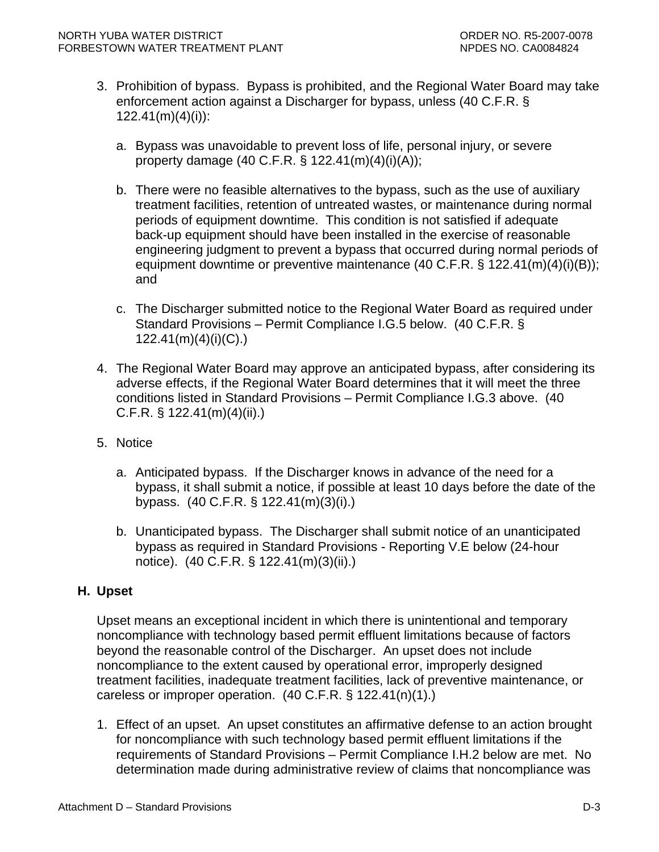- <span id="page-34-0"></span>3. Prohibition of bypass. Bypass is prohibited, and the Regional Water Board may take enforcement action against a Discharger for bypass, unless (40 C.F.R. § 122.41(m)(4)(i)):
	- a. Bypass was unavoidable to prevent loss of life, personal injury, or severe property damage  $(40 \text{ C.F.R.} \S 122.41(m)(4)(i)(A));$
	- b. There were no feasible alternatives to the bypass, such as the use of auxiliary treatment facilities, retention of untreated wastes, or maintenance during normal periods of equipment downtime. This condition is not satisfied if adequate back-up equipment should have been installed in the exercise of reasonable engineering judgment to prevent a bypass that occurred during normal periods of equipment downtime or preventive maintenance (40 C.F.R. § 122.41(m)(4)(i)(B)); and
	- c. The Discharger submitted notice to the Regional Water Board as required under Standard Provisions – Permit Compliance I.G.5 below. (40 C.F.R. § 122.41(m)(4)(i)(C).)
- 4. The Regional Water Board may approve an anticipated bypass, after considering its adverse effects, if the Regional Water Board determines that it will meet the three conditions listed in Standard Provisions – Permit Compliance I.G.3 above. (40 C.F.R. § 122.41(m)(4)(ii).)
- 5. Notice
	- a. Anticipated bypass. If the Discharger knows in advance of the need for a bypass, it shall submit a notice, if possible at least 10 days before the date of the bypass. (40 C.F.R. § 122.41(m)(3)(i).)
	- b. Unanticipated bypass. The Discharger shall submit notice of an unanticipated bypass as required in Standard Provisions - Reporting V.E below (24-hour notice). (40 C.F.R. § 122.41(m)(3)(ii).)

## **H. Upset**

Upset means an exceptional incident in which there is unintentional and temporary noncompliance with technology based permit effluent limitations because of factors beyond the reasonable control of the Discharger. An upset does not include noncompliance to the extent caused by operational error, improperly designed treatment facilities, inadequate treatment facilities, lack of preventive maintenance, or careless or improper operation. (40 C.F.R. § 122.41(n)(1).)

1. Effect of an upset. An upset constitutes an affirmative defense to an action brought for noncompliance with such technology based permit effluent limitations if the requirements of Standard Provisions – Permit Compliance I.H.2 below are met. No determination made during administrative review of claims that noncompliance was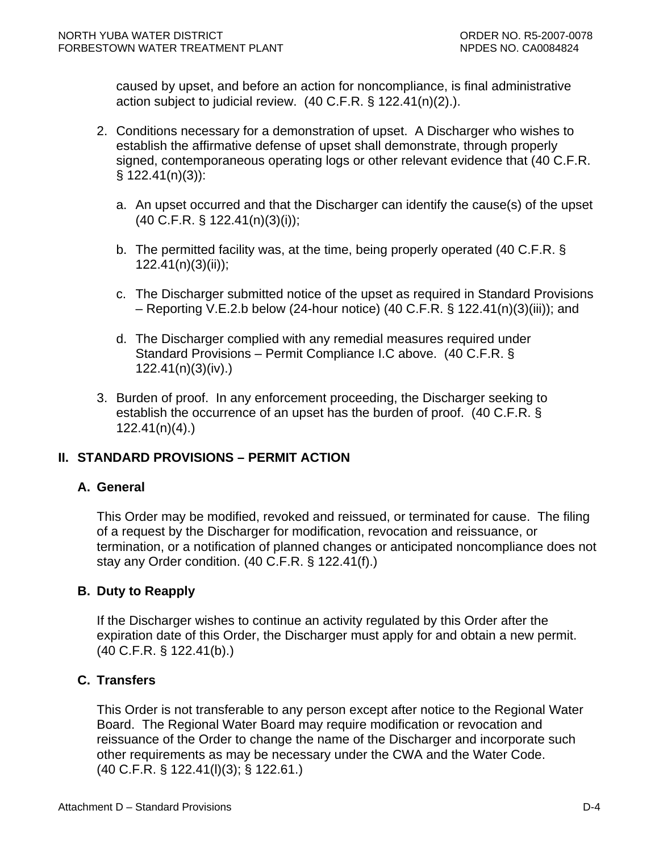caused by upset, and before an action for noncompliance, is final administrative action subject to judicial review. (40 C.F.R. § 122.41(n)(2).).

- 2. Conditions necessary for a demonstration of upset. A Discharger who wishes to establish the affirmative defense of upset shall demonstrate, through properly signed, contemporaneous operating logs or other relevant evidence that (40 C.F.R. § 122.41(n)(3)):
	- a. An upset occurred and that the Discharger can identify the cause(s) of the upset (40 C.F.R. § 122.41(n)(3)(i));
	- b. The permitted facility was, at the time, being properly operated (40 C.F.R. § 122.41(n)(3)(ii));
	- c. The Discharger submitted notice of the upset as required in Standard Provisions – Reporting V.E.2.b below (24-hour notice) (40 C.F.R. § 122.41(n)(3)(iii)); and
	- d. The Discharger complied with any remedial measures required under Standard Provisions – Permit Compliance I.C above. (40 C.F.R. § 122.41(n)(3)(iv).)
- 3. Burden of proof. In any enforcement proceeding, the Discharger seeking to establish the occurrence of an upset has the burden of proof. (40 C.F.R. § 122.41(n)(4).)

# **II. STANDARD PROVISIONS – PERMIT ACTION**

## **A. General**

This Order may be modified, revoked and reissued, or terminated for cause. The filing of a request by the Discharger for modification, revocation and reissuance, or termination, or a notification of planned changes or anticipated noncompliance does not stay any Order condition. (40 C.F.R. § 122.41(f).)

## **B. Duty to Reapply**

If the Discharger wishes to continue an activity regulated by this Order after the expiration date of this Order, the Discharger must apply for and obtain a new permit. (40 C.F.R. § 122.41(b).)

### **C. Transfers**

This Order is not transferable to any person except after notice to the Regional Water Board. The Regional Water Board may require modification or revocation and reissuance of the Order to change the name of the Discharger and incorporate such other requirements as may be necessary under the CWA and the Water Code. (40 C.F.R. § 122.41(l)(3); § 122.61.)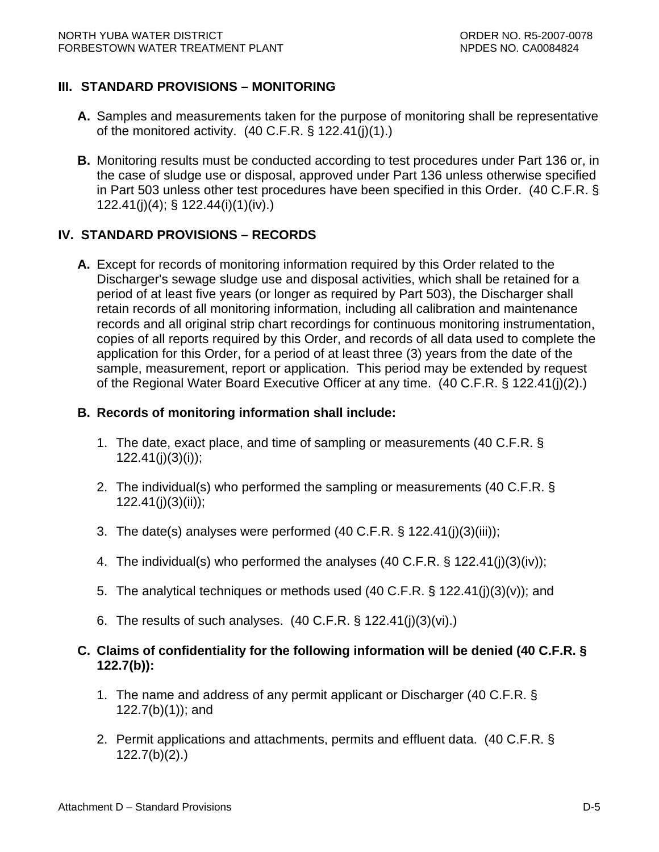# **III. STANDARD PROVISIONS – MONITORING**

- **A.** Samples and measurements taken for the purpose of monitoring shall be representative of the monitored activity.  $(40 \text{ C.F.R.} \S 122.41(i)(1))$ .
- **B.** Monitoring results must be conducted according to test procedures under Part 136 or, in the case of sludge use or disposal, approved under Part 136 unless otherwise specified in Part 503 unless other test procedures have been specified in this Order. (40 C.F.R. § 122.41(j)(4); § 122.44(i)(1)(iv).)

# **IV. STANDARD PROVISIONS – RECORDS**

**A.** Except for records of monitoring information required by this Order related to the Discharger's sewage sludge use and disposal activities, which shall be retained for a period of at least five years (or longer as required by Part 503), the Discharger shall retain records of all monitoring information, including all calibration and maintenance records and all original strip chart recordings for continuous monitoring instrumentation, copies of all reports required by this Order, and records of all data used to complete the application for this Order, for a period of at least three (3) years from the date of the sample, measurement, report or application. This period may be extended by request of the Regional Water Board Executive Officer at any time. (40 C.F.R. § 122.41(j)(2).)

# **B. Records of monitoring information shall include:**

- 1. The date, exact place, and time of sampling or measurements (40 C.F.R. §  $122.41(j)(3)(i)$ ;
- 2. The individual(s) who performed the sampling or measurements (40 C.F.R. § 122.41(j)(3)(ii));
- 3. The date(s) analyses were performed (40 C.F.R. § 122.41(j)(3)(iii));
- 4. The individual(s) who performed the analyses (40 C.F.R. § 122.41(j)(3)(iv));
- 5. The analytical techniques or methods used (40 C.F.R. § 122.41(j)(3)(v)); and
- 6. The results of such analyses. (40 C.F.R. § 122.41(j)(3)(vi).)

# **C. Claims of confidentiality for the following information will be denied (40 C.F.R. § 122.7(b)):**

- 1. The name and address of any permit applicant or Discharger (40 C.F.R. § 122.7(b)(1)); and
- 2. Permit applications and attachments, permits and effluent data. (40 C.F.R. § 122.7(b)(2).)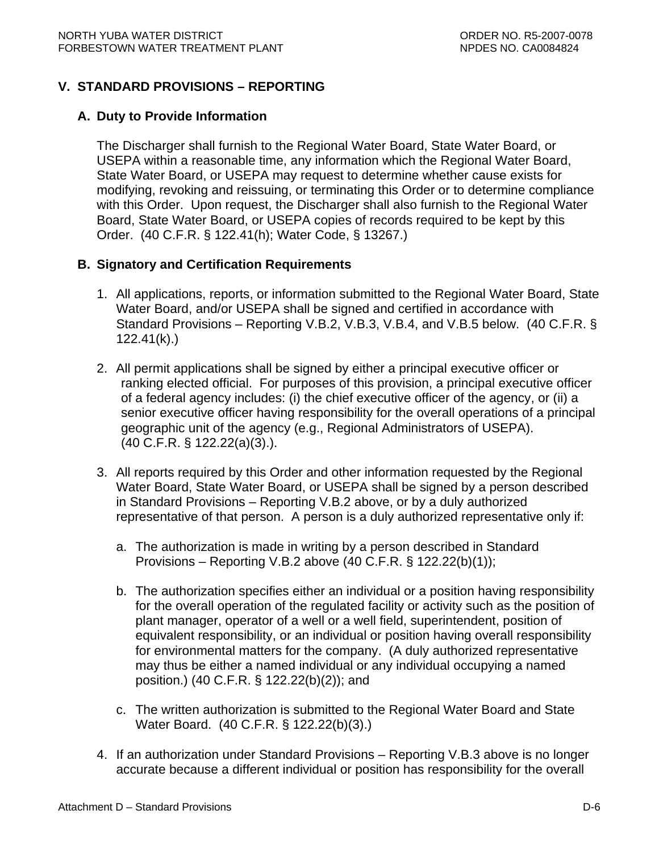# **V. STANDARD PROVISIONS – REPORTING**

### **A. Duty to Provide Information**

The Discharger shall furnish to the Regional Water Board, State Water Board, or USEPA within a reasonable time, any information which the Regional Water Board, State Water Board, or USEPA may request to determine whether cause exists for modifying, revoking and reissuing, or terminating this Order or to determine compliance with this Order. Upon request, the Discharger shall also furnish to the Regional Water Board, State Water Board, or USEPA copies of records required to be kept by this Order. (40 C.F.R. § 122.41(h); Water Code, § 13267.)

## **B. Signatory and Certification Requirements**

- 1. All applications, reports, or information submitted to the Regional Water Board, State Water Board, and/or USEPA shall be signed and certified in accordance with Standard Provisions – Reporting V.B.2, V.B.3, V.B.4, and V.B.5 below. (40 C.F.R. § 122.41(k).)
- 2. All permit applications shall be signed by either a principal executive officer or ranking elected official. For purposes of this provision, a principal executive officer of a federal agency includes: (i) the chief executive officer of the agency, or (ii) a senior executive officer having responsibility for the overall operations of a principal geographic unit of the agency (e.g., Regional Administrators of USEPA). (40 C.F.R. § 122.22(a)(3).).
- 3. All reports required by this Order and other information requested by the Regional Water Board, State Water Board, or USEPA shall be signed by a person described in Standard Provisions – Reporting V.B.2 above, or by a duly authorized representative of that person. A person is a duly authorized representative only if:
	- a. The authorization is made in writing by a person described in Standard Provisions – Reporting V.B.2 above (40 C.F.R. § 122.22(b)(1));
	- b. The authorization specifies either an individual or a position having responsibility for the overall operation of the regulated facility or activity such as the position of plant manager, operator of a well or a well field, superintendent, position of equivalent responsibility, or an individual or position having overall responsibility for environmental matters for the company. (A duly authorized representative may thus be either a named individual or any individual occupying a named position.) (40 C.F.R. § 122.22(b)(2)); and
	- c. The written authorization is submitted to the Regional Water Board and State Water Board. (40 C.F.R. § 122.22(b)(3).)
- 4. If an authorization under Standard Provisions Reporting V.B.3 above is no longer accurate because a different individual or position has responsibility for the overall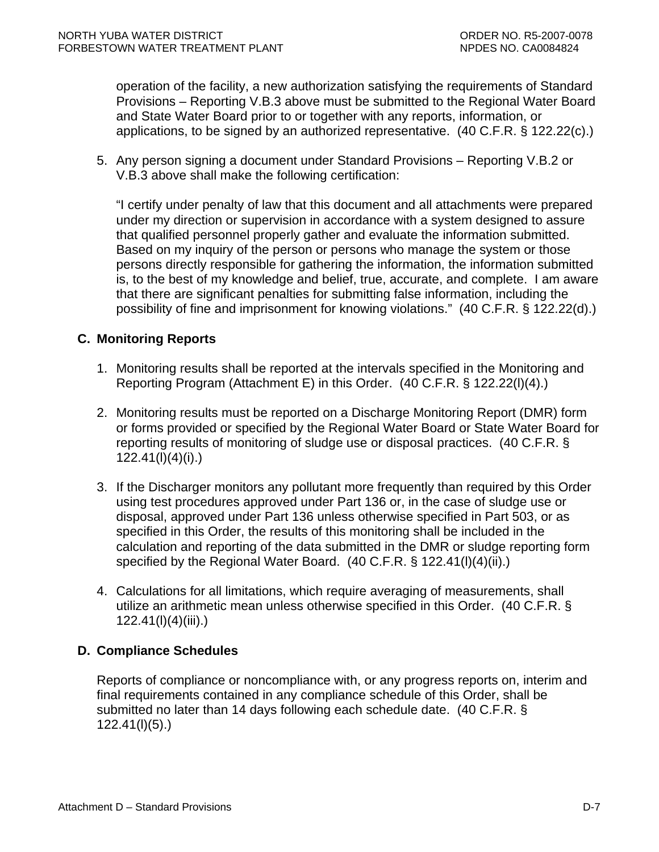operation of the facility, a new authorization satisfying the requirements of Standard Provisions – Reporting V.B.3 above must be submitted to the Regional Water Board and State Water Board prior to or together with any reports, information, or applications, to be signed by an authorized representative. (40 C.F.R. § 122.22(c).)

5. Any person signing a document under Standard Provisions – Reporting V.B.2 or V.B.3 above shall make the following certification:

"I certify under penalty of law that this document and all attachments were prepared under my direction or supervision in accordance with a system designed to assure that qualified personnel properly gather and evaluate the information submitted. Based on my inquiry of the person or persons who manage the system or those persons directly responsible for gathering the information, the information submitted is, to the best of my knowledge and belief, true, accurate, and complete. I am aware that there are significant penalties for submitting false information, including the possibility of fine and imprisonment for knowing violations." (40 C.F.R. § 122.22(d).)

## **C. Monitoring Reports**

- 1. Monitoring results shall be reported at the intervals specified in the Monitoring and Reporting Program (Attachment E) in this Order. (40 C.F.R. § 122.22(l)(4).)
- 2. Monitoring results must be reported on a Discharge Monitoring Report (DMR) form or forms provided or specified by the Regional Water Board or State Water Board for reporting results of monitoring of sludge use or disposal practices. (40 C.F.R. § 122.41(l)(4)(i).)
- 3. If the Discharger monitors any pollutant more frequently than required by this Order using test procedures approved under Part 136 or, in the case of sludge use or disposal, approved under Part 136 unless otherwise specified in Part 503, or as specified in this Order, the results of this monitoring shall be included in the calculation and reporting of the data submitted in the DMR or sludge reporting form specified by the Regional Water Board. (40 C.F.R. § 122.41(l)(4)(ii).)
- 4. Calculations for all limitations, which require averaging of measurements, shall utilize an arithmetic mean unless otherwise specified in this Order. (40 C.F.R. § 122.41(l)(4)(iii).)

# **D. Compliance Schedules**

Reports of compliance or noncompliance with, or any progress reports on, interim and final requirements contained in any compliance schedule of this Order, shall be submitted no later than 14 days following each schedule date. (40 C.F.R. § 122.41(l)(5).)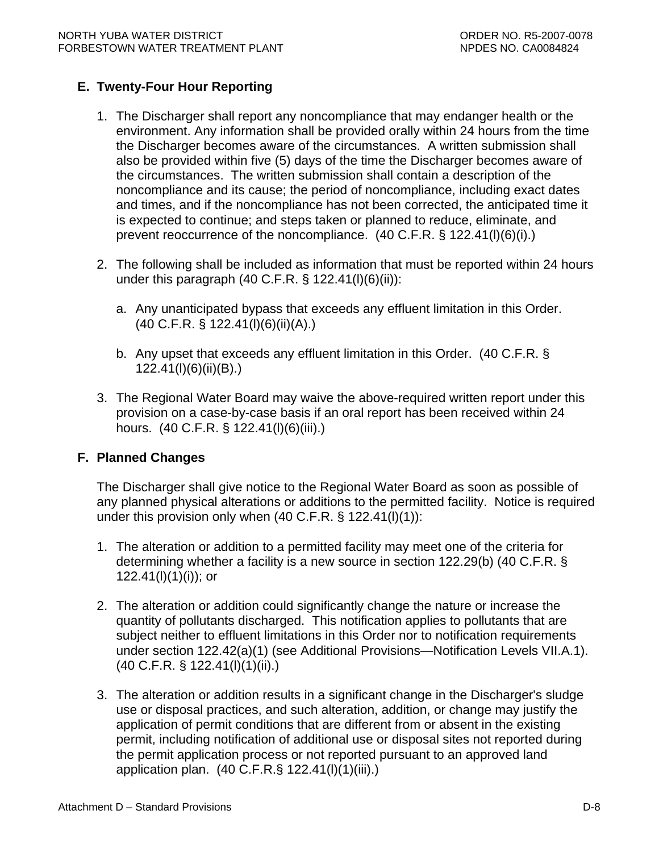# **E. Twenty-Four Hour Reporting**

- 1. The Discharger shall report any noncompliance that may endanger health or the environment. Any information shall be provided orally within 24 hours from the time the Discharger becomes aware of the circumstances. A written submission shall also be provided within five (5) days of the time the Discharger becomes aware of the circumstances. The written submission shall contain a description of the noncompliance and its cause; the period of noncompliance, including exact dates and times, and if the noncompliance has not been corrected, the anticipated time it is expected to continue; and steps taken or planned to reduce, eliminate, and prevent reoccurrence of the noncompliance. (40 C.F.R. § 122.41(l)(6)(i).)
- 2. The following shall be included as information that must be reported within 24 hours under this paragraph (40 C.F.R. § 122.41(I)(6)(ii)):
	- a. Any unanticipated bypass that exceeds any effluent limitation in this Order. (40 C.F.R. § 122.41(l)(6)(ii)(A).)
	- b. Any upset that exceeds any effluent limitation in this Order. (40 C.F.R. § 122.41(l)(6)(ii)(B).)
- 3. The Regional Water Board may waive the above-required written report under this provision on a case-by-case basis if an oral report has been received within 24 hours. (40 C.F.R. § 122.41(l)(6)(iii).)

## **F. Planned Changes**

The Discharger shall give notice to the Regional Water Board as soon as possible of any planned physical alterations or additions to the permitted facility. Notice is required under this provision only when  $(40 \text{ C.F.R.} \S 122.41(l)(1))$ :

- 1. The alteration or addition to a permitted facility may meet one of the criteria for determining whether a facility is a new source in section 122.29(b) (40 C.F.R. §  $122.41(l)(1)(i)$ ; or
- 2. The alteration or addition could significantly change the nature or increase the quantity of pollutants discharged. This notification applies to pollutants that are subject neither to effluent limitations in this Order nor to notification requirements under section 122.42(a)(1) (see Additional Provisions—Notification Levels VII.A.1). (40 C.F.R. § 122.41(l)(1)(ii).)
- 3. The alteration or addition results in a significant change in the Discharger's sludge use or disposal practices, and such alteration, addition, or change may justify the application of permit conditions that are different from or absent in the existing permit, including notification of additional use or disposal sites not reported during the permit application process or not reported pursuant to an approved land application plan. (40 C.F.R.§ 122.41(l)(1)(iii).)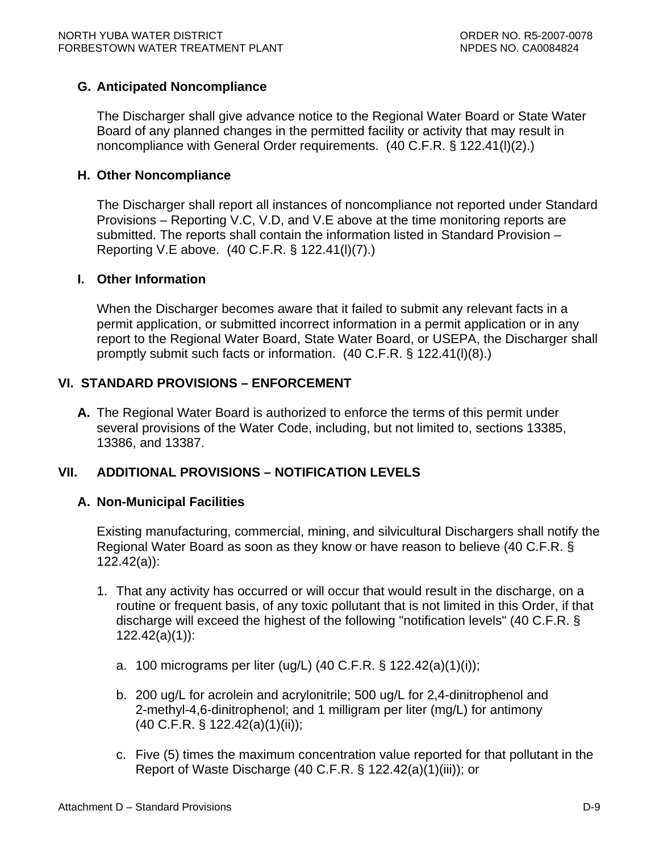# **G. Anticipated Noncompliance**

The Discharger shall give advance notice to the Regional Water Board or State Water Board of any planned changes in the permitted facility or activity that may result in noncompliance with General Order requirements. (40 C.F.R. § 122.41(l)(2).)

## **H. Other Noncompliance**

The Discharger shall report all instances of noncompliance not reported under Standard Provisions – Reporting V.C, V.D, and V.E above at the time monitoring reports are submitted. The reports shall contain the information listed in Standard Provision – Reporting V.E above. (40 C.F.R. § 122.41(l)(7).)

### **I. Other Information**

When the Discharger becomes aware that it failed to submit any relevant facts in a permit application, or submitted incorrect information in a permit application or in any report to the Regional Water Board, State Water Board, or USEPA, the Discharger shall promptly submit such facts or information. (40 C.F.R. § 122.41(l)(8).)

# **VI. STANDARD PROVISIONS – ENFORCEMENT**

**A.** The Regional Water Board is authorized to enforce the terms of this permit under several provisions of the Water Code, including, but not limited to, sections 13385, 13386, and 13387.

## **VII. ADDITIONAL PROVISIONS – NOTIFICATION LEVELS**

## **A. Non-Municipal Facilities**

Existing manufacturing, commercial, mining, and silvicultural Dischargers shall notify the Regional Water Board as soon as they know or have reason to believe (40 C.F.R. § 122.42(a)):

- 1. That any activity has occurred or will occur that would result in the discharge, on a routine or frequent basis, of any toxic pollutant that is not limited in this Order, if that discharge will exceed the highest of the following "notification levels" (40 C.F.R. § 122.42(a)(1)):
	- a. 100 micrograms per liter (ug/L) (40 C.F.R. § 122.42(a)(1)(i));
	- b. 200 ug/L for acrolein and acrylonitrile; 500 ug/L for 2,4-dinitrophenol and 2-methyl-4,6-dinitrophenol; and 1 milligram per liter (mg/L) for antimony (40 C.F.R. § 122.42(a)(1)(ii));
	- c. Five (5) times the maximum concentration value reported for that pollutant in the Report of Waste Discharge (40 C.F.R. § 122.42(a)(1)(iii)); or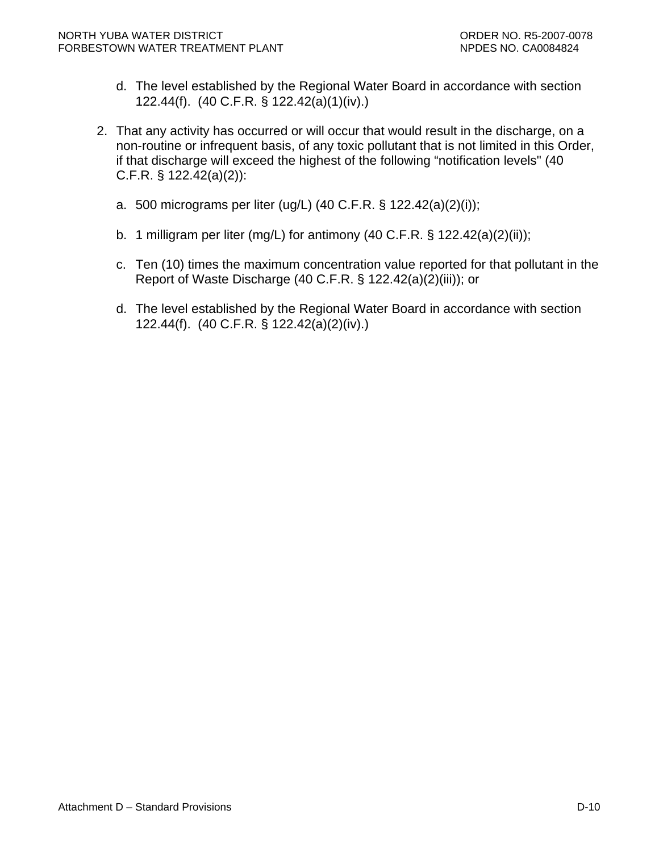- d. The level established by the Regional Water Board in accordance with section 122.44(f). (40 C.F.R. § 122.42(a)(1)(iv).)
- 2. That any activity has occurred or will occur that would result in the discharge, on a non-routine or infrequent basis, of any toxic pollutant that is not limited in this Order, if that discharge will exceed the highest of the following "notification levels" (40 C.F.R. § 122.42(a)(2)):
	- a. 500 micrograms per liter (ug/L) (40 C.F.R. § 122.42(a)(2)(i));
	- b. 1 milligram per liter (mg/L) for antimony (40 C.F.R. § 122.42(a)(2)(ii));
	- c. Ten (10) times the maximum concentration value reported for that pollutant in the Report of Waste Discharge (40 C.F.R. § 122.42(a)(2)(iii)); or
	- d. The level established by the Regional Water Board in accordance with section 122.44(f). (40 C.F.R. § 122.42(a)(2)(iv).)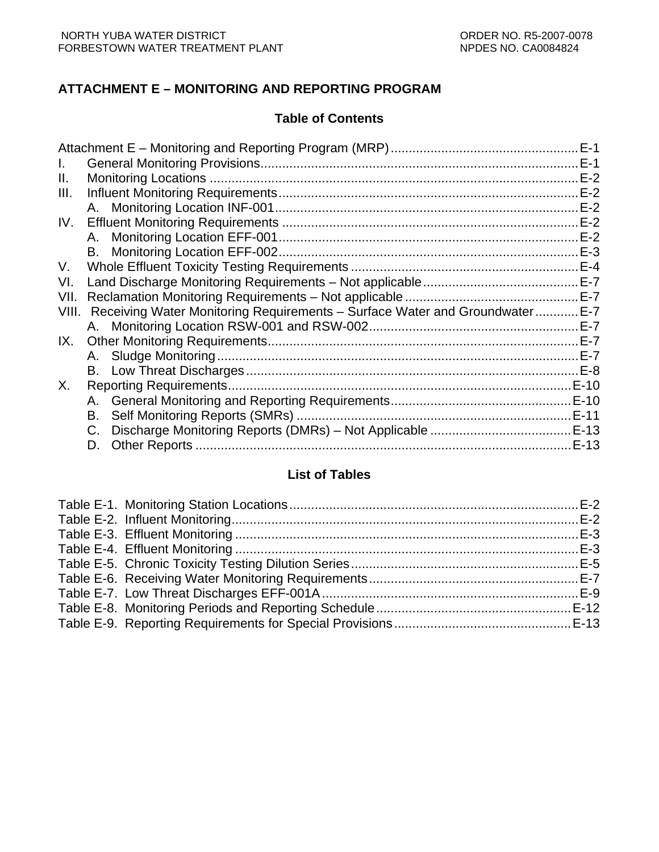# **ATTACHMENT E – MONITORING AND REPORTING PROGRAM**

## **Table of Contents**

|       |                                                                             | $E-1$ |
|-------|-----------------------------------------------------------------------------|-------|
|       |                                                                             | $E-1$ |
| Ш.    |                                                                             | $E-2$ |
| III.  |                                                                             | $E-2$ |
|       |                                                                             | $E-2$ |
| IV.   |                                                                             | $E-2$ |
|       |                                                                             | $E-2$ |
|       |                                                                             |       |
| V.    |                                                                             |       |
| VI.   |                                                                             |       |
| VII.  |                                                                             |       |
| VIII. | Receiving Water Monitoring Requirements - Surface Water and Groundwater E-7 |       |
|       |                                                                             |       |
| IX.   |                                                                             |       |
|       |                                                                             | $E-7$ |
|       |                                                                             |       |
| Х.    |                                                                             |       |
|       |                                                                             |       |
|       | В.                                                                          |       |
|       | C.                                                                          |       |
|       | D.                                                                          | .E-13 |
|       |                                                                             |       |

# **List of Tables**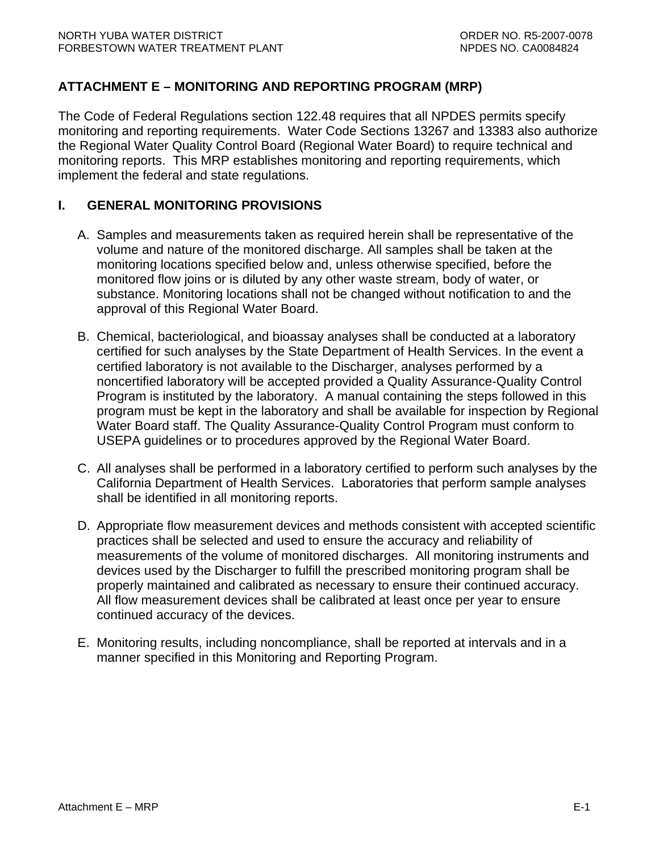# <span id="page-43-0"></span>**ATTACHMENT E – MONITORING AND REPORTING PROGRAM (MRP)**

The Code of Federal Regulations section 122.48 requires that all NPDES permits specify monitoring and reporting requirements. Water Code Sections 13267 and 13383 also authorize the Regional Water Quality Control Board (Regional Water Board) to require technical and monitoring reports. This MRP establishes monitoring and reporting requirements, which implement the federal and state regulations.

## **I. GENERAL MONITORING PROVISIONS**

- A. Samples and measurements taken as required herein shall be representative of the volume and nature of the monitored discharge. All samples shall be taken at the monitoring locations specified below and, unless otherwise specified, before the monitored flow joins or is diluted by any other waste stream, body of water, or substance. Monitoring locations shall not be changed without notification to and the approval of this Regional Water Board.
- B. Chemical, bacteriological, and bioassay analyses shall be conducted at a laboratory certified for such analyses by the State Department of Health Services. In the event a certified laboratory is not available to the Discharger, analyses performed by a noncertified laboratory will be accepted provided a Quality Assurance-Quality Control Program is instituted by the laboratory. A manual containing the steps followed in this program must be kept in the laboratory and shall be available for inspection by Regional Water Board staff. The Quality Assurance-Quality Control Program must conform to USEPA guidelines or to procedures approved by the Regional Water Board.
- C. All analyses shall be performed in a laboratory certified to perform such analyses by the California Department of Health Services. Laboratories that perform sample analyses shall be identified in all monitoring reports.
- D. Appropriate flow measurement devices and methods consistent with accepted scientific practices shall be selected and used to ensure the accuracy and reliability of measurements of the volume of monitored discharges. All monitoring instruments and devices used by the Discharger to fulfill the prescribed monitoring program shall be properly maintained and calibrated as necessary to ensure their continued accuracy. All flow measurement devices shall be calibrated at least once per year to ensure continued accuracy of the devices.
- E. Monitoring results, including noncompliance, shall be reported at intervals and in a manner specified in this Monitoring and Reporting Program.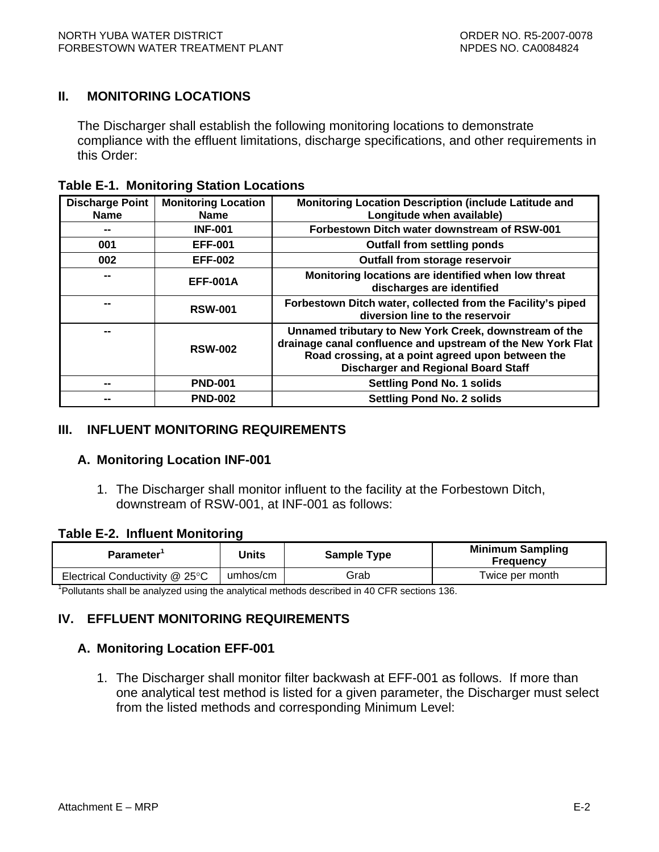# <span id="page-44-0"></span>**II. MONITORING LOCATIONS**

The Discharger shall establish the following monitoring locations to demonstrate compliance with the effluent limitations, discharge specifications, and other requirements in this Order:

| <b>Table E-1. Monitoring Station Locations</b> |  |  |  |
|------------------------------------------------|--|--|--|
|------------------------------------------------|--|--|--|

| <b>Discharge Point</b>   | <b>Monitoring Location</b> | Monitoring Location Description (include Latitude and                                                                                                                                                                    |
|--------------------------|----------------------------|--------------------------------------------------------------------------------------------------------------------------------------------------------------------------------------------------------------------------|
| <b>Name</b>              | <b>Name</b>                | Longitude when available)                                                                                                                                                                                                |
| --                       | <b>INF-001</b>             | Forbestown Ditch water downstream of RSW-001                                                                                                                                                                             |
| 001                      | <b>EFF-001</b>             | <b>Outfall from settling ponds</b>                                                                                                                                                                                       |
| 002                      | <b>EFF-002</b>             | Outfall from storage reservoir                                                                                                                                                                                           |
| $\overline{\phantom{a}}$ | <b>EFF-001A</b>            | Monitoring locations are identified when low threat<br>discharges are identified                                                                                                                                         |
| --                       | <b>RSW-001</b>             | Forbestown Ditch water, collected from the Facility's piped<br>diversion line to the reservoir                                                                                                                           |
| --                       | <b>RSW-002</b>             | Unnamed tributary to New York Creek, downstream of the<br>drainage canal confluence and upstream of the New York Flat<br>Road crossing, at a point agreed upon between the<br><b>Discharger and Regional Board Staff</b> |
| --                       | <b>PND-001</b>             | <b>Settling Pond No. 1 solids</b>                                                                                                                                                                                        |
| --                       | <b>PND-002</b>             | <b>Settling Pond No. 2 solids</b>                                                                                                                                                                                        |

## **III. INFLUENT MONITORING REQUIREMENTS**

#### **A. Monitoring Location INF-001**

1. The Discharger shall monitor influent to the facility at the Forbestown Ditch, downstream of RSW-001, at INF-001 as follows:

#### **Table E-2. Influent Monitoring**

| Parameter <sup>1</sup>                                                                                   | Units    | <b>Sample Type</b> | <b>Minimum Sampling</b><br><b>Frequency</b> |  |  |  |
|----------------------------------------------------------------------------------------------------------|----------|--------------------|---------------------------------------------|--|--|--|
| Electrical Conductivity @ 25°C                                                                           | umhos/cm | Grab               | Twice per month                             |  |  |  |
| <sup>1</sup> Pollutants shall be analyzed using the analytical methods described in 40 CFR sections 136. |          |                    |                                             |  |  |  |

# **IV. EFFLUENT MONITORING REQUIREMENTS**

## **A. Monitoring Location EFF-001**

1. The Discharger shall monitor filter backwash at EFF-001 as follows. If more than one analytical test method is listed for a given parameter, the Discharger must select from the listed methods and corresponding Minimum Level: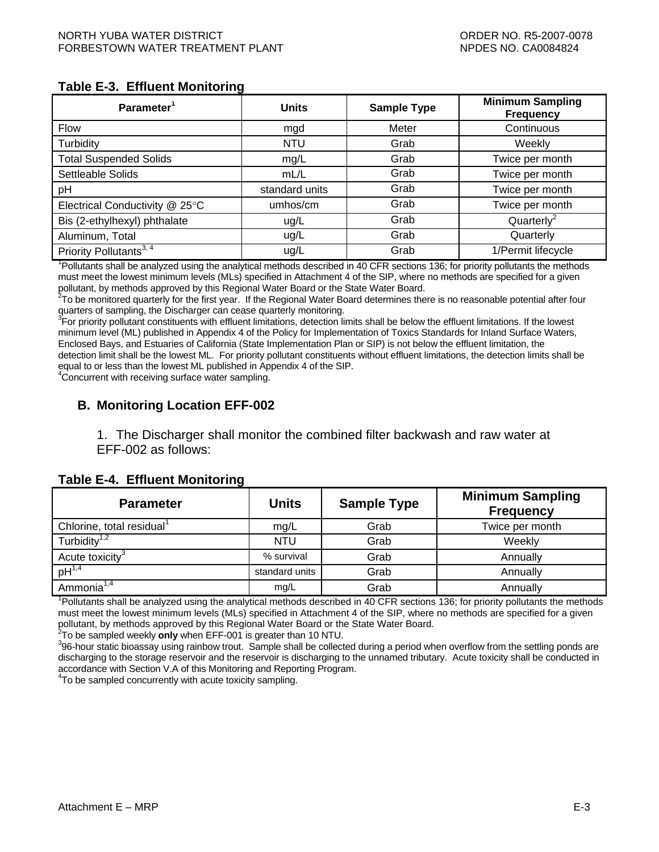#### <span id="page-45-0"></span>**Table E-3. Effluent Monitoring**

| Parameter <sup>1</sup>                                                                                                          | <b>Units</b>   | <b>Sample Type</b> | <b>Minimum Sampling</b><br><b>Frequency</b> |  |  |  |
|---------------------------------------------------------------------------------------------------------------------------------|----------------|--------------------|---------------------------------------------|--|--|--|
| <b>Flow</b>                                                                                                                     | mgd            | Meter              | Continuous                                  |  |  |  |
| Turbidity                                                                                                                       | <b>NTU</b>     | Grab               | Weekly                                      |  |  |  |
| <b>Total Suspended Solids</b>                                                                                                   | mg/L           | Grab               | Twice per month                             |  |  |  |
| Settleable Solids                                                                                                               | mL/L           | Grab               | Twice per month                             |  |  |  |
| pH                                                                                                                              | standard units | Grab               | Twice per month                             |  |  |  |
| Electrical Conductivity @ 25°C                                                                                                  | umhos/cm       | Grab               | Twice per month                             |  |  |  |
| Bis (2-ethylhexyl) phthalate                                                                                                    | ug/L           | Grab               | Quarterly <sup>2</sup>                      |  |  |  |
| Aluminum, Total                                                                                                                 | ug/L           | Grab               | Quarterly                                   |  |  |  |
| Priority Pollutants <sup>3, 4</sup>                                                                                             | ug/L           | Grab               | 1/Permit lifecycle                          |  |  |  |
| Pollutants shall be analyzed using the analytical methods described in 40 CFR sections 136; for priority pollutants the methods |                |                    |                                             |  |  |  |

must meet the lowest minimum levels (MLs) specified in Attachment 4 of the SIP, where no methods are specified for a given

pollutant, by methods approved by this Regional Water Board or the State Water Board.<br><sup>2</sup>To be monitored quarterly for the first year. If the Regional Water Board determines there is no reasonable potential after four quarters of sampling, the Discharger can cease quarterly monitoring.

<sup>3</sup>For priority pollutant constituents with effluent limitations, detection limits shall be below the effluent limitations. If the lowest minimum level (ML) published in Appendix 4 of the Policy for Implementation of Toxics Standards for Inland Surface Waters, Enclosed Bays, and Estuaries of California (State Implementation Plan or SIP) is not below the effluent limitation, the detection limit shall be the lowest ML. For priority pollutant constituents without effluent limitations, the detection limits shall be equal to or less than the lowest ML published in Appendix 4 of the SIP.

4 Concurrent with receiving surface water sampling.

# **B. Monitoring Location EFF-002**

1. The Discharger shall monitor the combined filter backwash and raw water at EFF-002 as follows:

#### **Table E-4. Effluent Monitoring**

| <b>Parameter</b>                                                                                                                | <b>Units</b>   | <b>Sample Type</b> | <b>Minimum Sampling</b><br><b>Frequency</b> |  |  |  |  |  |
|---------------------------------------------------------------------------------------------------------------------------------|----------------|--------------------|---------------------------------------------|--|--|--|--|--|
| Chlorine, total residual <sup>1</sup>                                                                                           | mg/L           | Grab               | Twice per month                             |  |  |  |  |  |
| Turbidity $1,2$                                                                                                                 | NTU.           | Grab               | Weekly                                      |  |  |  |  |  |
| Acute toxicity <sup>3</sup>                                                                                                     | % survival     | Grab               | Annually                                    |  |  |  |  |  |
| $pH^{1,4}$                                                                                                                      | standard units | Grab               | Annually                                    |  |  |  |  |  |
| Ammonia <sup>1,4</sup>                                                                                                          | mg/L           | Grab               | Annually                                    |  |  |  |  |  |
| Pollutants shall be analyzed using the analytical methods described in 40 CFR sections 136; for priority pollutants the methods |                |                    |                                             |  |  |  |  |  |

must meet the lowest minimum levels (MLs) specified in Attachment 4 of the SIP, where no methods are specified for a given pollutant, by methods approved by this Regional Water Board or the State Water Board.<br><sup>2</sup>Te be sampled wookly **anly** when EEE 001 is areater than 10 NTU.

To be sampled weekly **only** when EFF-001 is greater than 10 NTU.<br><sup>3</sup>06 hour statio bioassoy using raiphour trout. Sample shall be collect

396-hour static bioassay using rainbow trout. Sample shall be collected during a period when overflow from the settling ponds are discharging to the storage reservoir and the reservoir is discharging to the unnamed tributary. Acute toxicity shall be conducted in accordance with Section V.A of this Monitoring and Reporting Program.

4 To be sampled concurrently with acute toxicity sampling.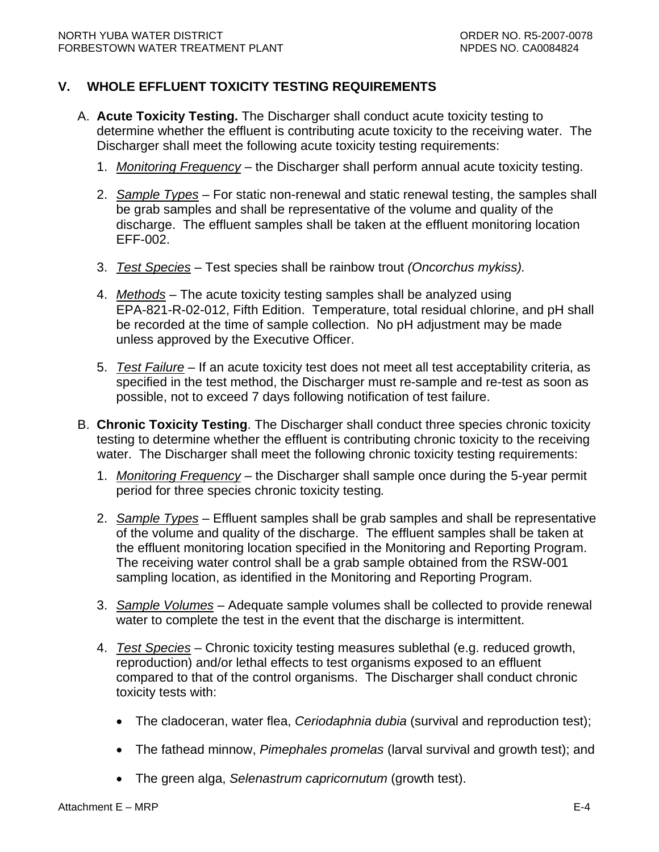# <span id="page-46-0"></span>**V. WHOLE EFFLUENT TOXICITY TESTING REQUIREMENTS**

- A. **Acute Toxicity Testing.** The Discharger shall conduct acute toxicity testing to determine whether the effluent is contributing acute toxicity to the receiving water. The Discharger shall meet the following acute toxicity testing requirements:
	- 1. *Monitoring Frequency* the Discharger shall perform annual acute toxicity testing.
	- 2. *Sample Types* For static non-renewal and static renewal testing, the samples shall be grab samples and shall be representative of the volume and quality of the discharge. The effluent samples shall be taken at the effluent monitoring location EFF-002.
	- 3. *Test Species* Test species shall be rainbow trout *(Oncorchus mykiss).*
	- 4. *Methods* The acute toxicity testing samples shall be analyzed using EPA-821-R-02-012, Fifth Edition. Temperature, total residual chlorine, and pH shall be recorded at the time of sample collection. No pH adjustment may be made unless approved by the Executive Officer.
	- 5. *Test Failure* If an acute toxicity test does not meet all test acceptability criteria, as specified in the test method, the Discharger must re-sample and re-test as soon as possible, not to exceed 7 days following notification of test failure.
- B. **Chronic Toxicity Testing**. The Discharger shall conduct three species chronic toxicity testing to determine whether the effluent is contributing chronic toxicity to the receiving water. The Discharger shall meet the following chronic toxicity testing requirements:
	- 1. *Monitoring Frequency* the Discharger shall sample once during the 5-year permit period for three species chronic toxicity testing*.*
	- 2. *Sample Types* Effluent samples shall be grab samples and shall be representative of the volume and quality of the discharge. The effluent samples shall be taken at the effluent monitoring location specified in the Monitoring and Reporting Program. The receiving water control shall be a grab sample obtained from the RSW-001 sampling location, as identified in the Monitoring and Reporting Program.
	- 3. *Sample Volumes* Adequate sample volumes shall be collected to provide renewal water to complete the test in the event that the discharge is intermittent.
	- 4. *Test Species* Chronic toxicity testing measures sublethal (e.g. reduced growth, reproduction) and/or lethal effects to test organisms exposed to an effluent compared to that of the control organisms. The Discharger shall conduct chronic toxicity tests with:
		- The cladoceran, water flea, *Ceriodaphnia dubia* (survival and reproduction test);
		- The fathead minnow, *Pimephales promelas* (larval survival and growth test); and
		- The green alga, *Selenastrum capricornutum* (growth test).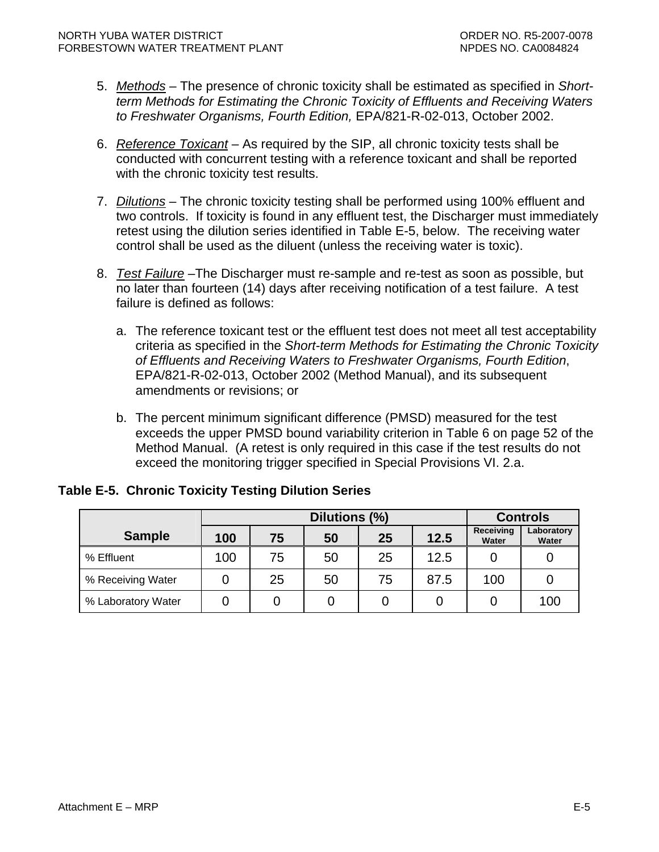- <span id="page-47-0"></span>5. *Methods* – The presence of chronic toxicity shall be estimated as specified in *Shortterm Methods for Estimating the Chronic Toxicity of Effluents and Receiving Waters to Freshwater Organisms, Fourth Edition,* EPA/821-R-02-013, October 2002.
- 6. *Reference Toxicant* As required by the SIP, all chronic toxicity tests shall be conducted with concurrent testing with a reference toxicant and shall be reported with the chronic toxicity test results.
- 7. *Dilutions* The chronic toxicity testing shall be performed using 100% effluent and two controls. If toxicity is found in any effluent test, the Discharger must immediately retest using the dilution series identified in Table E-5, below. The receiving water control shall be used as the diluent (unless the receiving water is toxic).
- 8. *Test Failure* –The Discharger must re-sample and re-test as soon as possible, but no later than fourteen (14) days after receiving notification of a test failure. A test failure is defined as follows:
	- a. The reference toxicant test or the effluent test does not meet all test acceptability criteria as specified in the *Short-term Methods for Estimating the Chronic Toxicity of Effluents and Receiving Waters to Freshwater Organisms, Fourth Edition*, EPA/821-R-02-013, October 2002 (Method Manual), and its subsequent amendments or revisions; or
	- b. The percent minimum significant difference (PMSD) measured for the test exceeds the upper PMSD bound variability criterion in Table 6 on page 52 of the Method Manual. (A retest is only required in this case if the test results do not exceed the monitoring trigger specified in Special Provisions VI. 2.a.

|                    | Dilutions (%)                 |    |    |    |                           | <b>Controls</b>     |     |
|--------------------|-------------------------------|----|----|----|---------------------------|---------------------|-----|
| <b>Sample</b>      | 12.5<br>25<br>50<br>75<br>100 |    |    |    | <b>Receiving</b><br>Water | Laboratory<br>Water |     |
| % Effluent         | 100                           | 75 | 50 | 25 | 12.5                      |                     |     |
| % Receiving Water  |                               | 25 | 50 | 75 | 87.5                      | 100                 |     |
| % Laboratory Water |                               |    |    |    |                           |                     | 100 |

# **Table E-5. Chronic Toxicity Testing Dilution Series**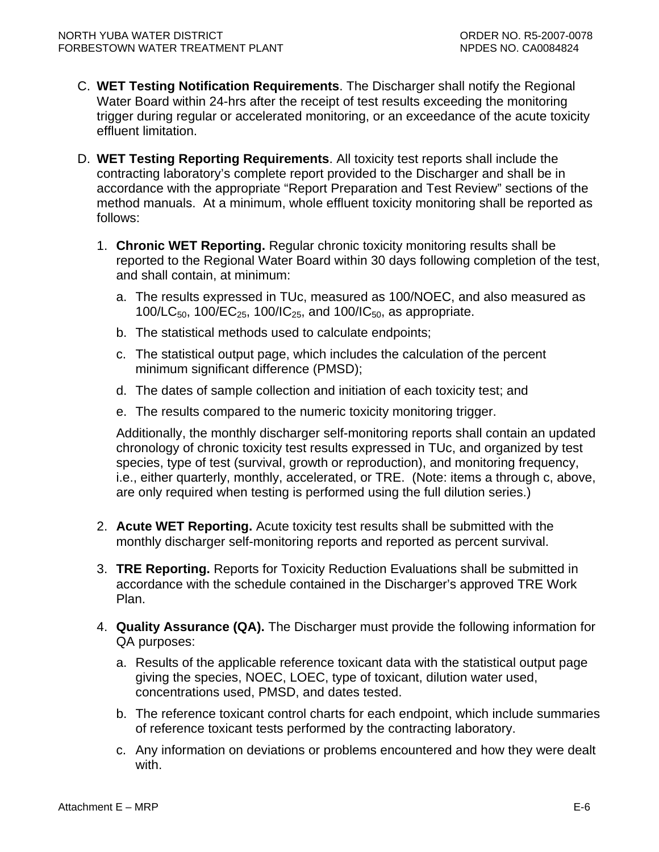- C. **WET Testing Notification Requirements**. The Discharger shall notify the Regional Water Board within 24-hrs after the receipt of test results exceeding the monitoring trigger during regular or accelerated monitoring, or an exceedance of the acute toxicity effluent limitation.
- D. **WET Testing Reporting Requirements**. All toxicity test reports shall include the contracting laboratory's complete report provided to the Discharger and shall be in accordance with the appropriate "Report Preparation and Test Review" sections of the method manuals. At a minimum, whole effluent toxicity monitoring shall be reported as follows:
	- 1. **Chronic WET Reporting.** Regular chronic toxicity monitoring results shall be reported to the Regional Water Board within 30 days following completion of the test, and shall contain, at minimum:
		- a. The results expressed in TUc, measured as 100/NOEC, and also measured as 100/LC<sub>50</sub>, 100/EC<sub>25</sub>, 100/IC<sub>25</sub>, and 100/IC<sub>50</sub>, as appropriate.
		- b. The statistical methods used to calculate endpoints;
		- c. The statistical output page, which includes the calculation of the percent minimum significant difference (PMSD);
		- d. The dates of sample collection and initiation of each toxicity test; and
		- e. The results compared to the numeric toxicity monitoring trigger.

Additionally, the monthly discharger self-monitoring reports shall contain an updated chronology of chronic toxicity test results expressed in TUc, and organized by test species, type of test (survival, growth or reproduction), and monitoring frequency, i.e., either quarterly, monthly, accelerated, or TRE. (Note: items a through c, above, are only required when testing is performed using the full dilution series.)

- 2. **Acute WET Reporting.** Acute toxicity test results shall be submitted with the monthly discharger self-monitoring reports and reported as percent survival.
- 3. **TRE Reporting.** Reports for Toxicity Reduction Evaluations shall be submitted in accordance with the schedule contained in the Discharger's approved TRE Work Plan.
- 4. **Quality Assurance (QA).** The Discharger must provide the following information for QA purposes:
	- a. Results of the applicable reference toxicant data with the statistical output page giving the species, NOEC, LOEC, type of toxicant, dilution water used, concentrations used, PMSD, and dates tested.
	- b. The reference toxicant control charts for each endpoint, which include summaries of reference toxicant tests performed by the contracting laboratory.
	- c. Any information on deviations or problems encountered and how they were dealt with.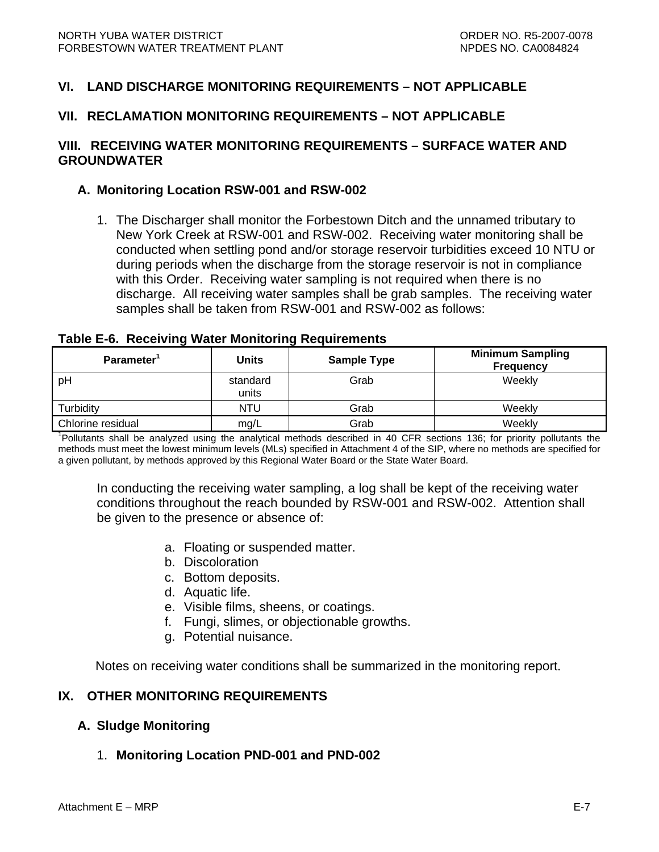# <span id="page-49-0"></span>**VI. LAND DISCHARGE MONITORING REQUIREMENTS – NOT APPLICABLE**

### **VII. RECLAMATION MONITORING REQUIREMENTS – NOT APPLICABLE**

## **VIII. RECEIVING WATER MONITORING REQUIREMENTS – SURFACE WATER AND GROUNDWATER**

#### **A. Monitoring Location RSW-001 and RSW-002**

1. The Discharger shall monitor the Forbestown Ditch and the unnamed tributary to New York Creek at RSW-001 and RSW-002. Receiving water monitoring shall be conducted when settling pond and/or storage reservoir turbidities exceed 10 NTU or during periods when the discharge from the storage reservoir is not in compliance with this Order. Receiving water sampling is not required when there is no discharge. All receiving water samples shall be grab samples. The receiving water samples shall be taken from RSW-001 and RSW-002 as follows:

#### **Table E-6. Receiving Water Monitoring Requirements**

| Parameter <sup>1</sup> | <b>Units</b>      | <b>Sample Type</b> | <b>Minimum Sampling</b><br><b>Frequency</b> |
|------------------------|-------------------|--------------------|---------------------------------------------|
| pH                     | standard<br>units | Grab               | Weekly                                      |
| Turbidity              | <b>NTU</b>        | Grab               | Weekly                                      |
| Chlorine residual      | mg/L              | Grab               | Weekly                                      |

<sup>1</sup>Pollutants shall be analyzed using the analytical methods described in 40 CFR sections 136; for priority pollutants the methods must meet the lowest minimum levels (MLs) specified in Attachment 4 of the SIP, where no methods are specified for a given pollutant, by methods approved by this Regional Water Board or the State Water Board.

In conducting the receiving water sampling, a log shall be kept of the receiving water conditions throughout the reach bounded by RSW-001 and RSW-002. Attention shall be given to the presence or absence of:

- a. Floating or suspended matter.
- b. Discoloration
- c. Bottom deposits.
- d. Aquatic life.
- e. Visible films, sheens, or coatings.
- f. Fungi, slimes, or objectionable growths.
- g. Potential nuisance.

Notes on receiving water conditions shall be summarized in the monitoring report.

#### **IX. OTHER MONITORING REQUIREMENTS**

#### **A. Sludge Monitoring**

#### 1. **Monitoring Location PND-001 and PND-002**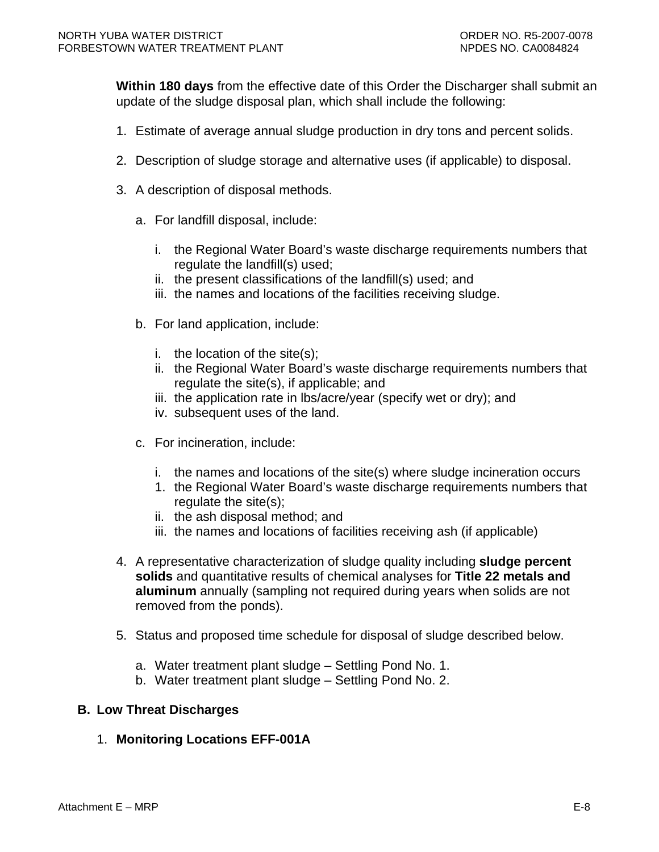<span id="page-50-0"></span>**Within 180 days** from the effective date of this Order the Discharger shall submit an update of the sludge disposal plan, which shall include the following:

- 1. Estimate of average annual sludge production in dry tons and percent solids.
- 2. Description of sludge storage and alternative uses (if applicable) to disposal.
- 3. A description of disposal methods.
	- a. For landfill disposal, include:
		- i. the Regional Water Board's waste discharge requirements numbers that regulate the landfill(s) used;
		- ii. the present classifications of the landfill(s) used; and
		- iii. the names and locations of the facilities receiving sludge.
	- b. For land application, include:
		- i. the location of the site(s);
		- ii. the Regional Water Board's waste discharge requirements numbers that regulate the site(s), if applicable; and
		- iii. the application rate in lbs/acre/year (specify wet or dry); and
		- iv. subsequent uses of the land.
	- c. For incineration, include:
		- i. the names and locations of the site(s) where sludge incineration occurs
		- 1. the Regional Water Board's waste discharge requirements numbers that regulate the site(s);
		- ii. the ash disposal method; and
		- iii. the names and locations of facilities receiving ash (if applicable)
- 4. A representative characterization of sludge quality including **sludge percent solids** and quantitative results of chemical analyses for **Title 22 metals and aluminum** annually (sampling not required during years when solids are not removed from the ponds).
- 5. Status and proposed time schedule for disposal of sludge described below.
	- a. Water treatment plant sludge Settling Pond No. 1.
	- b. Water treatment plant sludge Settling Pond No. 2.

## **B. Low Threat Discharges**

1. **Monitoring Locations EFF-001A**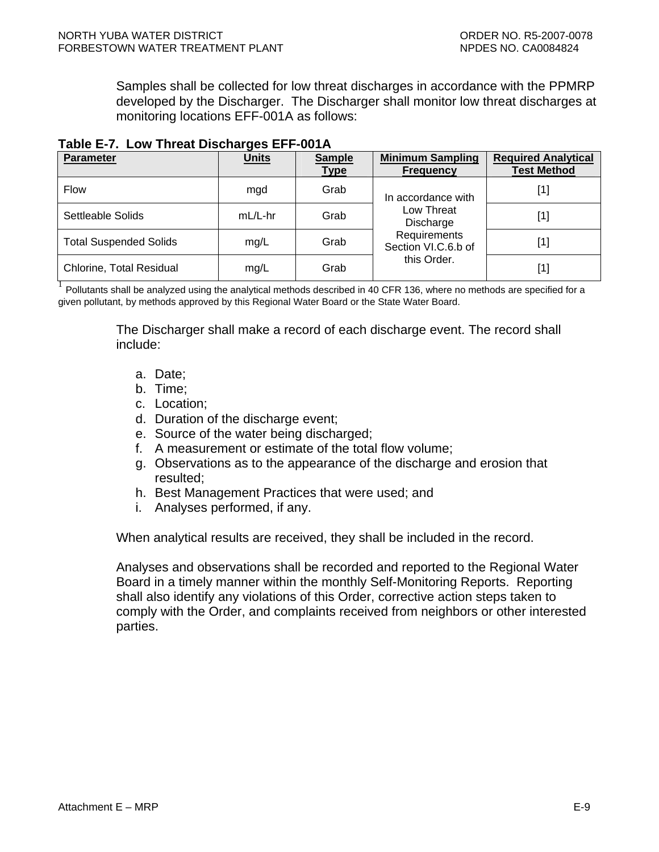<span id="page-51-0"></span>Samples shall be collected for low threat discharges in accordance with the PPMRP developed by the Discharger. The Discharger shall monitor low threat discharges at monitoring locations EFF-001A as follows:

| <b>Parameter</b>                | <b>Units</b> | <b>Sample</b><br><b>Type</b> | <b>Minimum Sampling</b><br><b>Frequency</b> | <b>Required Analytical</b><br><b>Test Method</b> |
|---------------------------------|--------------|------------------------------|---------------------------------------------|--------------------------------------------------|
| <b>Flow</b>                     | mgd          | Grab                         | In accordance with                          | $[1]$                                            |
| Settleable Solids               | mL/L-hr      | Grab                         | Low Threat<br>Discharge                     | $[1]$                                            |
| <b>Total Suspended Solids</b>   | mg/L         | Grab                         | Requirements<br>Section VI.C.6.b of         | $[1]$                                            |
| <b>Chlorine, Total Residual</b> | mg/L         | Grab                         | this Order.                                 | $[1]$                                            |

#### **Table E-7. Low Threat Discharges EFF-001A**

 $^1$  Pollutants shall be analvzed using the analytical methods described in 40 CFR 136, where no methods are specified for a given pollutant, by methods approved by this Regional Water Board or the State Water Board.

> The Discharger shall make a record of each discharge event. The record shall include:

- a. Date;
- b. Time;
- c. Location;
- d. Duration of the discharge event;
- e. Source of the water being discharged;
- f. A measurement or estimate of the total flow volume;
- g. Observations as to the appearance of the discharge and erosion that resulted;
- h. Best Management Practices that were used; and
- i. Analyses performed, if any.

When analytical results are received, they shall be included in the record.

Analyses and observations shall be recorded and reported to the Regional Water Board in a timely manner within the monthly Self-Monitoring Reports. Reporting shall also identify any violations of this Order, corrective action steps taken to comply with the Order, and complaints received from neighbors or other interested parties.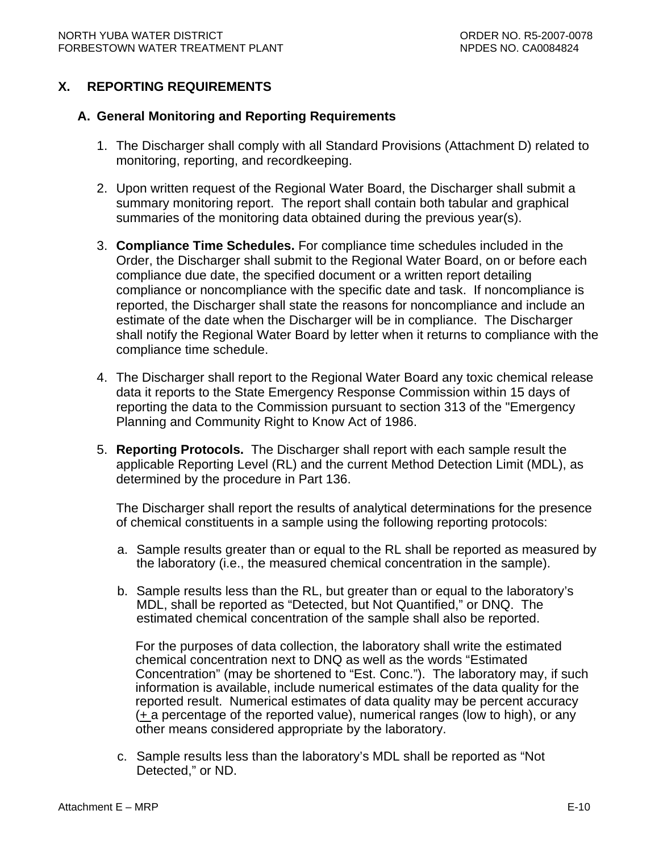# <span id="page-52-0"></span>**X. REPORTING REQUIREMENTS**

### **A. General Monitoring and Reporting Requirements**

- 1. The Discharger shall comply with all Standard Provisions (Attachment D) related to monitoring, reporting, and recordkeeping.
- 2. Upon written request of the Regional Water Board, the Discharger shall submit a summary monitoring report. The report shall contain both tabular and graphical summaries of the monitoring data obtained during the previous year(s).
- 3. **Compliance Time Schedules.** For compliance time schedules included in the Order, the Discharger shall submit to the Regional Water Board, on or before each compliance due date, the specified document or a written report detailing compliance or noncompliance with the specific date and task. If noncompliance is reported, the Discharger shall state the reasons for noncompliance and include an estimate of the date when the Discharger will be in compliance. The Discharger shall notify the Regional Water Board by letter when it returns to compliance with the compliance time schedule.
- 4. The Discharger shall report to the Regional Water Board any toxic chemical release data it reports to the State Emergency Response Commission within 15 days of reporting the data to the Commission pursuant to section 313 of the "Emergency Planning and Community Right to Know Act of 1986.
- 5. **Reporting Protocols.** The Discharger shall report with each sample result the applicable Reporting Level (RL) and the current Method Detection Limit (MDL), as determined by the procedure in Part 136.

The Discharger shall report the results of analytical determinations for the presence of chemical constituents in a sample using the following reporting protocols:

- a. Sample results greater than or equal to the RL shall be reported as measured by the laboratory (i.e., the measured chemical concentration in the sample).
- b. Sample results less than the RL, but greater than or equal to the laboratory's MDL, shall be reported as "Detected, but Not Quantified," or DNQ. The estimated chemical concentration of the sample shall also be reported.

For the purposes of data collection, the laboratory shall write the estimated chemical concentration next to DNQ as well as the words "Estimated Concentration" (may be shortened to "Est. Conc."). The laboratory may, if such information is available, include numerical estimates of the data quality for the reported result. Numerical estimates of data quality may be percent accuracy  $(+ a$  percentage of the reported value), numerical ranges (low to high), or any other means considered appropriate by the laboratory.

c. Sample results less than the laboratory's MDL shall be reported as "Not Detected," or ND.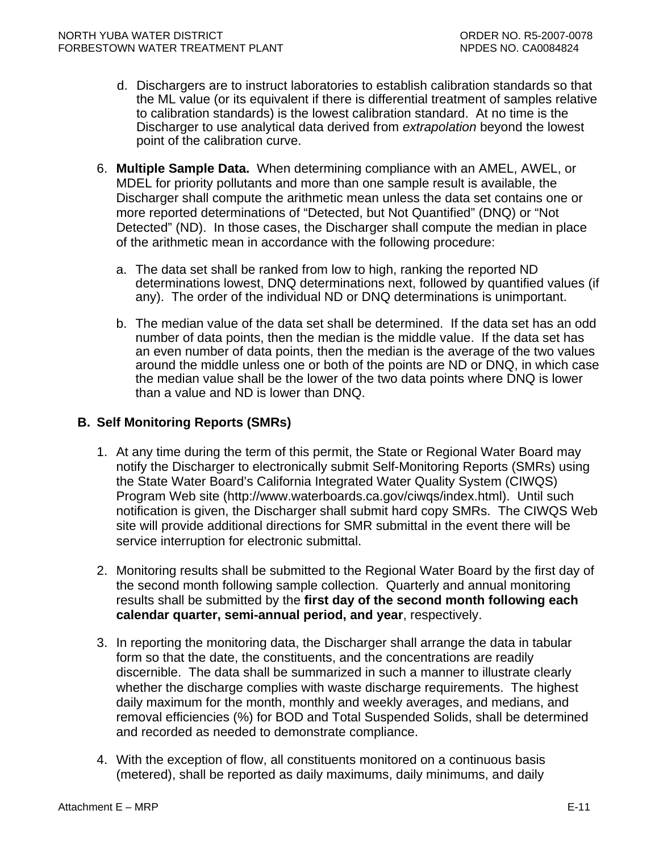- <span id="page-53-0"></span>d. Dischargers are to instruct laboratories to establish calibration standards so that the ML value (or its equivalent if there is differential treatment of samples relative to calibration standards) is the lowest calibration standard. At no time is the Discharger to use analytical data derived from *extrapolation* beyond the lowest point of the calibration curve.
- 6. **Multiple Sample Data.** When determining compliance with an AMEL, AWEL, or MDEL for priority pollutants and more than one sample result is available, the Discharger shall compute the arithmetic mean unless the data set contains one or more reported determinations of "Detected, but Not Quantified" (DNQ) or "Not Detected" (ND). In those cases, the Discharger shall compute the median in place of the arithmetic mean in accordance with the following procedure:
	- a. The data set shall be ranked from low to high, ranking the reported ND determinations lowest, DNQ determinations next, followed by quantified values (if any). The order of the individual ND or DNQ determinations is unimportant.
	- b. The median value of the data set shall be determined. If the data set has an odd number of data points, then the median is the middle value. If the data set has an even number of data points, then the median is the average of the two values around the middle unless one or both of the points are ND or DNQ, in which case the median value shall be the lower of the two data points where DNQ is lower than a value and ND is lower than DNQ.

## **B. Self Monitoring Reports (SMRs)**

- 1. At any time during the term of this permit, the State or Regional Water Board may notify the Discharger to electronically submit Self-Monitoring Reports (SMRs) using the State Water Board's California Integrated Water Quality System (CIWQS) Program Web site (http://www.waterboards.ca.gov/ciwqs/index.html). Until such notification is given, the Discharger shall submit hard copy SMRs. The CIWQS Web site will provide additional directions for SMR submittal in the event there will be service interruption for electronic submittal.
- 2. Monitoring results shall be submitted to the Regional Water Board by the first day of the second month following sample collection. Quarterly and annual monitoring results shall be submitted by the **first day of the second month following each calendar quarter, semi-annual period, and year**, respectively.
- 3. In reporting the monitoring data, the Discharger shall arrange the data in tabular form so that the date, the constituents, and the concentrations are readily discernible. The data shall be summarized in such a manner to illustrate clearly whether the discharge complies with waste discharge requirements. The highest daily maximum for the month, monthly and weekly averages, and medians, and removal efficiencies (%) for BOD and Total Suspended Solids, shall be determined and recorded as needed to demonstrate compliance.
- 4. With the exception of flow, all constituents monitored on a continuous basis (metered), shall be reported as daily maximums, daily minimums, and daily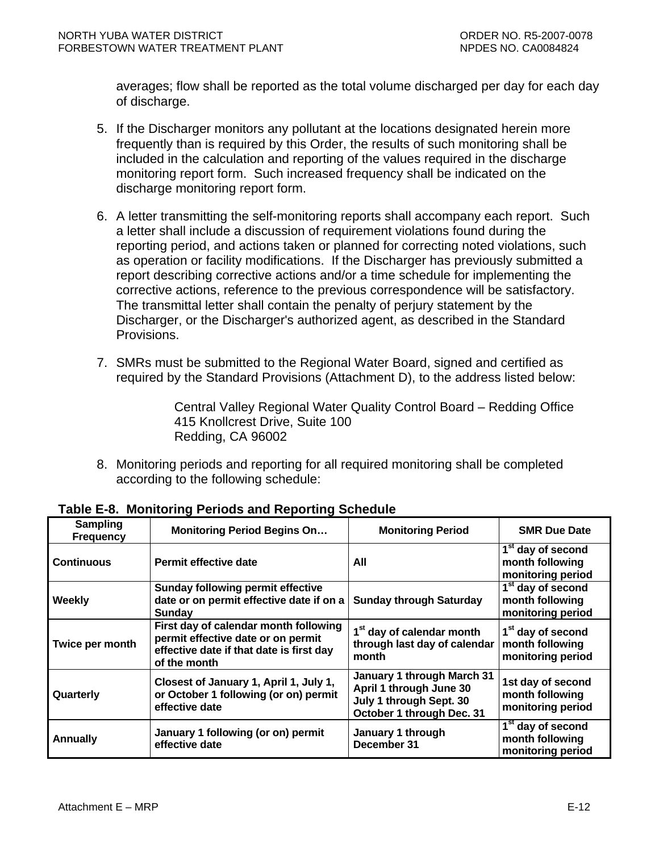<span id="page-54-0"></span>averages; flow shall be reported as the total volume discharged per day for each day of discharge.

- 5. If the Discharger monitors any pollutant at the locations designated herein more frequently than is required by this Order, the results of such monitoring shall be included in the calculation and reporting of the values required in the discharge monitoring report form. Such increased frequency shall be indicated on the discharge monitoring report form.
- 6. A letter transmitting the self-monitoring reports shall accompany each report. Such a letter shall include a discussion of requirement violations found during the reporting period, and actions taken or planned for correcting noted violations, such as operation or facility modifications. If the Discharger has previously submitted a report describing corrective actions and/or a time schedule for implementing the corrective actions, reference to the previous correspondence will be satisfactory. The transmittal letter shall contain the penalty of perjury statement by the Discharger, or the Discharger's authorized agent, as described in the Standard Provisions.
- 7. SMRs must be submitted to the Regional Water Board, signed and certified as required by the Standard Provisions (Attachment D), to the address listed below:

Central Valley Regional Water Quality Control Board – Redding Office 415 Knollcrest Drive, Suite 100 Redding, CA 96002

8. Monitoring periods and reporting for all required monitoring shall be completed according to the following schedule:

| Sampling<br><b>Frequency</b> | <b>Monitoring Period Begins On</b>                                                                                                      | <b>Monitoring Period</b>                                                                                      | <b>SMR Due Date</b>                                                   |
|------------------------------|-----------------------------------------------------------------------------------------------------------------------------------------|---------------------------------------------------------------------------------------------------------------|-----------------------------------------------------------------------|
| <b>Continuous</b>            | Permit effective date                                                                                                                   | All                                                                                                           | 1 <sup>st</sup> day of second<br>month following<br>monitoring period |
| <b>Weekly</b>                | <b>Sunday following permit effective</b><br>date or on permit effective date if on a<br>Sunday                                          | <b>Sunday through Saturday</b>                                                                                | 1 <sup>st</sup> day of second<br>month following<br>monitoring period |
| Twice per month              | First day of calendar month following<br>permit effective date or on permit<br>effective date if that date is first day<br>of the month | 1 <sup>st</sup> day of calendar month<br>through last day of calendar<br>month                                | 1 <sup>st</sup> day of second<br>month following<br>monitoring period |
| Quarterly                    | Closest of January 1, April 1, July 1,<br>or October 1 following (or on) permit<br>effective date                                       | January 1 through March 31<br>April 1 through June 30<br>July 1 through Sept. 30<br>October 1 through Dec. 31 | 1st day of second<br>month following<br>monitoring period             |
| <b>Annually</b>              | January 1 following (or on) permit<br>effective date                                                                                    | January 1 through<br>December 31                                                                              | 1 <sup>st</sup> day of second<br>month following<br>monitoring period |

**Table E-8. Monitoring Periods and Reporting Schedule**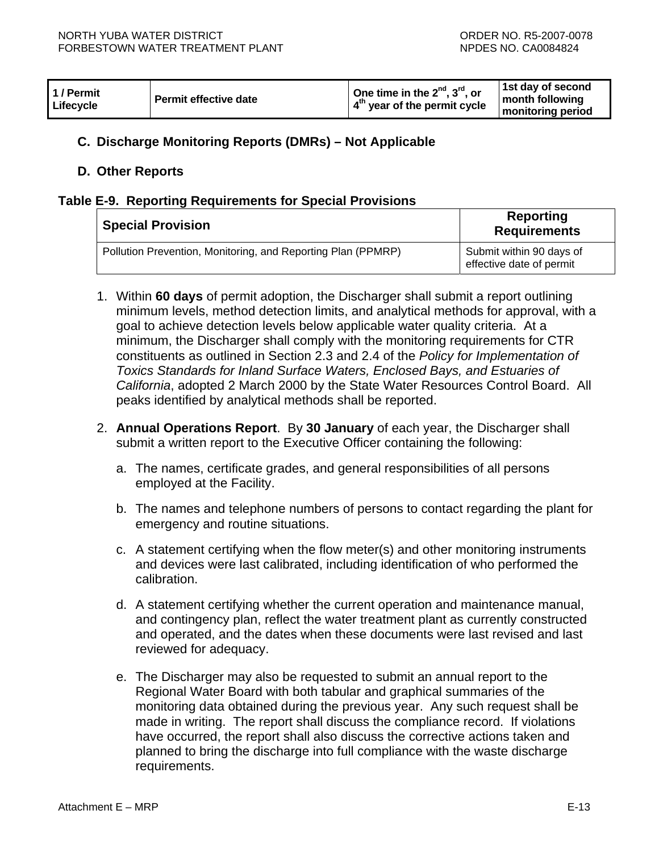<span id="page-55-0"></span>

| 1 / Permit<br>Lifecycle | <b>Permit effective date</b> | One time in the $2^{nd}$ , $3^{rd}$ , or<br>$\vert$ 4 <sup>th</sup> year of the permit cycle | 1st day of second<br>month following<br>monitoring period |
|-------------------------|------------------------------|----------------------------------------------------------------------------------------------|-----------------------------------------------------------|
|-------------------------|------------------------------|----------------------------------------------------------------------------------------------|-----------------------------------------------------------|

# **C. Discharge Monitoring Reports (DMRs) – Not Applicable**

### **D. Other Reports**

### **Table E-9. Reporting Requirements for Special Provisions**

| <b>Special Provision</b>                                     | Reporting<br><b>Requirements</b>                     |  |  |
|--------------------------------------------------------------|------------------------------------------------------|--|--|
| Pollution Prevention, Monitoring, and Reporting Plan (PPMRP) | Submit within 90 days of<br>effective date of permit |  |  |

- 1. Within **60 days** of permit adoption, the Discharger shall submit a report outlining minimum levels, method detection limits, and analytical methods for approval, with a goal to achieve detection levels below applicable water quality criteria. At a minimum, the Discharger shall comply with the monitoring requirements for CTR constituents as outlined in Section 2.3 and 2.4 of the *Policy for Implementation of Toxics Standards for Inland Surface Waters, Enclosed Bays, and Estuaries of California*, adopted 2 March 2000 by the State Water Resources Control Board. All peaks identified by analytical methods shall be reported.
- 2. **Annual Operations Report**. By **30 January** of each year, the Discharger shall submit a written report to the Executive Officer containing the following:
	- a. The names, certificate grades, and general responsibilities of all persons employed at the Facility.
	- b. The names and telephone numbers of persons to contact regarding the plant for emergency and routine situations.
	- c. A statement certifying when the flow meter(s) and other monitoring instruments and devices were last calibrated, including identification of who performed the calibration.
	- d. A statement certifying whether the current operation and maintenance manual, and contingency plan, reflect the water treatment plant as currently constructed and operated, and the dates when these documents were last revised and last reviewed for adequacy.
	- e. The Discharger may also be requested to submit an annual report to the Regional Water Board with both tabular and graphical summaries of the monitoring data obtained during the previous year. Any such request shall be made in writing. The report shall discuss the compliance record. If violations have occurred, the report shall also discuss the corrective actions taken and planned to bring the discharge into full compliance with the waste discharge requirements.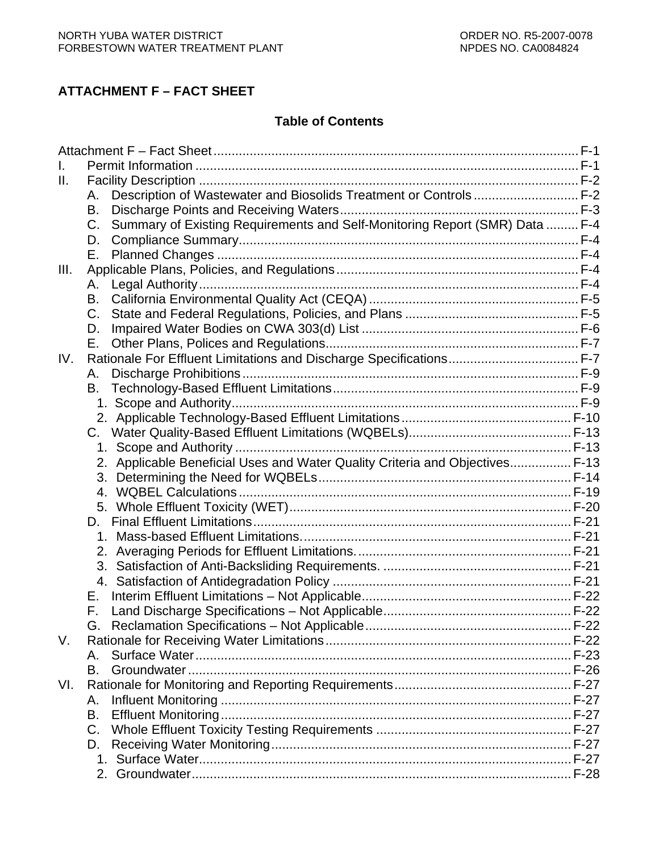# **ATTACHMENT F – FACT SHEET**

# **Table of Contents**

| Ш.   |                                                                                            |  |
|------|--------------------------------------------------------------------------------------------|--|
|      | Description of Wastewater and Biosolids Treatment or Controls F-2<br>Α.                    |  |
|      | В.                                                                                         |  |
|      | Summary of Existing Requirements and Self-Monitoring Report (SMR) Data  F-4<br>$C_{\cdot}$ |  |
|      | D.                                                                                         |  |
|      | Е.                                                                                         |  |
| III. |                                                                                            |  |
|      | А.                                                                                         |  |
|      | В.                                                                                         |  |
|      | C.                                                                                         |  |
|      | D.                                                                                         |  |
|      | Е.                                                                                         |  |
| IV.  |                                                                                            |  |
|      | А.                                                                                         |  |
|      | В.                                                                                         |  |
|      |                                                                                            |  |
|      |                                                                                            |  |
|      |                                                                                            |  |
|      | $1_{\cdot}$                                                                                |  |
|      | 2. Applicable Beneficial Uses and Water Quality Criteria and Objectives F-13               |  |
|      |                                                                                            |  |
|      | 4.                                                                                         |  |
|      | 5.                                                                                         |  |
|      | D.                                                                                         |  |
|      | 1.                                                                                         |  |
|      |                                                                                            |  |
|      |                                                                                            |  |
|      | 4.                                                                                         |  |
|      | Е.                                                                                         |  |
|      | F.                                                                                         |  |
|      |                                                                                            |  |
| V.   |                                                                                            |  |
|      | А.                                                                                         |  |
|      | B.                                                                                         |  |
| VI.  |                                                                                            |  |
|      | А.                                                                                         |  |
|      | В.                                                                                         |  |
|      | $C_{\cdot}$                                                                                |  |
|      | D.                                                                                         |  |
|      |                                                                                            |  |
|      |                                                                                            |  |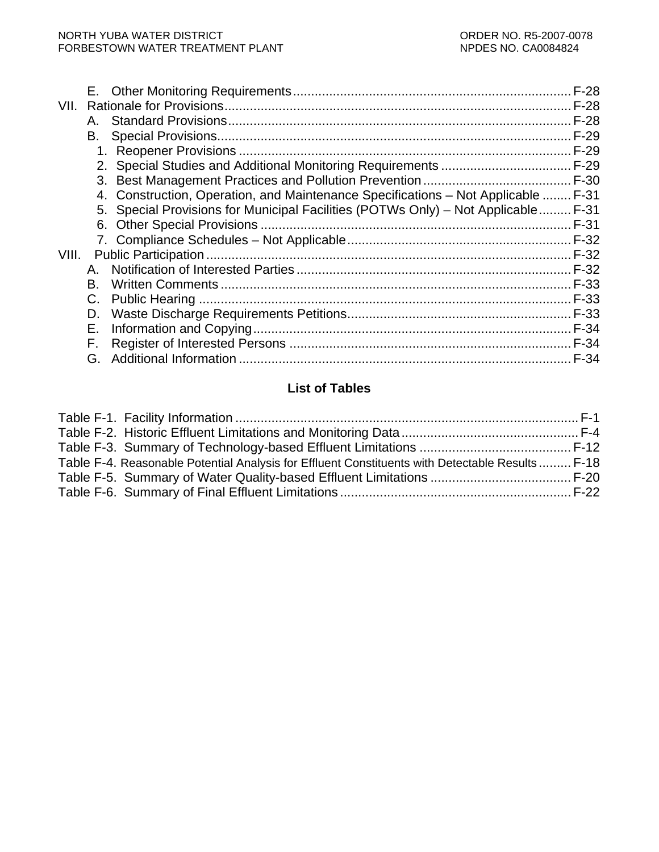| VII.  |    |                                                                                    |             |
|-------|----|------------------------------------------------------------------------------------|-------------|
|       | Α. |                                                                                    | F-28        |
|       | В. |                                                                                    | F-29        |
|       |    |                                                                                    |             |
|       |    |                                                                                    |             |
|       |    |                                                                                    |             |
|       | 4. | Construction, Operation, and Maintenance Specifications – Not Applicable  F-31     |             |
|       |    | 5. Special Provisions for Municipal Facilities (POTWs Only) - Not Applicable  F-31 |             |
|       | 6. |                                                                                    |             |
|       |    |                                                                                    |             |
| VIII. |    |                                                                                    |             |
|       | A. |                                                                                    |             |
|       | B. |                                                                                    | F-33        |
|       | C. |                                                                                    | F-33        |
|       | D. |                                                                                    |             |
|       | Е. |                                                                                    |             |
|       | F. |                                                                                    |             |
|       | G. |                                                                                    | <b>F-34</b> |
|       |    |                                                                                    |             |

# **List of Tables**

| Table F-4. Reasonable Potential Analysis for Effluent Constituents with Detectable Results F-18 |  |
|-------------------------------------------------------------------------------------------------|--|
|                                                                                                 |  |
|                                                                                                 |  |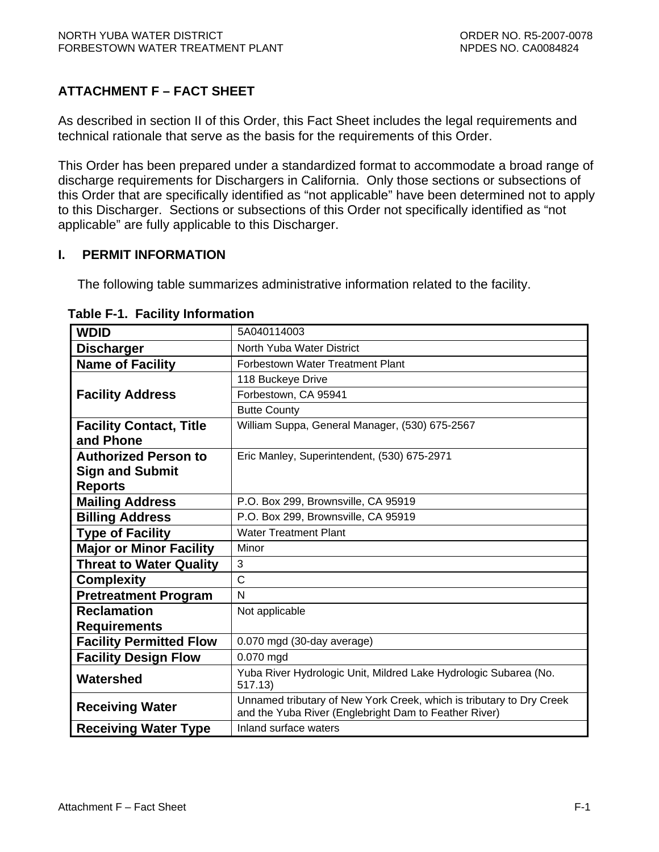# <span id="page-58-0"></span>**ATTACHMENT F – FACT SHEET**

As described in section II of this Order, this Fact Sheet includes the legal requirements and technical rationale that serve as the basis for the requirements of this Order.

This Order has been prepared under a standardized format to accommodate a broad range of discharge requirements for Dischargers in California. Only those sections or subsections of this Order that are specifically identified as "not applicable" have been determined not to apply to this Discharger. Sections or subsections of this Order not specifically identified as "not applicable" are fully applicable to this Discharger.

## **I. PERMIT INFORMATION**

The following table summarizes administrative information related to the facility.

| <b>WDID</b>                    | 5A040114003                                                                                                                   |
|--------------------------------|-------------------------------------------------------------------------------------------------------------------------------|
| <b>Discharger</b>              | North Yuba Water District                                                                                                     |
| <b>Name of Facility</b>        | Forbestown Water Treatment Plant                                                                                              |
|                                | 118 Buckeye Drive                                                                                                             |
| <b>Facility Address</b>        | Forbestown, CA 95941                                                                                                          |
|                                | <b>Butte County</b>                                                                                                           |
| <b>Facility Contact, Title</b> | William Suppa, General Manager, (530) 675-2567                                                                                |
| and Phone                      |                                                                                                                               |
| <b>Authorized Person to</b>    | Eric Manley, Superintendent, (530) 675-2971                                                                                   |
| <b>Sign and Submit</b>         |                                                                                                                               |
| <b>Reports</b>                 |                                                                                                                               |
| <b>Mailing Address</b>         | P.O. Box 299, Brownsville, CA 95919                                                                                           |
| <b>Billing Address</b>         | P.O. Box 299, Brownsville, CA 95919                                                                                           |
| <b>Type of Facility</b>        | <b>Water Treatment Plant</b>                                                                                                  |
| <b>Major or Minor Facility</b> | Minor                                                                                                                         |
| <b>Threat to Water Quality</b> | 3                                                                                                                             |
| <b>Complexity</b>              | $\mathsf{C}$                                                                                                                  |
| <b>Pretreatment Program</b>    | N                                                                                                                             |
| <b>Reclamation</b>             | Not applicable                                                                                                                |
| <b>Requirements</b>            |                                                                                                                               |
| <b>Facility Permitted Flow</b> | 0.070 mgd (30-day average)                                                                                                    |
| <b>Facility Design Flow</b>    | 0.070 mgd                                                                                                                     |
| Watershed                      | Yuba River Hydrologic Unit, Mildred Lake Hydrologic Subarea (No.<br>517.13)                                                   |
| <b>Receiving Water</b>         | Unnamed tributary of New York Creek, which is tributary to Dry Creek<br>and the Yuba River (Englebright Dam to Feather River) |
| <b>Receiving Water Type</b>    | Inland surface waters                                                                                                         |

### **Table F-1. Facility Information**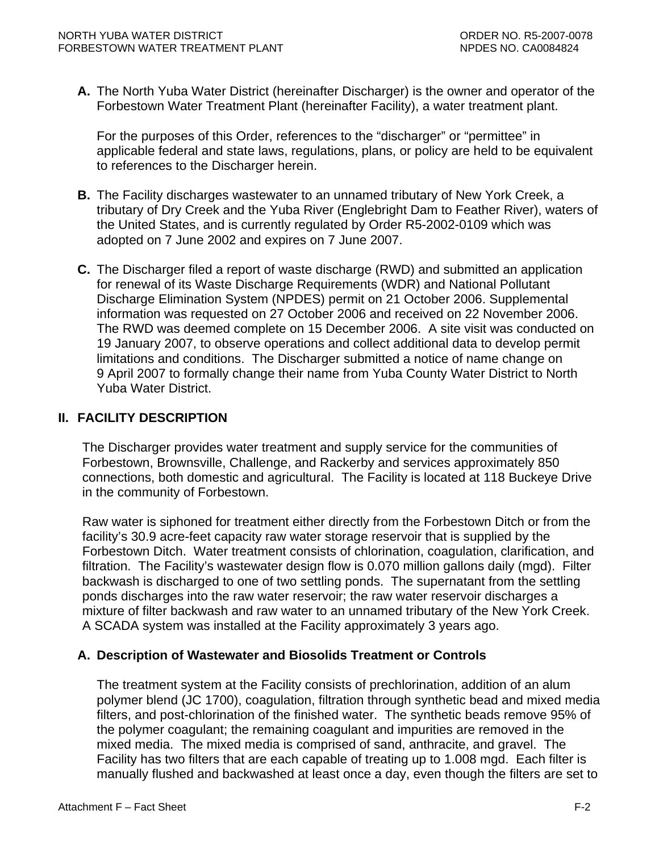<span id="page-59-0"></span>**A.** The North Yuba Water District (hereinafter Discharger) is the owner and operator of the Forbestown Water Treatment Plant (hereinafter Facility), a water treatment plant.

For the purposes of this Order, references to the "discharger" or "permittee" in applicable federal and state laws, regulations, plans, or policy are held to be equivalent to references to the Discharger herein.

- **B.** The Facility discharges wastewater to an unnamed tributary of New York Creek, a tributary of Dry Creek and the Yuba River (Englebright Dam to Feather River), waters of the United States, and is currently regulated by Order R5-2002-0109 which was adopted on 7 June 2002 and expires on 7 June 2007.
- **C.** The Discharger filed a report of waste discharge (RWD) and submitted an application for renewal of its Waste Discharge Requirements (WDR) and National Pollutant Discharge Elimination System (NPDES) permit on 21 October 2006. Supplemental information was requested on 27 October 2006 and received on 22 November 2006. The RWD was deemed complete on 15 December 2006. A site visit was conducted on 19 January 2007, to observe operations and collect additional data to develop permit limitations and conditions. The Discharger submitted a notice of name change on 9 April 2007 to formally change their name from Yuba County Water District to North Yuba Water District.

## **II. FACILITY DESCRIPTION**

The Discharger provides water treatment and supply service for the communities of Forbestown, Brownsville, Challenge, and Rackerby and services approximately 850 connections, both domestic and agricultural. The Facility is located at 118 Buckeye Drive in the community of Forbestown.

Raw water is siphoned for treatment either directly from the Forbestown Ditch or from the facility's 30.9 acre-feet capacity raw water storage reservoir that is supplied by the Forbestown Ditch. Water treatment consists of chlorination, coagulation, clarification, and filtration. The Facility's wastewater design flow is 0.070 million gallons daily (mgd). Filter backwash is discharged to one of two settling ponds. The supernatant from the settling ponds discharges into the raw water reservoir; the raw water reservoir discharges a mixture of filter backwash and raw water to an unnamed tributary of the New York Creek. A SCADA system was installed at the Facility approximately 3 years ago.

## **A. Description of Wastewater and Biosolids Treatment or Controls**

The treatment system at the Facility consists of prechlorination, addition of an alum polymer blend (JC 1700), coagulation, filtration through synthetic bead and mixed media filters, and post-chlorination of the finished water. The synthetic beads remove 95% of the polymer coagulant; the remaining coagulant and impurities are removed in the mixed media. The mixed media is comprised of sand, anthracite, and gravel. The Facility has two filters that are each capable of treating up to 1.008 mgd. Each filter is manually flushed and backwashed at least once a day, even though the filters are set to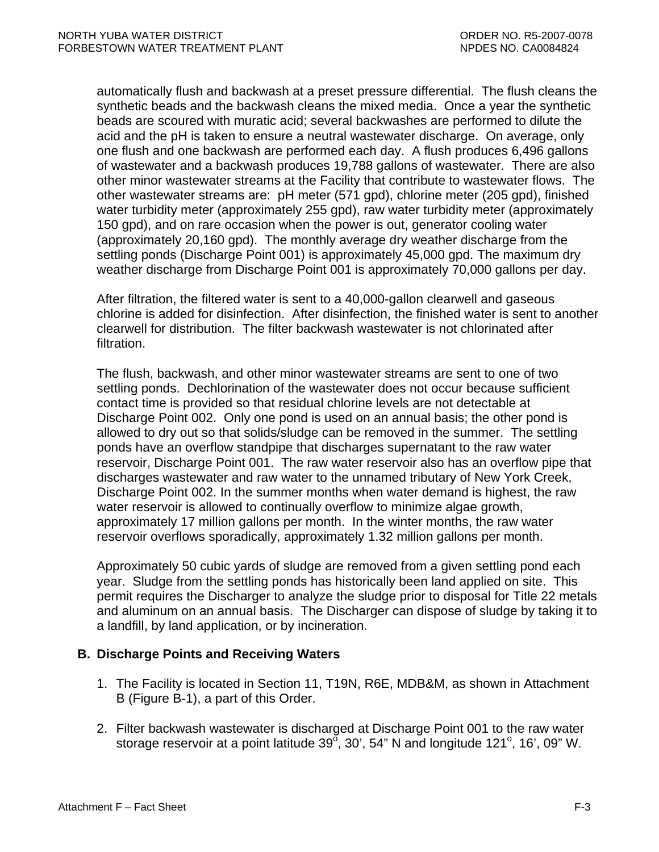<span id="page-60-0"></span>automatically flush and backwash at a preset pressure differential. The flush cleans the synthetic beads and the backwash cleans the mixed media. Once a year the synthetic beads are scoured with muratic acid; several backwashes are performed to dilute the acid and the pH is taken to ensure a neutral wastewater discharge. On average, only one flush and one backwash are performed each day. A flush produces 6,496 gallons of wastewater and a backwash produces 19,788 gallons of wastewater. There are also other minor wastewater streams at the Facility that contribute to wastewater flows. The other wastewater streams are: pH meter (571 gpd), chlorine meter (205 gpd), finished water turbidity meter (approximately 255 gpd), raw water turbidity meter (approximately 150 gpd), and on rare occasion when the power is out, generator cooling water (approximately 20,160 gpd). The monthly average dry weather discharge from the settling ponds (Discharge Point 001) is approximately 45,000 gpd. The maximum dry weather discharge from Discharge Point 001 is approximately 70,000 gallons per day.

After filtration, the filtered water is sent to a 40,000-gallon clearwell and gaseous chlorine is added for disinfection. After disinfection, the finished water is sent to another clearwell for distribution. The filter backwash wastewater is not chlorinated after filtration.

The flush, backwash, and other minor wastewater streams are sent to one of two settling ponds. Dechlorination of the wastewater does not occur because sufficient contact time is provided so that residual chlorine levels are not detectable at Discharge Point 002. Only one pond is used on an annual basis; the other pond is allowed to dry out so that solids/sludge can be removed in the summer. The settling ponds have an overflow standpipe that discharges supernatant to the raw water reservoir, Discharge Point 001. The raw water reservoir also has an overflow pipe that discharges wastewater and raw water to the unnamed tributary of New York Creek, Discharge Point 002. In the summer months when water demand is highest, the raw water reservoir is allowed to continually overflow to minimize algae growth, approximately 17 million gallons per month. In the winter months, the raw water reservoir overflows sporadically, approximately 1.32 million gallons per month.

Approximately 50 cubic yards of sludge are removed from a given settling pond each year. Sludge from the settling ponds has historically been land applied on site. This permit requires the Discharger to analyze the sludge prior to disposal for Title 22 metals and aluminum on an annual basis. The Discharger can dispose of sludge by taking it to a landfill, by land application, or by incineration.

## **B. Discharge Points and Receiving Waters**

- 1. The Facility is located in Section 11, T19N, R6E, MDB&M, as shown in Attachment B (Figure B-1), a part of this Order.
- 2. Filter backwash wastewater is discharged at Discharge Point 001 to the raw water storage reservoir at a point latitude 39 $\degree$ , 30', 54" N and longitude 121 $\degree$ , 16', 09" W.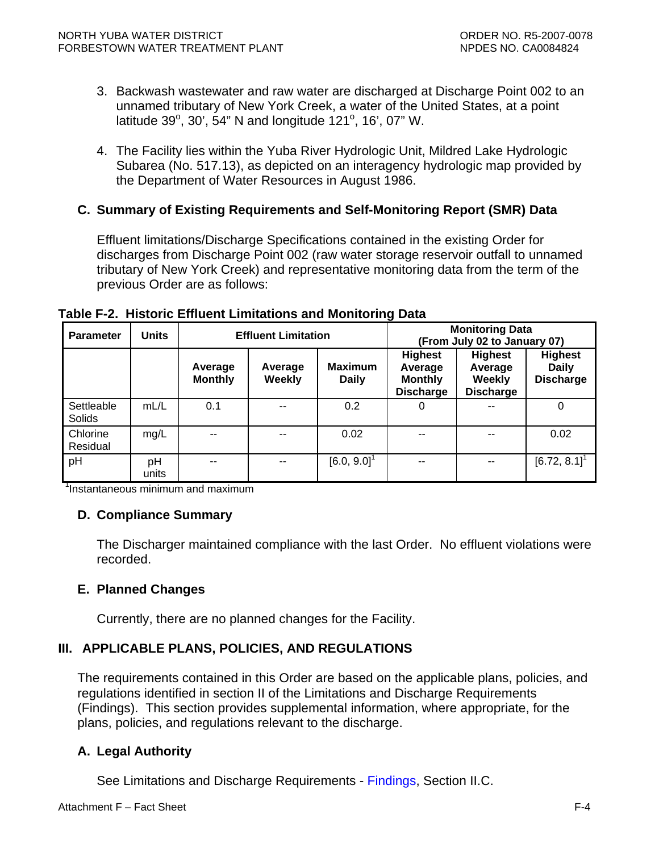- <span id="page-61-0"></span>3. Backwash wastewater and raw water are discharged at Discharge Point 002 to an unnamed tributary of New York Creek, a water of the United States, at a point latitude 39°, 30', 54" N and longitude 121°, 16', 07" W.
- 4. The Facility lies within the Yuba River Hydrologic Unit, Mildred Lake Hydrologic Subarea (No. 517.13), as depicted on an interagency hydrologic map provided by the Department of Water Resources in August 1986.

# **C. Summary of Existing Requirements and Self-Monitoring Report (SMR) Data**

Effluent limitations/Discharge Specifications contained in the existing Order for discharges from Discharge Point 002 (raw water storage reservoir outfall to unnamed tributary of New York Creek) and representative monitoring data from the term of the previous Order are as follows:

| <b>Parameter</b>     | <b>Units</b> | $\tilde{\phantom{a}}$<br><b>Effluent Limitation</b> |                          |                                |                                                                 | <b>Monitoring Data</b><br>(From July 02 to January 07)  |                                                    |
|----------------------|--------------|-----------------------------------------------------|--------------------------|--------------------------------|-----------------------------------------------------------------|---------------------------------------------------------|----------------------------------------------------|
|                      |              | Average<br><b>Monthly</b>                           | Average<br><b>Weekly</b> | <b>Maximum</b><br><b>Daily</b> | <b>Highest</b><br>Average<br><b>Monthly</b><br><b>Discharge</b> | <b>Highest</b><br>Average<br>Weekly<br><b>Discharge</b> | <b>Highest</b><br><b>Daily</b><br><b>Discharge</b> |
| Settleable<br>Solids | mL/L         | 0.1                                                 | $\sim$                   | 0.2                            | 0                                                               | --                                                      | 0                                                  |
| Chlorine<br>Residual | mg/L         | --                                                  | --                       | 0.02                           | --                                                              | --                                                      | 0.02                                               |
| pH                   | pH<br>units  | $- -$                                               |                          | $[6.0, 9.0]$ <sup>1</sup>      | --                                                              | --                                                      | $[6.72, 8.1]$ <sup>1</sup>                         |

**Table F-2. Historic Effluent Limitations and Monitoring Data** 

1<sup>1</sup> Instantaneous minimum and maximum

## **D. Compliance Summary**

The Discharger maintained compliance with the last Order. No effluent violations were recorded.

## **E. Planned Changes**

Currently, there are no planned changes for the Facility.

# **III. APPLICABLE PLANS, POLICIES, AND REGULATIONS**

The requirements contained in this Order are based on the applicable plans, policies, and regulations identified in section II of the Limitations and Discharge Requirements ([Findings](#page-2-0)). This section provides supplemental information, where appropriate, for the plans, policies, and regulations relevant to the discharge.

# **A. Legal Authority**

See Limitations and Discharge Requirements - [Findings, Section II.C.](#page-3-0)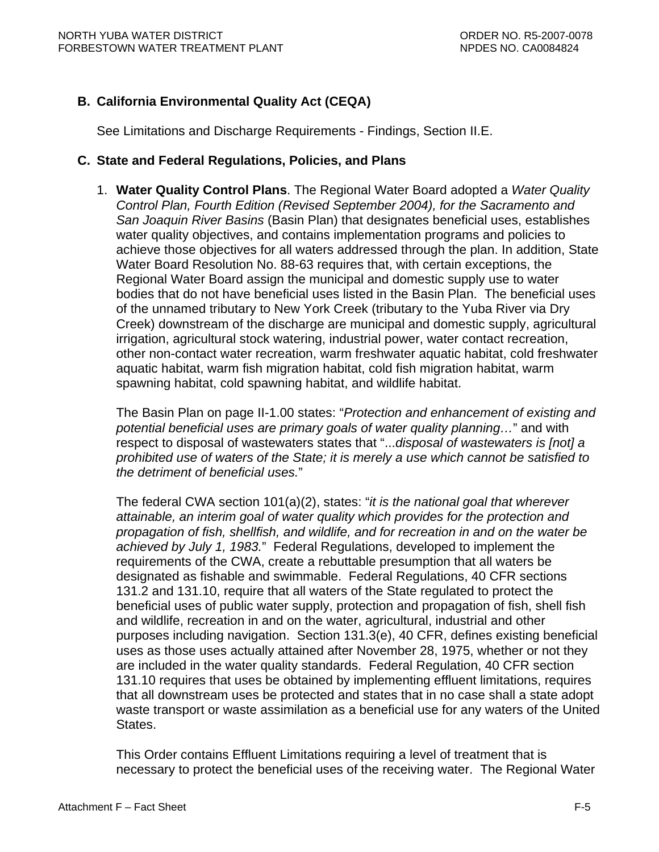# <span id="page-62-0"></span>**B. California Environmental Quality Act (CEQA)**

See Limitations and Discharge Requirements - [Findings, Section II.E.](#page-3-0)

## **C. State and Federal Regulations, Policies, and Plans**

1. **Water Quality Control Plans**. The Regional Water Board adopted a *Water Quality Control Plan, Fourth Edition (Revised September 2004), for the Sacramento and San Joaquin River Basins* (Basin Plan) that designates beneficial uses, establishes water quality objectives, and contains implementation programs and policies to achieve those objectives for all waters addressed through the plan. In addition, State Water Board Resolution No. 88-63 requires that, with certain exceptions, the Regional Water Board assign the municipal and domestic supply use to water bodies that do not have beneficial uses listed in the Basin Plan. The beneficial uses of the unnamed tributary to New York Creek (tributary to the Yuba River via Dry Creek) downstream of the discharge are municipal and domestic supply, agricultural irrigation, agricultural stock watering, industrial power, water contact recreation, other non-contact water recreation, warm freshwater aquatic habitat, cold freshwater aquatic habitat, warm fish migration habitat, cold fish migration habitat, warm spawning habitat, cold spawning habitat, and wildlife habitat.

The Basin Plan on page II-1.00 states: "*Protection and enhancement of existing and potential beneficial uses are primary goals of water quality planning…*" and with respect to disposal of wastewaters states that "...*disposal of wastewaters is [not] a prohibited use of waters of the State; it is merely a use which cannot be satisfied to the detriment of beneficial uses.*"

The federal CWA section 101(a)(2), states: "*it is the national goal that wherever attainable, an interim goal of water quality which provides for the protection and propagation of fish, shellfish, and wildlife, and for recreation in and on the water be achieved by July 1, 1983.*" Federal Regulations, developed to implement the requirements of the CWA, create a rebuttable presumption that all waters be designated as fishable and swimmable. Federal Regulations, 40 CFR sections 131.2 and 131.10, require that all waters of the State regulated to protect the beneficial uses of public water supply, protection and propagation of fish, shell fish and wildlife, recreation in and on the water, agricultural, industrial and other purposes including navigation. Section 131.3(e), 40 CFR, defines existing beneficial uses as those uses actually attained after November 28, 1975, whether or not they are included in the water quality standards. Federal Regulation, 40 CFR section 131.10 requires that uses be obtained by implementing effluent limitations, requires that all downstream uses be protected and states that in no case shall a state adopt waste transport or waste assimilation as a beneficial use for any waters of the United States.

This Order contains Effluent Limitations requiring a level of treatment that is necessary to protect the beneficial uses of the receiving water. The Regional Water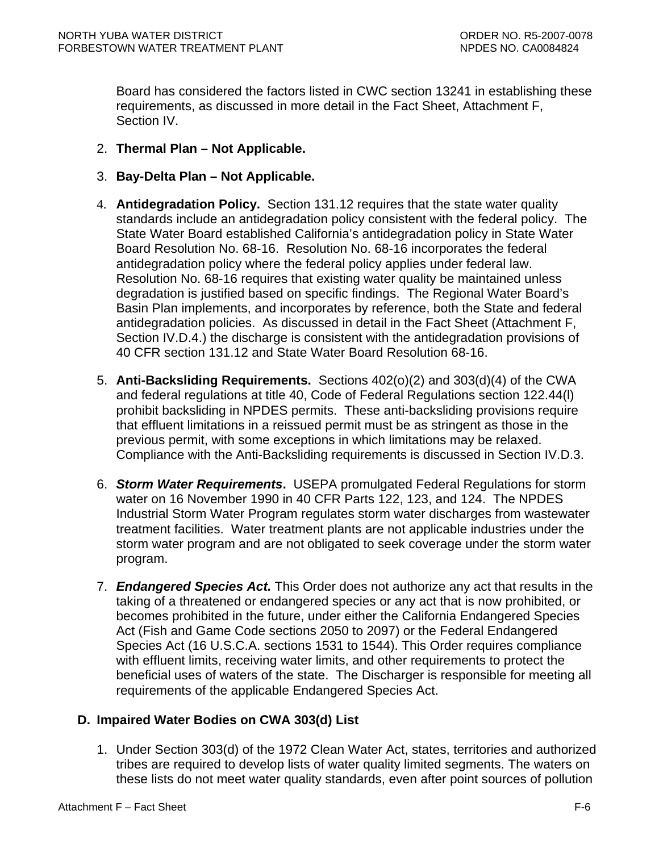<span id="page-63-0"></span>Board has considered the factors listed in CWC section 13241 in establishing these requirements, as discussed in more detail in the Fact Sheet, Attachment F, Section IV.

- 2. **Thermal Plan Not Applicable.**
- 3. **Bay-Delta Plan Not Applicable.**
- 4. **Antidegradation Policy.** Section 131.12 requires that the state water quality standards include an antidegradation policy consistent with the federal policy. The State Water Board established California's antidegradation policy in State Water Board Resolution No. 68-16. Resolution No. 68-16 incorporates the federal antidegradation policy where the federal policy applies under federal law. Resolution No. 68-16 requires that existing water quality be maintained unless degradation is justified based on specific findings. The Regional Water Board's Basin Plan implements, and incorporates by reference, both the State and federal antidegradation policies. As discussed in detail in the Fact Sheet ([Attachment F,](#page-78-0)  [Section IV.D.4.](#page-78-0)) the discharge is consistent with the antidegradation provisions of 40 CFR section 131.12 and State Water Board Resolution 68-16.
- 5. **Anti-Backsliding Requirements.** Sections 402(o)(2) and 303(d)(4) of the CWA and federal regulations at title 40, Code of Federal Regulations section 122.44(l) prohibit backsliding in NPDES permits. These anti-backsliding provisions require that effluent limitations in a reissued permit must be as stringent as those in the previous permit, with some exceptions in which limitations may be relaxed. Compliance with the Anti-Backsliding requirements is discussed in [Section IV.D.3.](#page-78-0)
- 6. *Storm Water Requirements***.** USEPA promulgated Federal Regulations for storm water on 16 November 1990 in 40 CFR Parts 122, 123, and 124. The NPDES Industrial Storm Water Program regulates storm water discharges from wastewater treatment facilities. Water treatment plants are not applicable industries under the storm water program and are not obligated to seek coverage under the storm water program.
- 7. *Endangered Species Act.* This Order does not authorize any act that results in the taking of a threatened or endangered species or any act that is now prohibited, or becomes prohibited in the future, under either the California Endangered Species Act (Fish and Game Code sections 2050 to 2097) or the Federal Endangered Species Act (16 U.S.C.A. sections 1531 to 1544). This Order requires compliance with effluent limits, receiving water limits, and other requirements to protect the beneficial uses of waters of the state. The Discharger is responsible for meeting all requirements of the applicable Endangered Species Act.

# **D. Impaired Water Bodies on CWA 303(d) List**

1. Under Section 303(d) of the 1972 Clean Water Act, states, territories and authorized tribes are required to develop lists of water quality limited segments. The waters on these lists do not meet water quality standards, even after point sources of pollution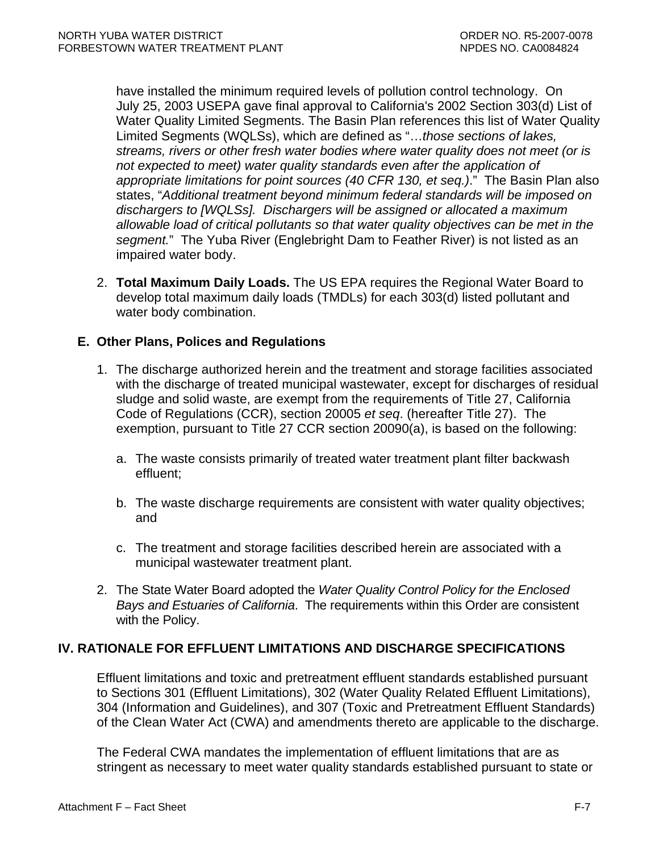<span id="page-64-0"></span>have installed the minimum required levels of pollution control technology. On July 25, 2003 USEPA gave final approval to California's 2002 Section 303(d) List of Water Quality Limited Segments. The Basin Plan references this list of Water Quality Limited Segments (WQLSs), which are defined as "…*those sections of lakes, streams, rivers or other fresh water bodies where water quality does not meet (or is not expected to meet) water quality standards even after the application of appropriate limitations for point sources (40 CFR 130, et seq.)*." The Basin Plan also states, "*Additional treatment beyond minimum federal standards will be imposed on dischargers to [WQLSs]. Dischargers will be assigned or allocated a maximum allowable load of critical pollutants so that water quality objectives can be met in the segment.*" The Yuba River (Englebright Dam to Feather River) is not listed as an impaired water body.

2. **Total Maximum Daily Loads.** The US EPA requires the Regional Water Board to develop total maximum daily loads (TMDLs) for each 303(d) listed pollutant and water body combination.

# **E. Other Plans, Polices and Regulations**

- 1. The discharge authorized herein and the treatment and storage facilities associated with the discharge of treated municipal wastewater, except for discharges of residual sludge and solid waste, are exempt from the requirements of Title 27, California Code of Regulations (CCR), section 20005 *et seq*. (hereafter Title 27). The exemption, pursuant to Title 27 CCR section 20090(a), is based on the following:
	- a. The waste consists primarily of treated water treatment plant filter backwash effluent;
	- b. The waste discharge requirements are consistent with water quality objectives; and
	- c. The treatment and storage facilities described herein are associated with a municipal wastewater treatment plant.
- 2. The State Water Board adopted the *Water Quality Control Policy for the Enclosed Bays and Estuaries of California*. The requirements within this Order are consistent with the Policy.

# **IV. RATIONALE FOR EFFLUENT LIMITATIONS AND DISCHARGE SPECIFICATIONS**

Effluent limitations and toxic and pretreatment effluent standards established pursuant to Sections 301 (Effluent Limitations), 302 (Water Quality Related Effluent Limitations), 304 (Information and Guidelines), and 307 (Toxic and Pretreatment Effluent Standards) of the Clean Water Act (CWA) and amendments thereto are applicable to the discharge.

The Federal CWA mandates the implementation of effluent limitations that are as stringent as necessary to meet water quality standards established pursuant to state or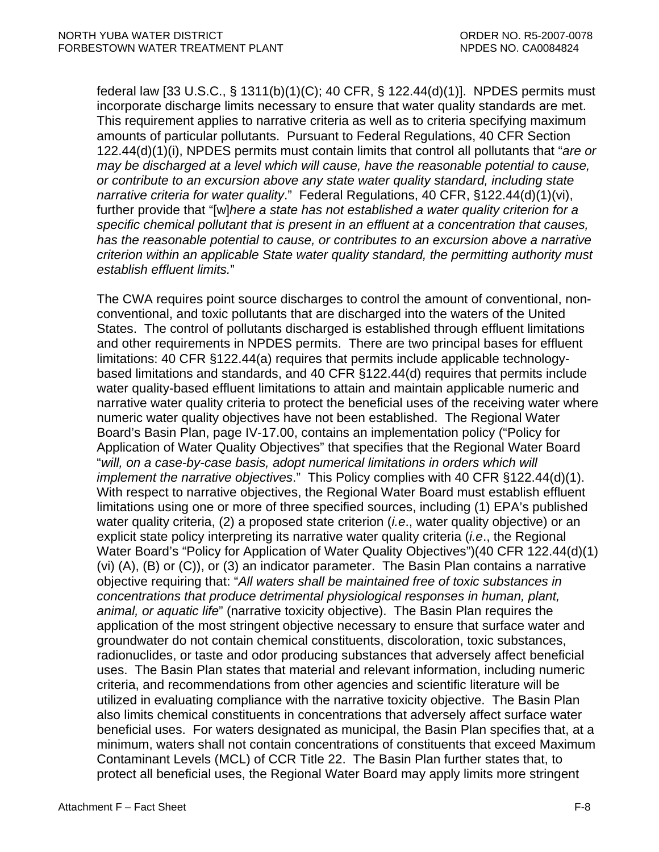federal law [33 U.S.C., § 1311(b)(1)(C); 40 CFR, § 122.44(d)(1)]. NPDES permits must incorporate discharge limits necessary to ensure that water quality standards are met. This requirement applies to narrative criteria as well as to criteria specifying maximum amounts of particular pollutants. Pursuant to Federal Regulations, 40 CFR Section 122.44(d)(1)(i), NPDES permits must contain limits that control all pollutants that "*are or may be discharged at a level which will cause, have the reasonable potential to cause, or contribute to an excursion above any state water quality standard, including state narrative criteria for water quality*." Federal Regulations, 40 CFR, §122.44(d)(1)(vi), further provide that "[w]*here a state has not established a water quality criterion for a specific chemical pollutant that is present in an effluent at a concentration that causes, has the reasonable potential to cause, or contributes to an excursion above a narrative criterion within an applicable State water quality standard, the permitting authority must establish effluent limits.*"

The CWA requires point source discharges to control the amount of conventional, nonconventional, and toxic pollutants that are discharged into the waters of the United States. The control of pollutants discharged is established through effluent limitations and other requirements in NPDES permits. There are two principal bases for effluent limitations: 40 CFR §122.44(a) requires that permits include applicable technologybased limitations and standards, and 40 CFR §122.44(d) requires that permits include water quality-based effluent limitations to attain and maintain applicable numeric and narrative water quality criteria to protect the beneficial uses of the receiving water where numeric water quality objectives have not been established. The Regional Water Board's Basin Plan, page IV-17.00, contains an implementation policy ("Policy for Application of Water Quality Objectives" that specifies that the Regional Water Board "*will, on a case-by-case basis, adopt numerical limitations in orders which will implement the narrative objectives*." This Policy complies with 40 CFR §122.44(d)(1). With respect to narrative objectives, the Regional Water Board must establish effluent limitations using one or more of three specified sources, including (1) EPA's published water quality criteria, (2) a proposed state criterion (*i.e*., water quality objective) or an explicit state policy interpreting its narrative water quality criteria (*i.e*., the Regional Water Board's "Policy for Application of Water Quality Objectives")(40 CFR 122.44(d)(1) (vi) (A), (B) or (C)), or (3) an indicator parameter. The Basin Plan contains a narrative objective requiring that: "*All waters shall be maintained free of toxic substances in concentrations that produce detrimental physiological responses in human, plant, animal, or aquatic life*" (narrative toxicity objective). The Basin Plan requires the application of the most stringent objective necessary to ensure that surface water and groundwater do not contain chemical constituents, discoloration, toxic substances, radionuclides, or taste and odor producing substances that adversely affect beneficial uses. The Basin Plan states that material and relevant information, including numeric criteria, and recommendations from other agencies and scientific literature will be utilized in evaluating compliance with the narrative toxicity objective. The Basin Plan also limits chemical constituents in concentrations that adversely affect surface water beneficial uses. For waters designated as municipal, the Basin Plan specifies that, at a minimum, waters shall not contain concentrations of constituents that exceed Maximum Contaminant Levels (MCL) of CCR Title 22. The Basin Plan further states that, to protect all beneficial uses, the Regional Water Board may apply limits more stringent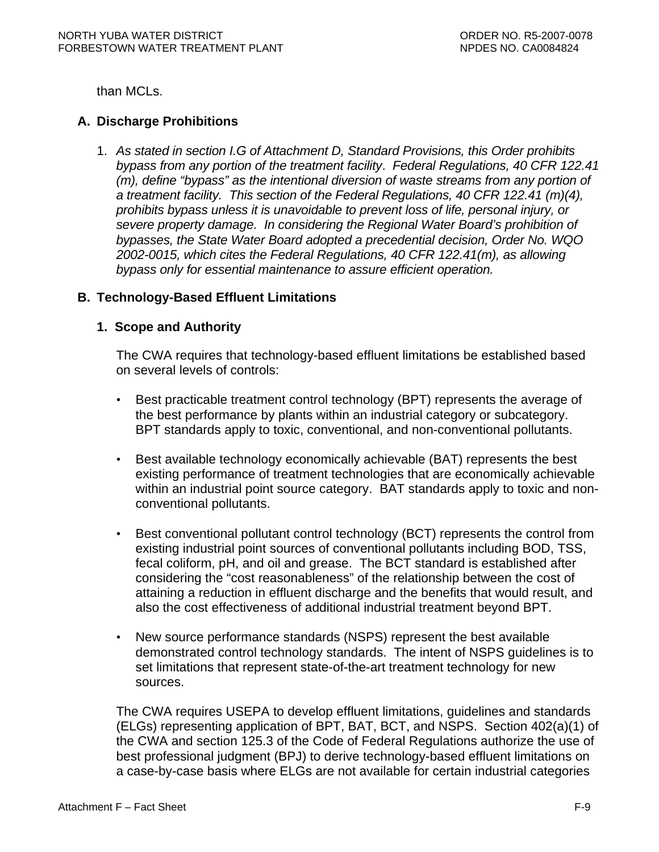<span id="page-66-0"></span>than MCLs.

# **A. Discharge Prohibitions**

1. *As stated in section I.G of Attachment D, Standard Provisions, this Order prohibits bypass from any portion of the treatment facility*. *Federal Regulations, 40 CFR 122.41 (m), define "bypass" as the intentional diversion of waste streams from any portion of a treatment facility. This section of the Federal Regulations, 40 CFR 122.41 (m)(4), prohibits bypass unless it is unavoidable to prevent loss of life, personal injury, or severe property damage. In considering the Regional Water Board's prohibition of bypasses, the State Water Board adopted a precedential decision, Order No. WQO 2002-0015, which cites the Federal Regulations, 40 CFR 122.41(m), as allowing bypass only for essential maintenance to assure efficient operation.* 

# **B. Technology-Based Effluent Limitations**

## **1. Scope and Authority**

The CWA requires that technology-based effluent limitations be established based on several levels of controls:

- Best practicable treatment control technology (BPT) represents the average of the best performance by plants within an industrial category or subcategory. BPT standards apply to toxic, conventional, and non-conventional pollutants.
- Best available technology economically achievable (BAT) represents the best existing performance of treatment technologies that are economically achievable within an industrial point source category. BAT standards apply to toxic and nonconventional pollutants.
- Best conventional pollutant control technology (BCT) represents the control from existing industrial point sources of conventional pollutants including BOD, TSS, fecal coliform, pH, and oil and grease. The BCT standard is established after considering the "cost reasonableness" of the relationship between the cost of attaining a reduction in effluent discharge and the benefits that would result, and also the cost effectiveness of additional industrial treatment beyond BPT.
- New source performance standards (NSPS) represent the best available demonstrated control technology standards. The intent of NSPS guidelines is to set limitations that represent state-of-the-art treatment technology for new sources.

The CWA requires USEPA to develop effluent limitations, guidelines and standards (ELGs) representing application of BPT, BAT, BCT, and NSPS. Section 402(a)(1) of the CWA and section 125.3 of the Code of Federal Regulations authorize the use of best professional judgment (BPJ) to derive technology-based effluent limitations on a case-by-case basis where ELGs are not available for certain industrial categories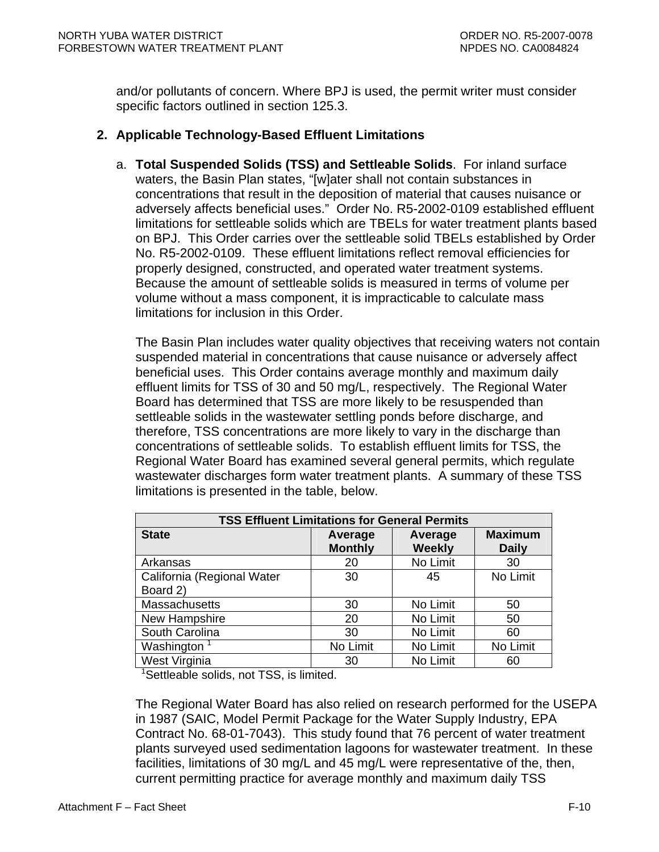<span id="page-67-0"></span>and/or pollutants of concern. Where BPJ is used, the permit writer must consider specific factors outlined in section 125.3.

## **2. Applicable Technology-Based Effluent Limitations**

a. **Total Suspended Solids (TSS) and Settleable Solids**. For inland surface waters, the Basin Plan states, "[w]ater shall not contain substances in concentrations that result in the deposition of material that causes nuisance or adversely affects beneficial uses." Order No. R5-2002-0109 established effluent limitations for settleable solids which are TBELs for water treatment plants based on BPJ. This Order carries over the settleable solid TBELs established by Order No. R5-2002-0109. These effluent limitations reflect removal efficiencies for properly designed, constructed, and operated water treatment systems. Because the amount of settleable solids is measured in terms of volume per volume without a mass component, it is impracticable to calculate mass limitations for inclusion in this Order.

The Basin Plan includes water quality objectives that receiving waters not contain suspended material in concentrations that cause nuisance or adversely affect beneficial uses. This Order contains average monthly and maximum daily effluent limits for TSS of 30 and 50 mg/L, respectively. The Regional Water Board has determined that TSS are more likely to be resuspended than settleable solids in the wastewater settling ponds before discharge, and therefore, TSS concentrations are more likely to vary in the discharge than concentrations of settleable solids. To establish effluent limits for TSS, the Regional Water Board has examined several general permits, which regulate wastewater discharges form water treatment plants. A summary of these TSS limitations is presented in the table, below.

| <b>TSS Effluent Limitations for General Permits</b> |                           |                          |                                |  |  |
|-----------------------------------------------------|---------------------------|--------------------------|--------------------------------|--|--|
| <b>State</b>                                        | Average<br><b>Monthly</b> | Average<br><b>Weekly</b> | <b>Maximum</b><br><b>Daily</b> |  |  |
| Arkansas                                            | 20                        | No Limit                 | 30                             |  |  |
| California (Regional Water                          | 30                        | 45                       | No Limit                       |  |  |
| Board 2)                                            |                           |                          |                                |  |  |
| Massachusetts                                       | 30                        | No Limit                 | 50                             |  |  |
| New Hampshire                                       | 20                        | No Limit                 | 50                             |  |  |
| South Carolina                                      | 30                        | No Limit                 | 60                             |  |  |
| Washington <sup>1</sup>                             | No Limit                  | No Limit                 | No Limit                       |  |  |
| West Virginia                                       | 30                        | No Limit                 | 60                             |  |  |

<sup>1</sup>Settleable solids, not TSS, is limited.

The Regional Water Board has also relied on research performed for the USEPA in 1987 (SAIC, Model Permit Package for the Water Supply Industry, EPA Contract No. 68-01-7043). This study found that 76 percent of water treatment plants surveyed used sedimentation lagoons for wastewater treatment. In these facilities, limitations of 30 mg/L and 45 mg/L were representative of the, then, current permitting practice for average monthly and maximum daily TSS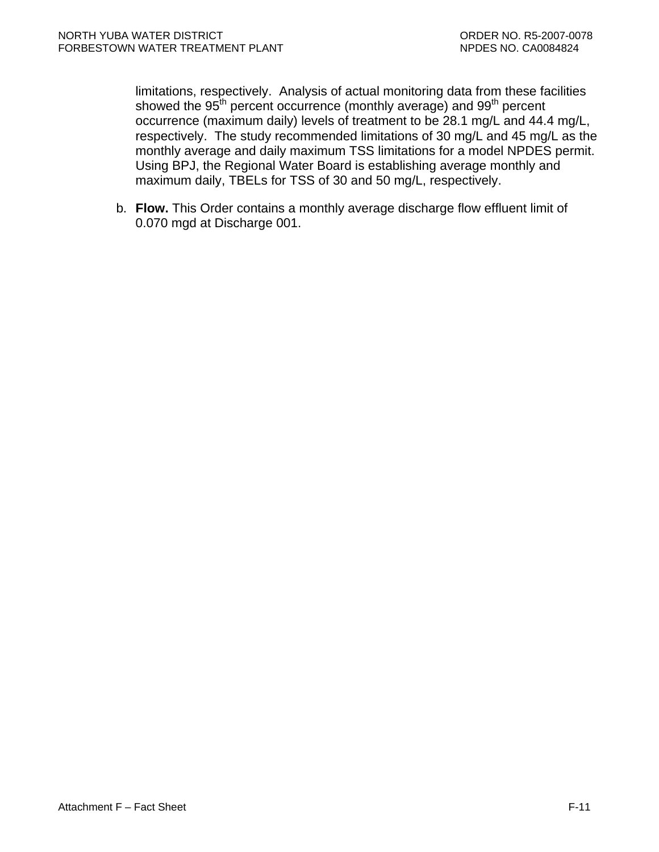limitations, respectively. Analysis of actual monitoring data from these facilities showed the 95<sup>th</sup> percent occurrence (monthly average) and 99<sup>th</sup> percent occurrence (maximum daily) levels of treatment to be 28.1 mg/L and 44.4 mg/L, respectively. The study recommended limitations of 30 mg/L and 45 mg/L as the monthly average and daily maximum TSS limitations for a model NPDES permit. Using BPJ, the Regional Water Board is establishing average monthly and maximum daily, TBELs for TSS of 30 and 50 mg/L, respectively.

b. **Flow.** This Order contains a monthly average discharge flow effluent limit of 0.070 mgd at Discharge 001.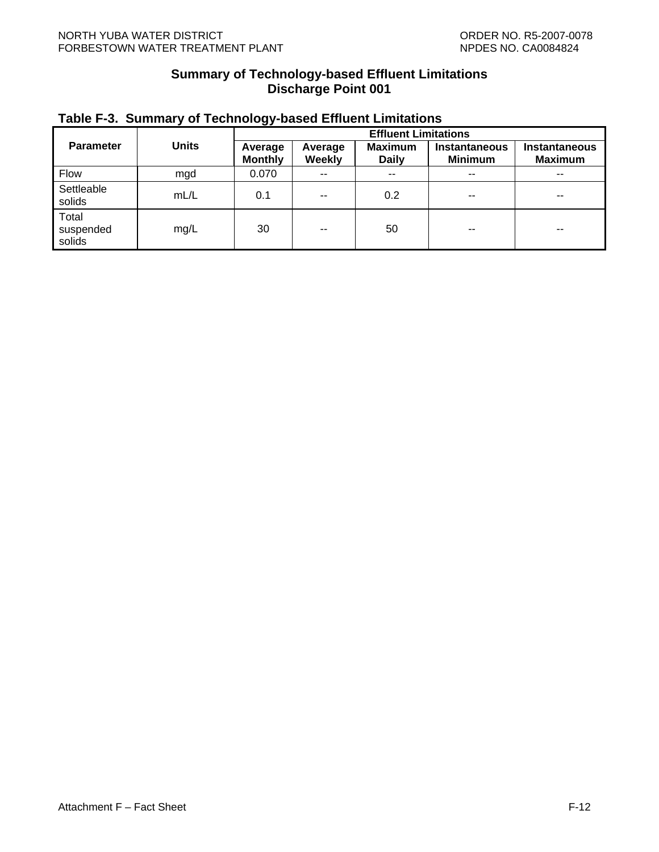## **Summary of Technology-based Effluent Limitations Discharge Point 001**

<span id="page-69-0"></span>

| Table F-3. Summary of Technology-based Effluent Limitations |
|-------------------------------------------------------------|
|-------------------------------------------------------------|

|                              |              | <b>Effluent Limitations</b> |                   |                                |                                 |                                 |
|------------------------------|--------------|-----------------------------|-------------------|--------------------------------|---------------------------------|---------------------------------|
| <b>Parameter</b>             | <b>Units</b> | Average<br><b>Monthly</b>   | Average<br>Weekly | <b>Maximum</b><br><b>Daily</b> | Instantaneous<br><b>Minimum</b> | Instantaneous<br><b>Maximum</b> |
| <b>Flow</b>                  | mgd          | 0.070                       | $\sim$ $\sim$     | $\sim$ $\sim$                  | $-$                             | $- -$                           |
| Settleable<br>solids         | mL/L         | 0.1                         | $\sim$ $\sim$     | 0.2                            | $-$                             | $\sim$ $\sim$                   |
| Total<br>suspended<br>solids | mg/L         | 30                          | $- -$             | 50                             | --                              | $-$                             |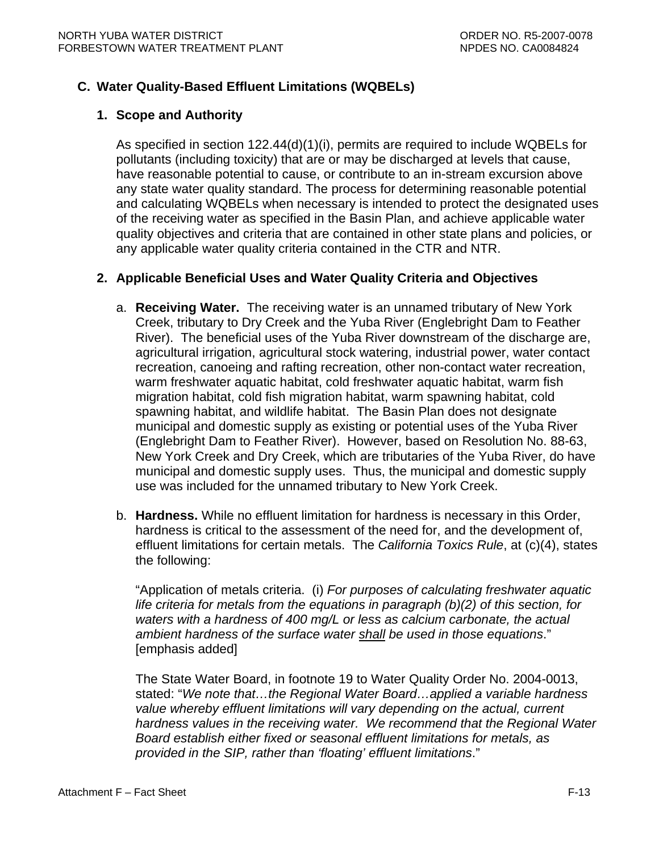## <span id="page-70-0"></span>**C. Water Quality-Based Effluent Limitations (WQBELs)**

## **1. Scope and Authority**

As specified in section 122.44(d)(1)(i), permits are required to include WQBELs for pollutants (including toxicity) that are or may be discharged at levels that cause, have reasonable potential to cause, or contribute to an in-stream excursion above any state water quality standard. The process for determining reasonable potential and calculating WQBELs when necessary is intended to protect the designated uses of the receiving water as specified in the Basin Plan, and achieve applicable water quality objectives and criteria that are contained in other state plans and policies, or any applicable water quality criteria contained in the CTR and NTR.

### **2. Applicable Beneficial Uses and Water Quality Criteria and Objectives**

- a. **Receiving Water.** The receiving water is an unnamed tributary of New York Creek, tributary to Dry Creek and the Yuba River (Englebright Dam to Feather River). The beneficial uses of the Yuba River downstream of the discharge are, agricultural irrigation, agricultural stock watering, industrial power, water contact recreation, canoeing and rafting recreation, other non-contact water recreation, warm freshwater aquatic habitat, cold freshwater aquatic habitat, warm fish migration habitat, cold fish migration habitat, warm spawning habitat, cold spawning habitat, and wildlife habitat. The Basin Plan does not designate municipal and domestic supply as existing or potential uses of the Yuba River (Englebright Dam to Feather River). However, based on Resolution No. 88-63, New York Creek and Dry Creek, which are tributaries of the Yuba River, do have municipal and domestic supply uses. Thus, the municipal and domestic supply use was included for the unnamed tributary to New York Creek.
- b. **Hardness.** While no effluent limitation for hardness is necessary in this Order, hardness is critical to the assessment of the need for, and the development of, effluent limitations for certain metals. The *California Toxics Rule*, at (c)(4), states the following:

"Application of metals criteria. (i) *For purposes of calculating freshwater aquatic life criteria for metals from the equations in paragraph (b)(2) of this section, for waters with a hardness of 400 mg/L or less as calcium carbonate, the actual ambient hardness of the surface water shall be used in those equations*." [emphasis added]

The State Water Board, in footnote 19 to Water Quality Order No. 2004-0013, stated: "*We note that…the Regional Water Board…applied a variable hardness value whereby effluent limitations will vary depending on the actual, current hardness values in the receiving water. We recommend that the Regional Water Board establish either fixed or seasonal effluent limitations for metals, as provided in the SIP, rather than 'floating' effluent limitations*."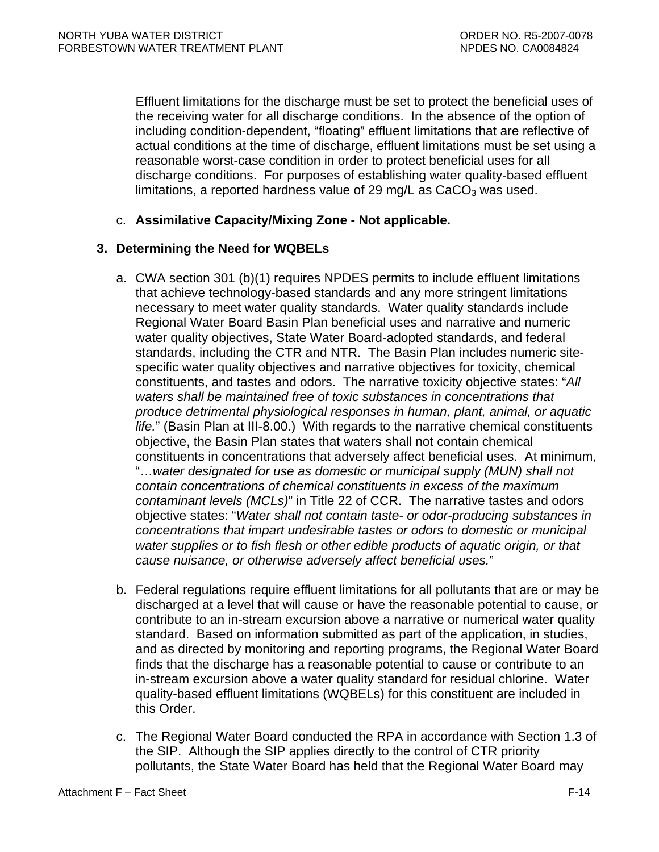<span id="page-71-0"></span>Effluent limitations for the discharge must be set to protect the beneficial uses of the receiving water for all discharge conditions. In the absence of the option of including condition-dependent, "floating" effluent limitations that are reflective of actual conditions at the time of discharge, effluent limitations must be set using a reasonable worst-case condition in order to protect beneficial uses for all discharge conditions. For purposes of establishing water quality-based effluent limitations, a reported hardness value of 29 mg/L as  $CaCO<sub>3</sub>$  was used.

c. **Assimilative Capacity/Mixing Zone - Not applicable.** 

# **3. Determining the Need for WQBELs**

- a. CWA section 301 (b)(1) requires NPDES permits to include effluent limitations that achieve technology-based standards and any more stringent limitations necessary to meet water quality standards. Water quality standards include Regional Water Board Basin Plan beneficial uses and narrative and numeric water quality objectives, State Water Board-adopted standards, and federal standards, including the CTR and NTR. The Basin Plan includes numeric sitespecific water quality objectives and narrative objectives for toxicity, chemical constituents, and tastes and odors. The narrative toxicity objective states: "*All waters shall be maintained free of toxic substances in concentrations that produce detrimental physiological responses in human, plant, animal, or aquatic life.*" (Basin Plan at III-8.00.) With regards to the narrative chemical constituents objective, the Basin Plan states that waters shall not contain chemical constituents in concentrations that adversely affect beneficial uses. At minimum, "…*water designated for use as domestic or municipal supply (MUN) shall not contain concentrations of chemical constituents in excess of the maximum contaminant levels (MCLs)*" in Title 22 of CCR. The narrative tastes and odors objective states: "*Water shall not contain taste- or odor-producing substances in concentrations that impart undesirable tastes or odors to domestic or municipal water supplies or to fish flesh or other edible products of aquatic origin, or that cause nuisance, or otherwise adversely affect beneficial uses.*"
- b. Federal regulations require effluent limitations for all pollutants that are or may be discharged at a level that will cause or have the reasonable potential to cause, or contribute to an in-stream excursion above a narrative or numerical water quality standard. Based on information submitted as part of the application, in studies, and as directed by monitoring and reporting programs, the Regional Water Board finds that the discharge has a reasonable potential to cause or contribute to an in-stream excursion above a water quality standard for residual chlorine. Water quality-based effluent limitations (WQBELs) for this constituent are included in this Order.
- c. The Regional Water Board conducted the RPA in accordance with Section 1.3 of the SIP. Although the SIP applies directly to the control of CTR priority pollutants, the State Water Board has held that the Regional Water Board may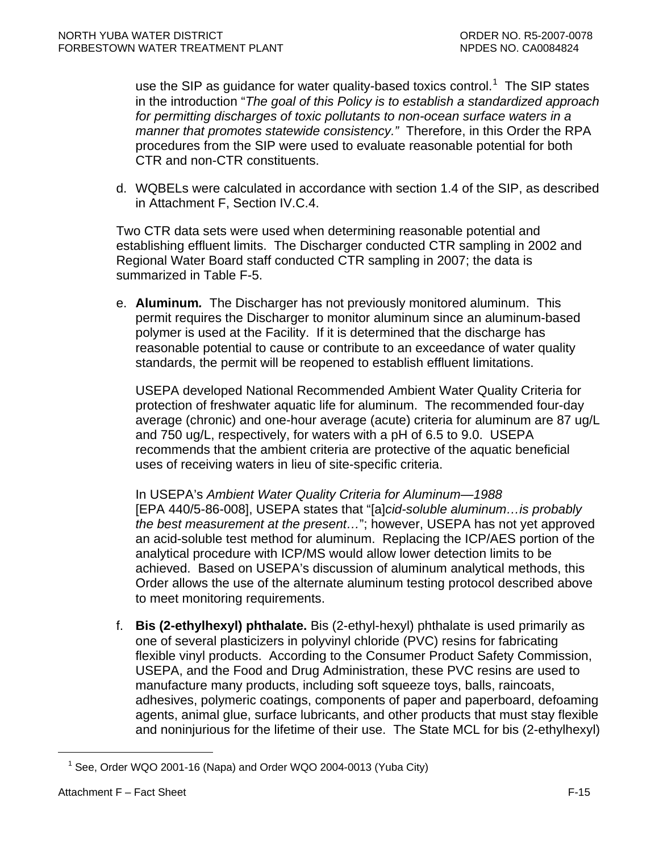use the SIP as guidance for water quality-based toxics control.<sup>[1](#page-72-0)</sup> The SIP states in the introduction "*The goal of this Policy is to establish a standardized approach*  for permitting discharges of toxic pollutants to non-ocean surface waters in a *manner that promotes statewide consistency."* Therefore, in this Order the RPA procedures from the SIP were used to evaluate reasonable potential for both CTR and non-CTR constituents.

d. WQBELs were calculated in accordance with section 1.4 of the SIP, as described in [Attachment F, Section IV.C.4.](#page-76-0) 

Two CTR data sets were used when determining reasonable potential and establishing effluent limits. The Discharger conducted CTR sampling in 2002 and Regional Water Board staff conducted CTR sampling in 2007; the data is summarized in Table F-5.

e. **Aluminum***.* The Discharger has not previously monitored aluminum. This permit requires the Discharger to monitor aluminum since an aluminum-based polymer is used at the Facility. If it is determined that the discharge has reasonable potential to cause or contribute to an exceedance of water quality standards, the permit will be reopened to establish effluent limitations.

USEPA developed National Recommended Ambient Water Quality Criteria for protection of freshwater aquatic life for aluminum. The recommended four-day average (chronic) and one-hour average (acute) criteria for aluminum are 87 ug/L and 750 ug/L, respectively, for waters with a pH of 6.5 to 9.0. USEPA recommends that the ambient criteria are protective of the aquatic beneficial uses of receiving waters in lieu of site-specific criteria.

In USEPA's *Ambient Water Quality Criteria for Aluminum—1988* [EPA 440/5-86-008], USEPA states that "[a]*cid-soluble aluminum…is probably the best measurement at the present…*"; however, USEPA has not yet approved an acid-soluble test method for aluminum. Replacing the ICP/AES portion of the analytical procedure with ICP/MS would allow lower detection limits to be achieved. Based on USEPA's discussion of aluminum analytical methods, this Order allows the use of the alternate aluminum testing protocol described above to meet monitoring requirements.

f. **Bis (2-ethylhexyl) phthalate.** Bis (2-ethyl-hexyl) phthalate is used primarily as one of several plasticizers in polyvinyl chloride (PVC) resins for fabricating flexible vinyl products. According to the Consumer Product Safety Commission, USEPA, and the Food and Drug Administration, these PVC resins are used to manufacture many products, including soft squeeze toys, balls, raincoats, adhesives, polymeric coatings, components of paper and paperboard, defoaming agents, animal glue, surface lubricants, and other products that must stay flexible and noninjurious for the lifetime of their use. The State MCL for bis (2-ethylhexyl)

<span id="page-72-0"></span> $\overline{a}$ 

<sup>&</sup>lt;sup>1</sup> See, Order WQO 2001-16 (Napa) and Order WQO 2004-0013 (Yuba City)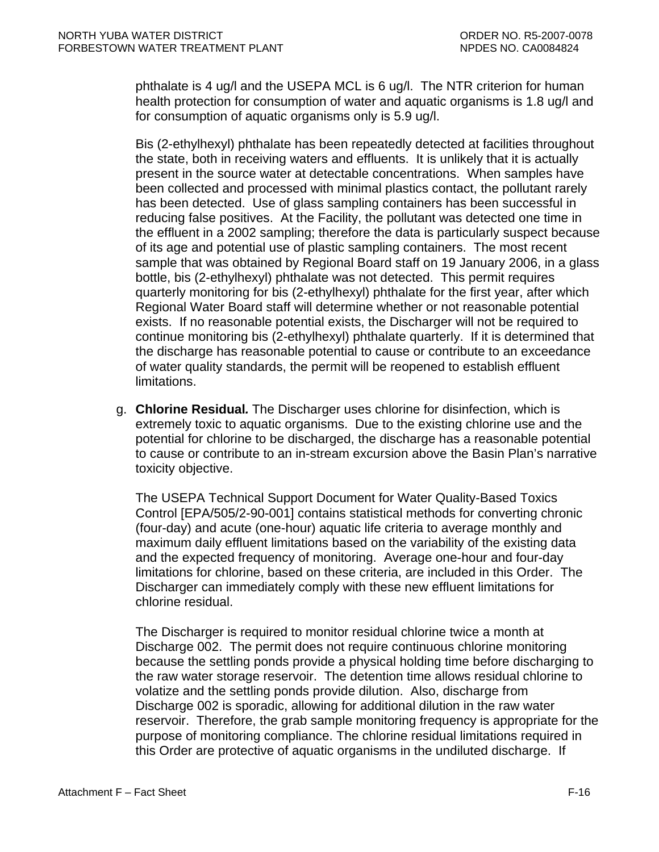phthalate is 4 ug/l and the USEPA MCL is 6 ug/l. The NTR criterion for human health protection for consumption of water and aquatic organisms is 1.8 ug/l and for consumption of aquatic organisms only is 5.9 ug/l.

Bis (2-ethylhexyl) phthalate has been repeatedly detected at facilities throughout the state, both in receiving waters and effluents. It is unlikely that it is actually present in the source water at detectable concentrations. When samples have been collected and processed with minimal plastics contact, the pollutant rarely has been detected. Use of glass sampling containers has been successful in reducing false positives. At the Facility, the pollutant was detected one time in the effluent in a 2002 sampling; therefore the data is particularly suspect because of its age and potential use of plastic sampling containers. The most recent sample that was obtained by Regional Board staff on 19 January 2006, in a glass bottle, bis (2-ethylhexyl) phthalate was not detected. This permit requires quarterly monitoring for bis (2-ethylhexyl) phthalate for the first year, after which Regional Water Board staff will determine whether or not reasonable potential exists. If no reasonable potential exists, the Discharger will not be required to continue monitoring bis (2-ethylhexyl) phthalate quarterly. If it is determined that the discharge has reasonable potential to cause or contribute to an exceedance of water quality standards, the permit will be reopened to establish effluent limitations.

g. **Chlorine Residual***.* The Discharger uses chlorine for disinfection, which is extremely toxic to aquatic organisms. Due to the existing chlorine use and the potential for chlorine to be discharged, the discharge has a reasonable potential to cause or contribute to an in-stream excursion above the Basin Plan's narrative toxicity objective.

The USEPA Technical Support Document for Water Quality-Based Toxics Control [EPA/505/2-90-001] contains statistical methods for converting chronic (four-day) and acute (one-hour) aquatic life criteria to average monthly and maximum daily effluent limitations based on the variability of the existing data and the expected frequency of monitoring. Average one-hour and four-day limitations for chlorine, based on these criteria, are included in this Order. The Discharger can immediately comply with these new effluent limitations for chlorine residual.

The Discharger is required to monitor residual chlorine twice a month at Discharge 002. The permit does not require continuous chlorine monitoring because the settling ponds provide a physical holding time before discharging to the raw water storage reservoir. The detention time allows residual chlorine to volatize and the settling ponds provide dilution. Also, discharge from Discharge 002 is sporadic, allowing for additional dilution in the raw water reservoir. Therefore, the grab sample monitoring frequency is appropriate for the purpose of monitoring compliance. The chlorine residual limitations required in this Order are protective of aquatic organisms in the undiluted discharge. If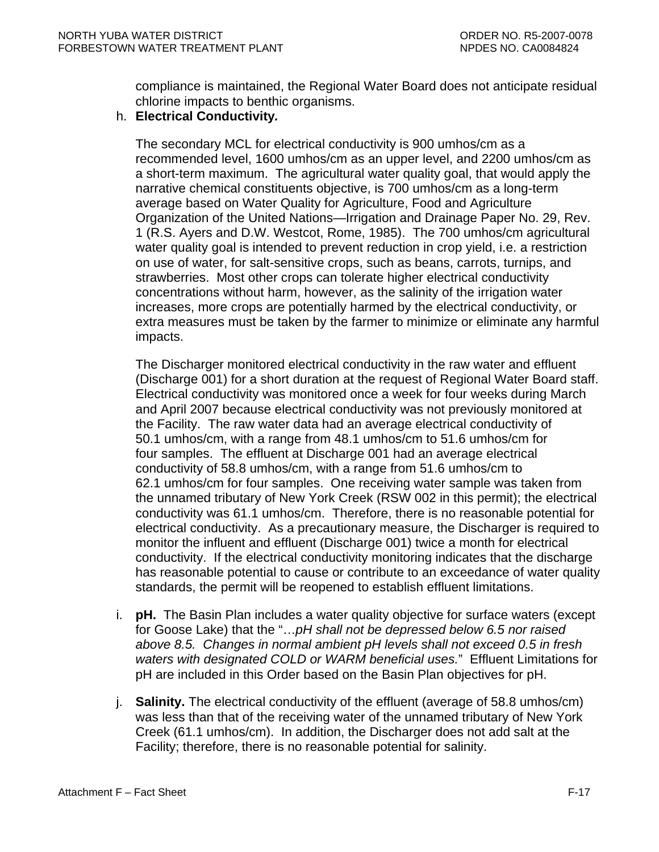compliance is maintained, the Regional Water Board does not anticipate residual chlorine impacts to benthic organisms.

#### h. **Electrical Conductivity***.*

The secondary MCL for electrical conductivity is 900 umhos/cm as a recommended level, 1600 umhos/cm as an upper level, and 2200 umhos/cm as a short-term maximum. The agricultural water quality goal, that would apply the narrative chemical constituents objective, is 700 umhos/cm as a long-term average based on Water Quality for Agriculture, Food and Agriculture Organization of the United Nations—Irrigation and Drainage Paper No. 29, Rev. 1 (R.S. Ayers and D.W. Westcot, Rome, 1985). The 700 umhos/cm agricultural water quality goal is intended to prevent reduction in crop yield, i.e. a restriction on use of water, for salt-sensitive crops, such as beans, carrots, turnips, and strawberries. Most other crops can tolerate higher electrical conductivity concentrations without harm, however, as the salinity of the irrigation water increases, more crops are potentially harmed by the electrical conductivity, or extra measures must be taken by the farmer to minimize or eliminate any harmful impacts.

The Discharger monitored electrical conductivity in the raw water and effluent (Discharge 001) for a short duration at the request of Regional Water Board staff. Electrical conductivity was monitored once a week for four weeks during March and April 2007 because electrical conductivity was not previously monitored at the Facility. The raw water data had an average electrical conductivity of 50.1 umhos/cm, with a range from 48.1 umhos/cm to 51.6 umhos/cm for four samples. The effluent at Discharge 001 had an average electrical conductivity of 58.8 umhos/cm, with a range from 51.6 umhos/cm to 62.1 umhos/cm for four samples. One receiving water sample was taken from the unnamed tributary of New York Creek (RSW 002 in this permit); the electrical conductivity was 61.1 umhos/cm. Therefore, there is no reasonable potential for electrical conductivity. As a precautionary measure, the Discharger is required to monitor the influent and effluent (Discharge 001) twice a month for electrical conductivity. If the electrical conductivity monitoring indicates that the discharge has reasonable potential to cause or contribute to an exceedance of water quality standards, the permit will be reopened to establish effluent limitations.

- i. **pH.** The Basin Plan includes a water quality objective for surface waters (except for Goose Lake) that the "…*pH shall not be depressed below 6.5 nor raised above 8.5. Changes in normal ambient pH levels shall not exceed 0.5 in fresh waters with designated COLD or WARM beneficial uses.*" Effluent Limitations for pH are included in this Order based on the Basin Plan objectives for pH.
- j. **Salinity.** The electrical conductivity of the effluent (average of 58.8 umhos/cm) was less than that of the receiving water of the unnamed tributary of New York Creek (61.1 umhos/cm). In addition, the Discharger does not add salt at the Facility; therefore, there is no reasonable potential for salinity.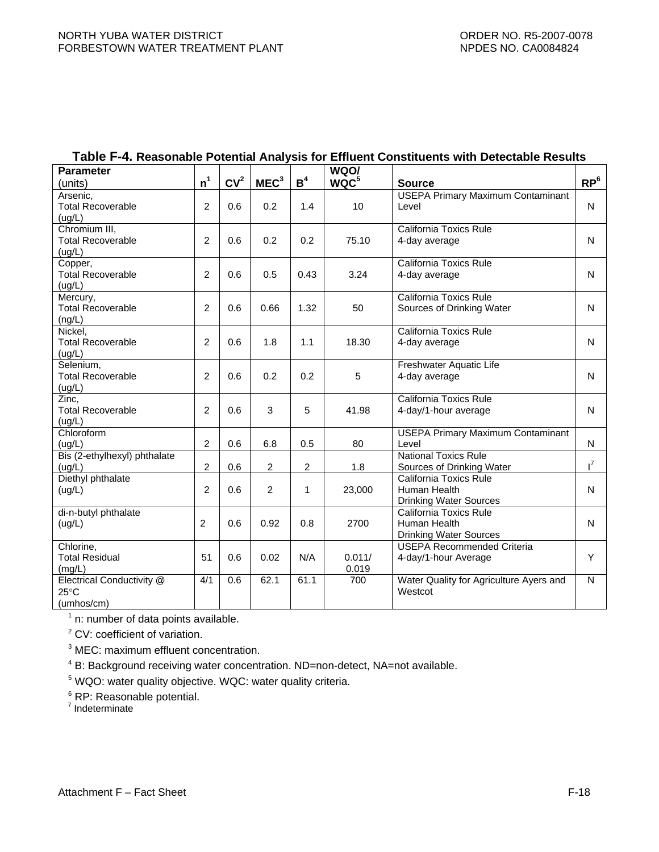| <b>Parameter</b>                                          |                |                 |                  |                | WQO/             |                                                                         |                 |
|-----------------------------------------------------------|----------------|-----------------|------------------|----------------|------------------|-------------------------------------------------------------------------|-----------------|
| (units)                                                   | n <sup>1</sup> | CV <sup>2</sup> | MEC <sup>3</sup> | B <sup>4</sup> | WQC <sup>5</sup> | <b>Source</b>                                                           | RP <sup>6</sup> |
| Arsenic,<br><b>Total Recoverable</b><br>(uq/L)            | $\overline{2}$ | 0.6             | 0.2              | 1.4            | 10               | <b>USEPA Primary Maximum Contaminant</b><br>Level                       | $\mathsf{N}$    |
| Chromium III,<br><b>Total Recoverable</b><br>(ug/L)       | $\overline{c}$ | 0.6             | 0.2              | 0.2            | 75.10            | California Toxics Rule<br>4-day average                                 | $\mathsf{N}$    |
| Copper,<br><b>Total Recoverable</b><br>(ug/L)             | $\overline{c}$ | 0.6             | 0.5              | 0.43           | 3.24             | California Toxics Rule<br>4-day average                                 | $\mathsf{N}$    |
| Mercury,<br><b>Total Recoverable</b><br>(ng/L)            | $\overline{2}$ | 0.6             | 0.66             | 1.32           | 50               | <b>California Toxics Rule</b><br>Sources of Drinking Water              | N               |
| Nickel,<br><b>Total Recoverable</b><br>(ug/L)             | $\overline{2}$ | 0.6             | 1.8              | 1.1            | 18.30            | California Toxics Rule<br>4-day average                                 | N               |
| Selenium,<br><b>Total Recoverable</b><br>(ug/L)           | $\overline{2}$ | 0.6             | 0.2              | 0.2            | 5                | Freshwater Aquatic Life<br>4-day average                                | N               |
| Zinc,<br><b>Total Recoverable</b><br>(ug/L)               | $\overline{2}$ | 0.6             | 3                | 5              | 41.98            | California Toxics Rule<br>4-day/1-hour average                          | $\mathsf{N}$    |
| Chloroform<br>(ug/L)                                      | $\overline{2}$ | 0.6             | 6.8              | 0.5            | 80               | <b>USEPA Primary Maximum Contaminant</b><br>Level                       | N               |
| Bis (2-ethylhexyl) phthalate<br>(uq/L)                    | $\overline{c}$ | 0.6             | $\overline{2}$   | $\overline{c}$ | 1.8              | <b>National Toxics Rule</b><br>Sources of Drinking Water                | $\mathsf{I}^7$  |
| Diethyl phthalate<br>(ug/L)                               | $\overline{2}$ | 0.6             | $\overline{2}$   | $\mathbf{1}$   | 23,000           | California Toxics Rule<br>Human Health<br><b>Drinking Water Sources</b> | $\mathsf{N}$    |
| di-n-butyl phthalate<br>(ug/L)                            | 2              | 0.6             | 0.92             | 0.8            | 2700             | California Toxics Rule<br>Human Health<br><b>Drinking Water Sources</b> | N               |
| Chlorine,<br><b>Total Residual</b><br>(mg/L)              | 51             | 0.6             | 0.02             | N/A            | 0.011/<br>0.019  | <b>USEPA Recommended Criteria</b><br>4-day/1-hour Average               | Y               |
| Electrical Conductivity @<br>$25^{\circ}$ C<br>(umhos/cm) | 4/1            | 0.6             | 62.1             | 61.1           | 700              | Water Quality for Agriculture Ayers and<br>Westcot                      | $\mathsf{N}$    |

# **Table F-4. Reasonable Potential Analysis for Effluent Constituents with Detectable Results**

 $<sup>1</sup>$  n: number of data points available.</sup>

<sup>2</sup> CV: coefficient of variation.

<sup>3</sup> MEC: maximum effluent concentration.

<sup>4</sup> B: Background receiving water concentration. ND=non-detect, NA=not available.<br><sup>5</sup> WOO: water quality objective, WOC: water quality criteria

WQO: water quality objective. WQC: water quality criteria.

<sup>6</sup> RP: Reasonable potential.

<sup>7</sup> Indeterminate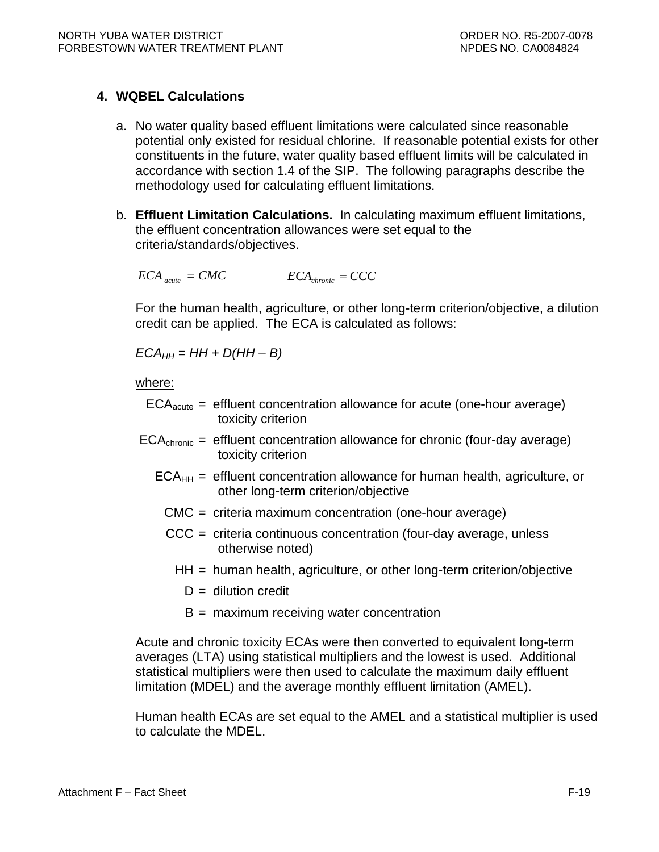# <span id="page-76-0"></span>**4. WQBEL Calculations**

- a. No water quality based effluent limitations were calculated since reasonable potential only existed for residual chlorine. If reasonable potential exists for other constituents in the future, water quality based effluent limits will be calculated in accordance with section 1.4 of the SIP. The following paragraphs describe the methodology used for calculating effluent limitations.
- b. **Effluent Limitation Calculations.** In calculating maximum effluent limitations, the effluent concentration allowances were set equal to the criteria/standards/objectives.

 $ECA$ <sub>*acute</sub>* = *CMC*  $ECA$ <sub>*chronic*</sub> = *CCC*</sub>

For the human health, agriculture, or other long-term criterion/objective, a dilution credit can be applied. The ECA is calculated as follows:

 $ECA_{HH} = HH + D(HH - B)$ 

where:

- $ECA<sub>acute</sub> =$  effluent concentration allowance for acute (one-hour average) toxicity criterion
- $ECA<sub>chronic</sub> = effluent concentration allowed for chronic (four-day average)$ toxicity criterion
	- $ECA<sub>HH</sub>$  = effluent concentration allowance for human health, agriculture, or other long-term criterion/objective
		- CMC = criteria maximum concentration (one-hour average)
		- CCC = criteria continuous concentration (four-day average, unless otherwise noted)
			- HH = human health, agriculture, or other long-term criterion/objective
				- $D =$  dilution credit
				- B = maximum receiving water concentration

Acute and chronic toxicity ECAs were then converted to equivalent long-term averages (LTA) using statistical multipliers and the lowest is used. Additional statistical multipliers were then used to calculate the maximum daily effluent limitation (MDEL) and the average monthly effluent limitation (AMEL).

Human health ECAs are set equal to the AMEL and a statistical multiplier is used to calculate the MDEL.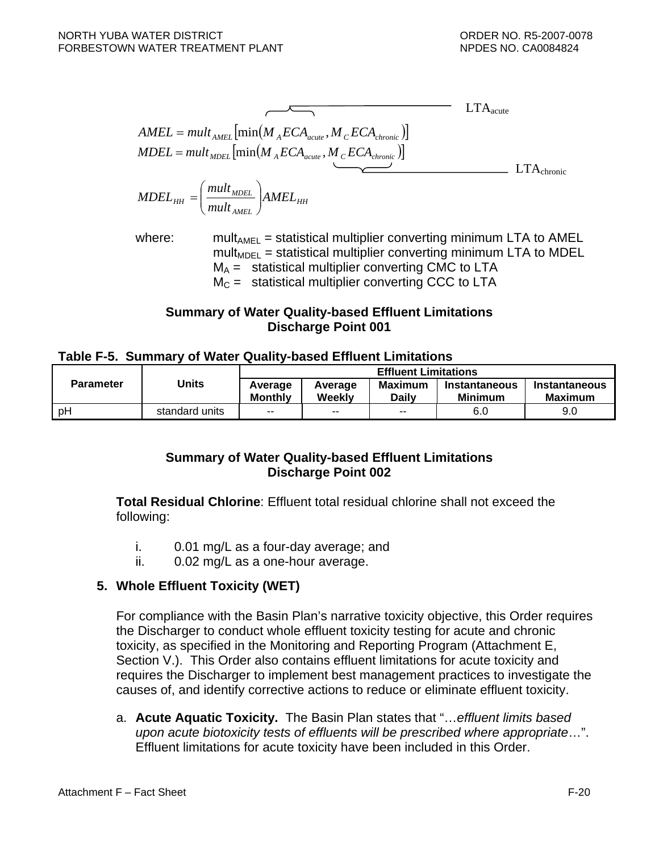$$
AMEL = mult_{AMEL} \left[ min(M_{A}ECA_{acute}, M_{C}ECA_{chronic}) \right]
$$
  
\n
$$
MDEL = mult_{MDEL} \left[ min(M_{A}ECA_{acute}, M_{C}ECA_{chronic}) \right]
$$
  
\n
$$
MDEL_{HH} = \left( \frac{mult_{MDEL}}{mult_{AMEL}} \right) AMEL_{HH}
$$

where: mult<sub>AMEL</sub> = statistical multiplier converting minimum LTA to AMEL  $mult<sub>MDEL</sub>$  = statistical multiplier converting minimum LTA to MDEL  $M_A$  = statistical multiplier converting CMC to LTA  $M<sub>C</sub>$  = statistical multiplier converting CCC to LTA

### **Summary of Water Quality-based Effluent Limitations Discharge Point 001**

#### **Table F-5. Summary of Water Quality-based Effluent Limitations**

|           |                | <b>Effluent Limitations</b> |                   |                                |                                 |                          |  |  |
|-----------|----------------|-----------------------------|-------------------|--------------------------------|---------------------------------|--------------------------|--|--|
| Parameter | Units          | Average<br><b>Monthly</b>   | Average<br>Weekly | <b>Maximum</b><br><b>Daily</b> | Instantaneous<br><b>Minimum</b> | Instantaneous<br>Maximum |  |  |
| рH        | standard units | $- -$                       | $-$               | $- -$                          | 6.0                             | 9.0                      |  |  |

### **Summary of Water Quality-based Effluent Limitations Discharge Point 002**

**Total Residual Chlorine**: Effluent total residual chlorine shall not exceed the following:

- i. 0.01 mg/L as a four-day average; and
- ii. 0.02 mg/L as a one-hour average.

### **5. Whole Effluent Toxicity (WET)**

For compliance with the Basin Plan's narrative toxicity objective, this Order requires the Discharger to conduct whole effluent toxicity testing for acute and chronic toxicity, as specified in the Monitoring and Reporting Program (Attachment E, Section V.). This Order also contains effluent limitations for acute toxicity and requires the Discharger to implement best management practices to investigate the causes of, and identify corrective actions to reduce or eliminate effluent toxicity.

a. **Acute Aquatic Toxicity.** The Basin Plan states that "…*effluent limits based upon acute biotoxicity tests of effluents will be prescribed where appropriate*…". Effluent limitations for acute toxicity have been included in this Order.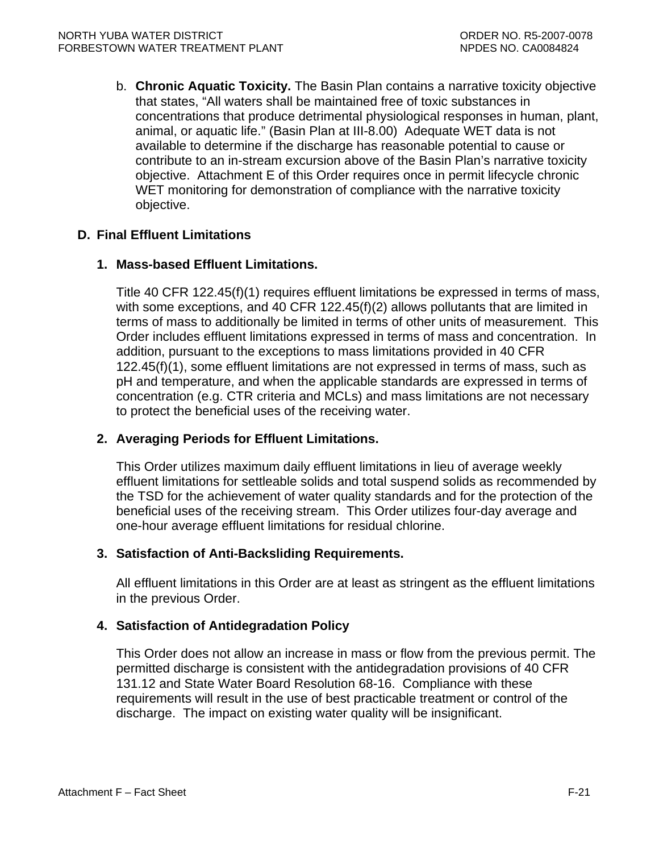b. **Chronic Aquatic Toxicity.** The Basin Plan contains a narrative toxicity objective that states, "All waters shall be maintained free of toxic substances in concentrations that produce detrimental physiological responses in human, plant, animal, or aquatic life." (Basin Plan at III-8.00) Adequate WET data is not available to determine if the discharge has reasonable potential to cause or contribute to an in-stream excursion above of the Basin Plan's narrative toxicity objective. Attachment E of this Order requires once in permit lifecycle chronic WET monitoring for demonstration of compliance with the narrative toxicity objective.

# **D. Final Effluent Limitations**

### **1. Mass-based Effluent Limitations.**

Title 40 CFR 122.45(f)(1) requires effluent limitations be expressed in terms of mass, with some exceptions, and 40 CFR 122.45(f)(2) allows pollutants that are limited in terms of mass to additionally be limited in terms of other units of measurement. This Order includes effluent limitations expressed in terms of mass and concentration. In addition, pursuant to the exceptions to mass limitations provided in 40 CFR 122.45(f)(1), some effluent limitations are not expressed in terms of mass, such as pH and temperature, and when the applicable standards are expressed in terms of concentration (e.g. CTR criteria and MCLs) and mass limitations are not necessary to protect the beneficial uses of the receiving water.

# **2. Averaging Periods for Effluent Limitations.**

This Order utilizes maximum daily effluent limitations in lieu of average weekly effluent limitations for settleable solids and total suspend solids as recommended by the TSD for the achievement of water quality standards and for the protection of the beneficial uses of the receiving stream. This Order utilizes four-day average and one-hour average effluent limitations for residual chlorine.

### **3. Satisfaction of Anti-Backsliding Requirements.**

All effluent limitations in this Order are at least as stringent as the effluent limitations in the previous Order.

### **4. Satisfaction of Antidegradation Policy**

This Order does not allow an increase in mass or flow from the previous permit. The permitted discharge is consistent with the antidegradation provisions of 40 CFR 131.12 and State Water Board Resolution 68-16. Compliance with these requirements will result in the use of best practicable treatment or control of the discharge. The impact on existing water quality will be insignificant.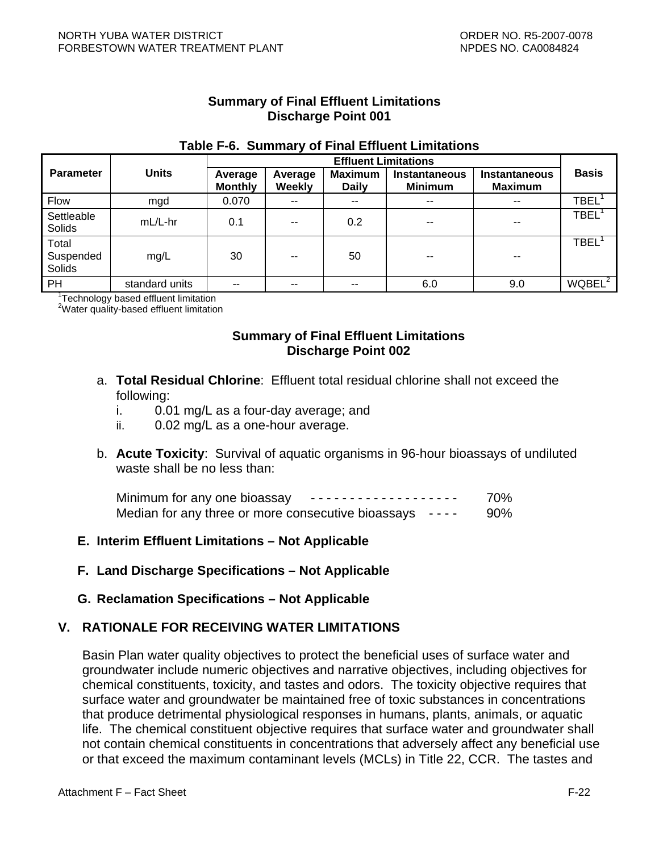### **Summary of Final Effluent Limitations Discharge Point 001**

### **Table F-6. Summary of Final Effluent Limitations**

|                              |                | <b>Effluent Limitations</b> |                   |                                |                                        |                                        |                              |  |
|------------------------------|----------------|-----------------------------|-------------------|--------------------------------|----------------------------------------|----------------------------------------|------------------------------|--|
| <b>Parameter</b>             | <b>Units</b>   | Average<br><b>Monthly</b>   | Average<br>Weekly | <b>Maximum</b><br><b>Daily</b> | <b>Instantaneous</b><br><b>Minimum</b> | <b>Instantaneous</b><br><b>Maximum</b> | <b>Basis</b>                 |  |
| <b>Flow</b>                  | mgd            | 0.070                       | --                | $\sim$ $\sim$                  | $\sim$ $\sim$                          | $- -$                                  | $\mathsf{TBEL}^1$            |  |
| Settleable<br>Solids         | $mL/L$ -hr     | 0.1                         | --                | 0.2                            | $- -$                                  | --                                     | <b>TBEL</b>                  |  |
| Total<br>Suspended<br>Solids | mg/L           | 30                          | --                | 50                             | $- -$                                  | --                                     | $\mathsf{TBEL}^{\mathsf{T}}$ |  |
| PH                           | standard units | --                          | --                | $\sim$ $\sim$                  | 6.0                                    | 9.0                                    | WQBEL <sup>2</sup>           |  |

<sup>1</sup>Technology based effluent limitation

<sup>2</sup>Water quality-based effluent limitation

# **Summary of Final Effluent Limitations Discharge Point 002**

- a. **Total Residual Chlorine**: Effluent total residual chlorine shall not exceed the following:
	- i. 0.01 mg/L as a four-day average; and
	- ii. 0.02 mg/L as a one-hour average.
- b. **Acute Toxicity**: Survival of aquatic organisms in 96-hour bioassays of undiluted waste shall be no less than:

| Minimum for any one bioassay                             | 70% |
|----------------------------------------------------------|-----|
| Median for any three or more consecutive bioassays $  -$ | 90% |

### **E. Interim Effluent Limitations – Not Applicable**

**F. Land Discharge Specifications – Not Applicable** 

### **G. Reclamation Specifications – Not Applicable**

### **V. RATIONALE FOR RECEIVING WATER LIMITATIONS**

Basin Plan water quality objectives to protect the beneficial uses of surface water and groundwater include numeric objectives and narrative objectives, including objectives for chemical constituents, toxicity, and tastes and odors. The toxicity objective requires that surface water and groundwater be maintained free of toxic substances in concentrations that produce detrimental physiological responses in humans, plants, animals, or aquatic life. The chemical constituent objective requires that surface water and groundwater shall not contain chemical constituents in concentrations that adversely affect any beneficial use or that exceed the maximum contaminant levels (MCLs) in Title 22, CCR. The tastes and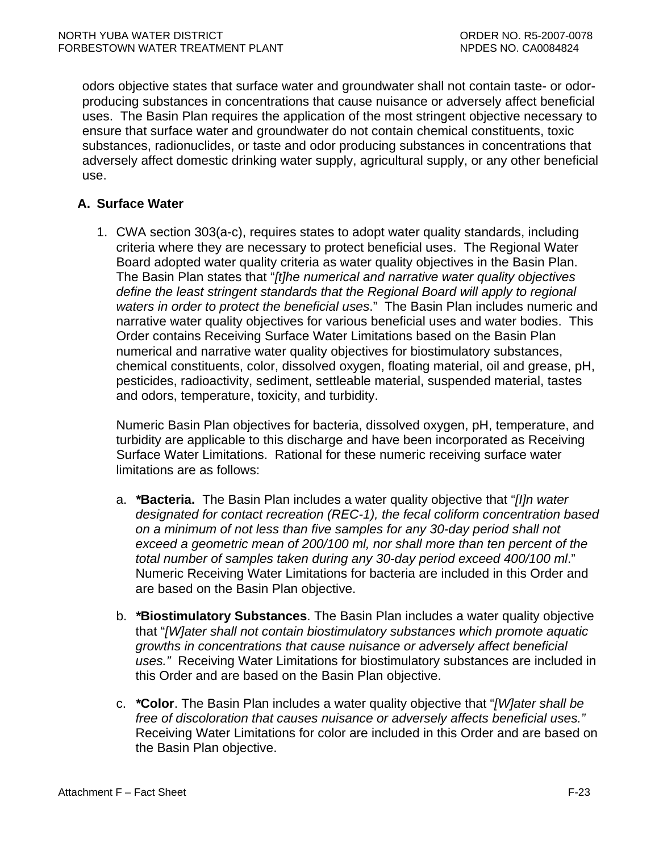odors objective states that surface water and groundwater shall not contain taste- or odorproducing substances in concentrations that cause nuisance or adversely affect beneficial uses. The Basin Plan requires the application of the most stringent objective necessary to ensure that surface water and groundwater do not contain chemical constituents, toxic substances, radionuclides, or taste and odor producing substances in concentrations that adversely affect domestic drinking water supply, agricultural supply, or any other beneficial use.

# **A. Surface Water**

1. CWA section 303(a-c), requires states to adopt water quality standards, including criteria where they are necessary to protect beneficial uses. The Regional Water Board adopted water quality criteria as water quality objectives in the Basin Plan. The Basin Plan states that "*[t]he numerical and narrative water quality objectives define the least stringent standards that the Regional Board will apply to regional waters in order to protect the beneficial uses*." The Basin Plan includes numeric and narrative water quality objectives for various beneficial uses and water bodies. This Order contains Receiving Surface Water Limitations based on the Basin Plan numerical and narrative water quality objectives for biostimulatory substances, chemical constituents, color, dissolved oxygen, floating material, oil and grease, pH, pesticides, radioactivity, sediment, settleable material, suspended material, tastes and odors, temperature, toxicity, and turbidity.

Numeric Basin Plan objectives for bacteria, dissolved oxygen, pH, temperature, and turbidity are applicable to this discharge and have been incorporated as Receiving Surface Water Limitations. Rational for these numeric receiving surface water limitations are as follows:

- a. *\****Bacteria.** The Basin Plan includes a water quality objective that "*[I]n water designated for contact recreation (REC-1), the fecal coliform concentration based on a minimum of not less than five samples for any 30-day period shall not exceed a geometric mean of 200/100 ml, nor shall more than ten percent of the total number of samples taken during any 30-day period exceed 400/100 ml*." Numeric Receiving Water Limitations for bacteria are included in this Order and are based on the Basin Plan objective.
- b. *\****Biostimulatory Substances**. The Basin Plan includes a water quality objective that "*[W]ater shall not contain biostimulatory substances which promote aquatic growths in concentrations that cause nuisance or adversely affect beneficial uses."* Receiving Water Limitations for biostimulatory substances are included in this Order and are based on the Basin Plan objective.
- c. *\****Color**. The Basin Plan includes a water quality objective that "*[W]ater shall be free of discoloration that causes nuisance or adversely affects beneficial uses."*  Receiving Water Limitations for color are included in this Order and are based on the Basin Plan objective.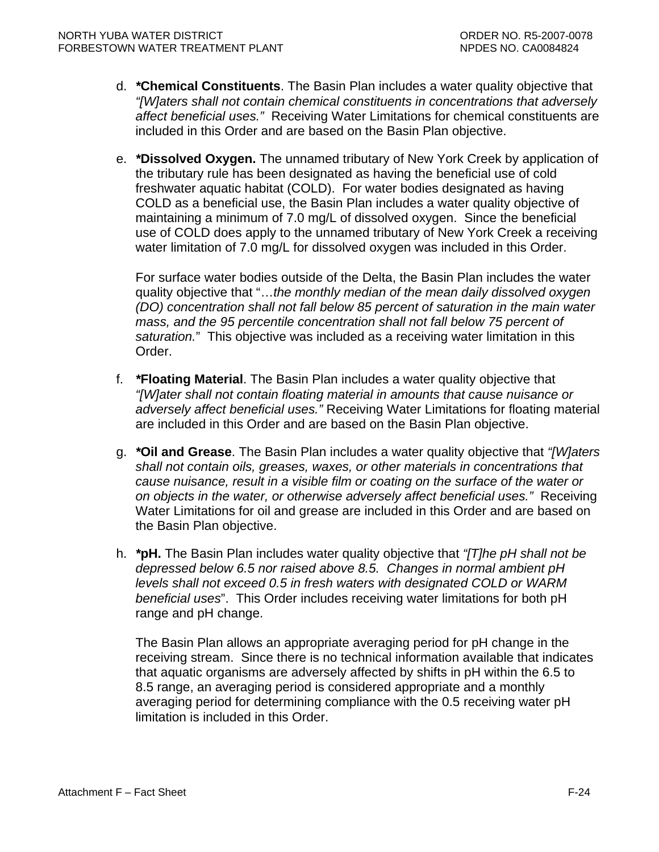- d. *\****Chemical Constituents**. The Basin Plan includes a water quality objective that *"[W]aters shall not contain chemical constituents in concentrations that adversely affect beneficial uses."* Receiving Water Limitations for chemical constituents are included in this Order and are based on the Basin Plan objective.
- e. *\****Dissolved Oxygen.** The unnamed tributary of New York Creek by application of the tributary rule has been designated as having the beneficial use of cold freshwater aquatic habitat (COLD). For water bodies designated as having COLD as a beneficial use, the Basin Plan includes a water quality objective of maintaining a minimum of 7.0 mg/L of dissolved oxygen. Since the beneficial use of COLD does apply to the unnamed tributary of New York Creek a receiving water limitation of 7.0 mg/L for dissolved oxygen was included in this Order.

For surface water bodies outside of the Delta, the Basin Plan includes the water quality objective that "…*the monthly median of the mean daily dissolved oxygen (DO) concentration shall not fall below 85 percent of saturation in the main water mass, and the 95 percentile concentration shall not fall below 75 percent of saturation.*" This objective was included as a receiving water limitation in this Order.

- f. *\****Floating Material**. The Basin Plan includes a water quality objective that *"[W]ater shall not contain floating material in amounts that cause nuisance or adversely affect beneficial uses."* Receiving Water Limitations for floating material are included in this Order and are based on the Basin Plan objective.
- g. *\****Oil and Grease**. The Basin Plan includes a water quality objective that *"[W]aters shall not contain oils, greases, waxes, or other materials in concentrations that cause nuisance, result in a visible film or coating on the surface of the water or on objects in the water, or otherwise adversely affect beneficial uses."* Receiving Water Limitations for oil and grease are included in this Order and are based on the Basin Plan objective.
- h. *\****pH.** The Basin Plan includes water quality objective that *"[T]he pH shall not be depressed below 6.5 nor raised above 8.5. Changes in normal ambient pH levels shall not exceed 0.5 in fresh waters with designated COLD or WARM beneficial uses*". This Order includes receiving water limitations for both pH range and pH change.

The Basin Plan allows an appropriate averaging period for pH change in the receiving stream. Since there is no technical information available that indicates that aquatic organisms are adversely affected by shifts in pH within the 6.5 to 8.5 range, an averaging period is considered appropriate and a monthly averaging period for determining compliance with the 0.5 receiving water pH limitation is included in this Order.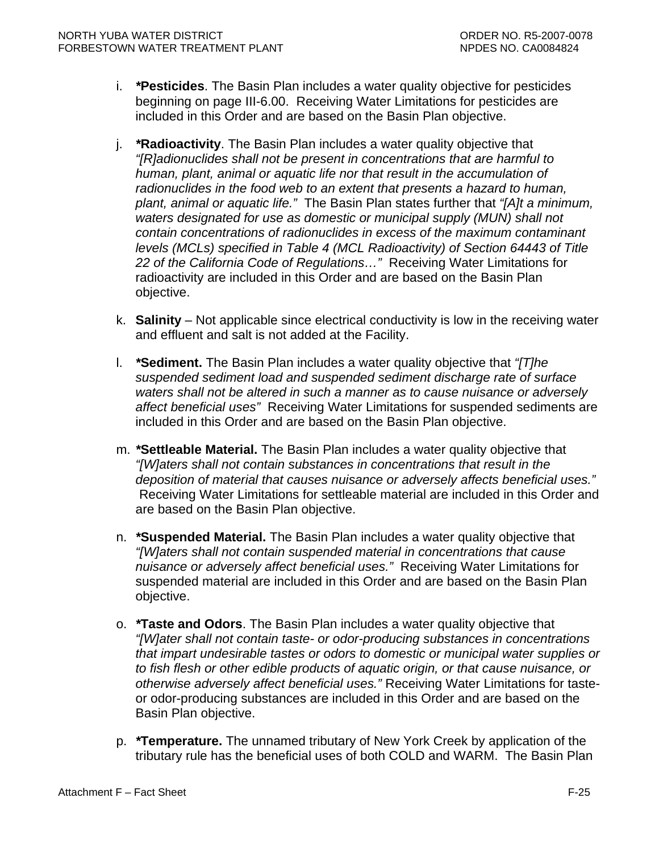- i. *\****Pesticides**. The Basin Plan includes a water quality objective for pesticides beginning on page III-6.00. Receiving Water Limitations for pesticides are included in this Order and are based on the Basin Plan objective.
- j. *\****Radioactivity**. The Basin Plan includes a water quality objective that *"[R]adionuclides shall not be present in concentrations that are harmful to human, plant, animal or aquatic life nor that result in the accumulation of radionuclides in the food web to an extent that presents a hazard to human, plant, animal or aquatic life."* The Basin Plan states further that *"[A]t a minimum, waters designated for use as domestic or municipal supply (MUN) shall not contain concentrations of radionuclides in excess of the maximum contaminant levels (MCLs) specified in Table 4 (MCL Radioactivity) of Section 64443 of Title 22 of the California Code of Regulations…"* Receiving Water Limitations for radioactivity are included in this Order and are based on the Basin Plan objective.
- k. **Salinity**  Not applicable since electrical conductivity is low in the receiving water and effluent and salt is not added at the Facility.
- l. *\****Sediment.** The Basin Plan includes a water quality objective that *"[T]he suspended sediment load and suspended sediment discharge rate of surface waters shall not be altered in such a manner as to cause nuisance or adversely affect beneficial uses"* Receiving Water Limitations for suspended sediments are included in this Order and are based on the Basin Plan objective.
- m. *\****Settleable Material.** The Basin Plan includes a water quality objective that *"[W]aters shall not contain substances in concentrations that result in the deposition of material that causes nuisance or adversely affects beneficial uses."* Receiving Water Limitations for settleable material are included in this Order and are based on the Basin Plan objective.
- n. *\****Suspended Material.** The Basin Plan includes a water quality objective that *"[W]aters shall not contain suspended material in concentrations that cause nuisance or adversely affect beneficial uses."* Receiving Water Limitations for suspended material are included in this Order and are based on the Basin Plan objective.
- o. *\****Taste and Odors**. The Basin Plan includes a water quality objective that *"[W]ater shall not contain taste- or odor-producing substances in concentrations that impart undesirable tastes or odors to domestic or municipal water supplies or to fish flesh or other edible products of aquatic origin, or that cause nuisance, or otherwise adversely affect beneficial uses."* Receiving Water Limitations for tasteor odor-producing substances are included in this Order and are based on the Basin Plan objective.
- p. *\****Temperature.** The unnamed tributary of New York Creek by application of the tributary rule has the beneficial uses of both COLD and WARM. The Basin Plan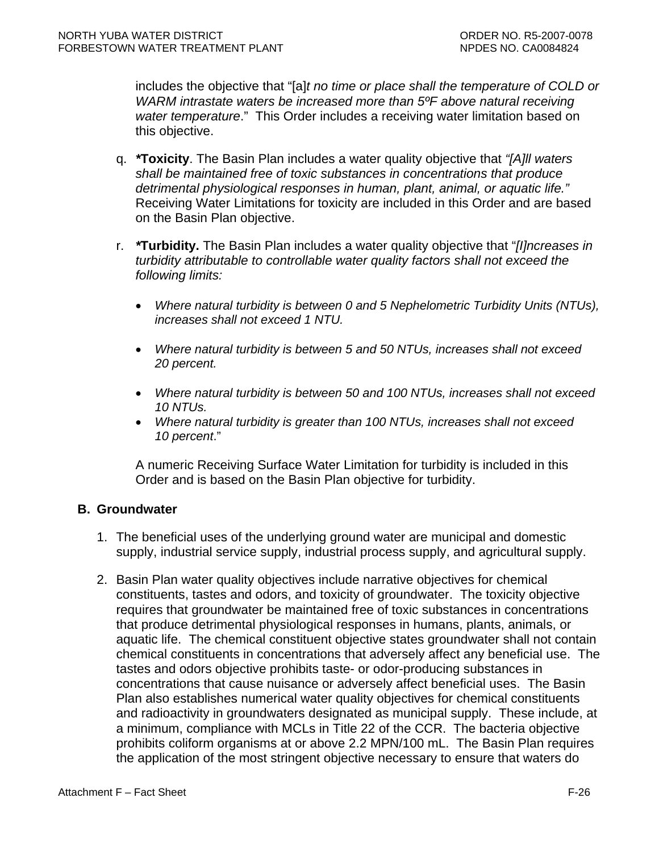includes the objective that "[a]*t no time or place shall the temperature of COLD or WARM intrastate waters be increased more than 5ºF above natural receiving water temperature*." This Order includes a receiving water limitation based on this objective.

- q. *\****Toxicity**. The Basin Plan includes a water quality objective that *"[A]ll waters shall be maintained free of toxic substances in concentrations that produce detrimental physiological responses in human, plant, animal, or aquatic life."* Receiving Water Limitations for toxicity are included in this Order and are based on the Basin Plan objective.
- r. *\****Turbidity.** The Basin Plan includes a water quality objective that "*[I]ncreases in turbidity attributable to controllable water quality factors shall not exceed the following limits:* 
	- *Where natural turbidity is between 0 and 5 Nephelometric Turbidity Units (NTUs), increases shall not exceed 1 NTU.*
	- *Where natural turbidity is between 5 and 50 NTUs, increases shall not exceed 20 percent.*
	- *Where natural turbidity is between 50 and 100 NTUs, increases shall not exceed 10 NTUs.*
	- *Where natural turbidity is greater than 100 NTUs, increases shall not exceed 10 percent*."

A numeric Receiving Surface Water Limitation for turbidity is included in this Order and is based on the Basin Plan objective for turbidity.

### **B. Groundwater**

- 1. The beneficial uses of the underlying ground water are municipal and domestic supply, industrial service supply, industrial process supply, and agricultural supply.
- 2. Basin Plan water quality objectives include narrative objectives for chemical constituents, tastes and odors, and toxicity of groundwater. The toxicity objective requires that groundwater be maintained free of toxic substances in concentrations that produce detrimental physiological responses in humans, plants, animals, or aquatic life. The chemical constituent objective states groundwater shall not contain chemical constituents in concentrations that adversely affect any beneficial use. The tastes and odors objective prohibits taste- or odor-producing substances in concentrations that cause nuisance or adversely affect beneficial uses. The Basin Plan also establishes numerical water quality objectives for chemical constituents and radioactivity in groundwaters designated as municipal supply. These include, at a minimum, compliance with MCLs in Title 22 of the CCR. The bacteria objective prohibits coliform organisms at or above 2.2 MPN/100 mL. The Basin Plan requires the application of the most stringent objective necessary to ensure that waters do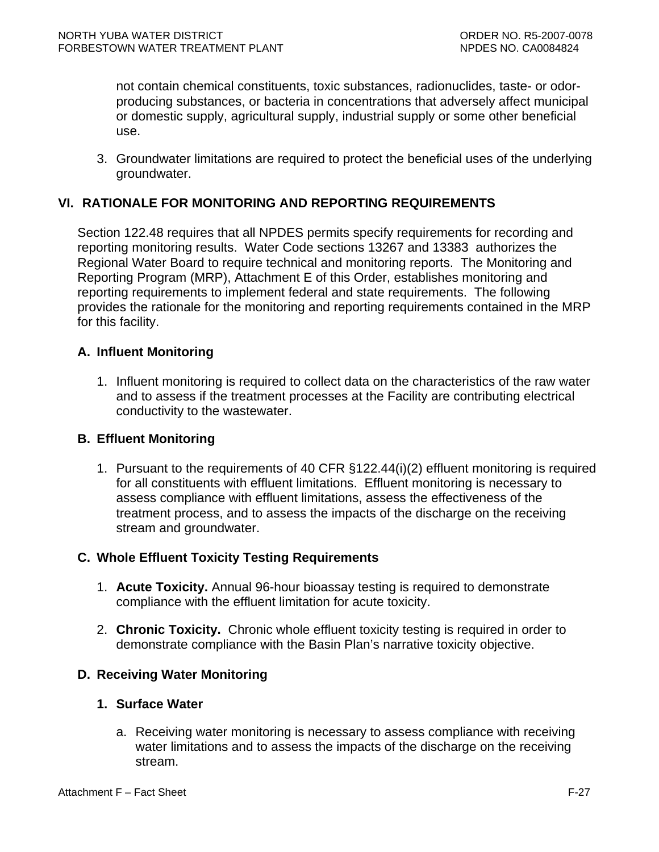not contain chemical constituents, toxic substances, radionuclides, taste- or odorproducing substances, or bacteria in concentrations that adversely affect municipal or domestic supply, agricultural supply, industrial supply or some other beneficial use.

3. Groundwater limitations are required to protect the beneficial uses of the underlying groundwater.

# **VI. RATIONALE FOR MONITORING AND REPORTING REQUIREMENTS**

Section 122.48 requires that all NPDES permits specify requirements for recording and reporting monitoring results. Water Code sections 13267 and 13383 authorizes the Regional Water Board to require technical and monitoring reports. The Monitoring and Reporting Program (MRP), Attachment E of this Order, establishes monitoring and reporting requirements to implement federal and state requirements. The following provides the rationale for the monitoring and reporting requirements contained in the MRP for this facility.

### **A. Influent Monitoring**

1. Influent monitoring is required to collect data on the characteristics of the raw water and to assess if the treatment processes at the Facility are contributing electrical conductivity to the wastewater.

#### **B. Effluent Monitoring**

1. Pursuant to the requirements of 40 CFR §122.44(i)(2) effluent monitoring is required for all constituents with effluent limitations. Effluent monitoring is necessary to assess compliance with effluent limitations, assess the effectiveness of the treatment process, and to assess the impacts of the discharge on the receiving stream and groundwater.

### **C. Whole Effluent Toxicity Testing Requirements**

- 1. **Acute Toxicity.** Annual 96-hour bioassay testing is required to demonstrate compliance with the effluent limitation for acute toxicity.
- 2. **Chronic Toxicity.** Chronic whole effluent toxicity testing is required in order to demonstrate compliance with the Basin Plan's narrative toxicity objective.

### **D. Receiving Water Monitoring**

#### **1. Surface Water**

a. Receiving water monitoring is necessary to assess compliance with receiving water limitations and to assess the impacts of the discharge on the receiving stream.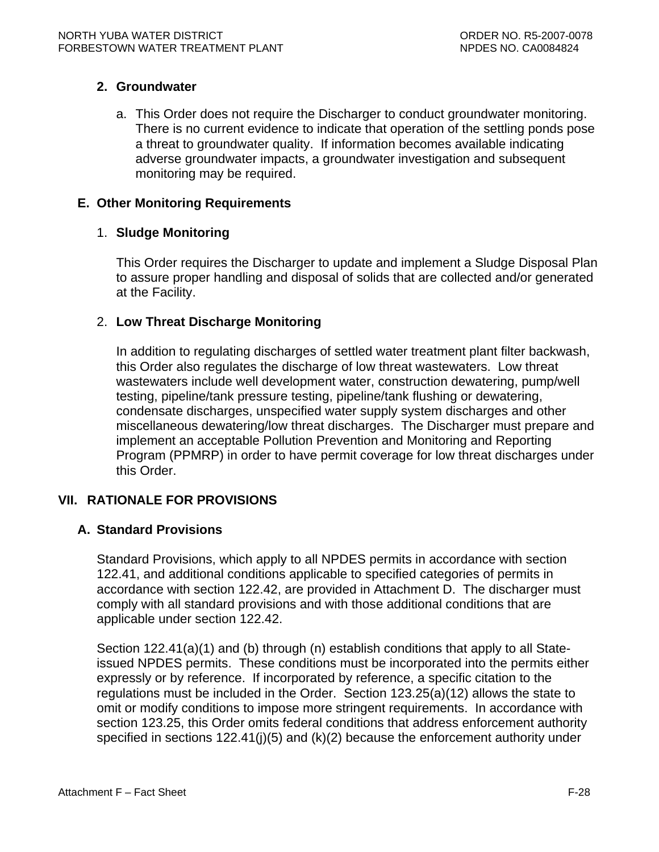# **2. Groundwater**

a. This Order does not require the Discharger to conduct groundwater monitoring. There is no current evidence to indicate that operation of the settling ponds pose a threat to groundwater quality. If information becomes available indicating adverse groundwater impacts, a groundwater investigation and subsequent monitoring may be required.

### **E. Other Monitoring Requirements**

### 1. **Sludge Monitoring**

This Order requires the Discharger to update and implement a Sludge Disposal Plan to assure proper handling and disposal of solids that are collected and/or generated at the Facility.

### 2. **Low Threat Discharge Monitoring**

In addition to regulating discharges of settled water treatment plant filter backwash, this Order also regulates the discharge of low threat wastewaters. Low threat wastewaters include well development water, construction dewatering, pump/well testing, pipeline/tank pressure testing, pipeline/tank flushing or dewatering, condensate discharges, unspecified water supply system discharges and other miscellaneous dewatering/low threat discharges. The Discharger must prepare and implement an acceptable Pollution Prevention and Monitoring and Reporting Program (PPMRP) in order to have permit coverage for low threat discharges under this Order.

# **VII. RATIONALE FOR PROVISIONS**

### **A. Standard Provisions**

Standard Provisions, which apply to all NPDES permits in accordance with section 122.41, and additional conditions applicable to specified categories of permits in accordance with section 122.42, are provided in Attachment D. The discharger must comply with all standard provisions and with those additional conditions that are applicable under section 122.42.

Section 122.41(a)(1) and (b) through (n) establish conditions that apply to all Stateissued NPDES permits. These conditions must be incorporated into the permits either expressly or by reference. If incorporated by reference, a specific citation to the regulations must be included in the Order. Section 123.25(a)(12) allows the state to omit or modify conditions to impose more stringent requirements. In accordance with section 123.25, this Order omits federal conditions that address enforcement authority specified in sections  $122.41(j)(5)$  and  $(k)(2)$  because the enforcement authority under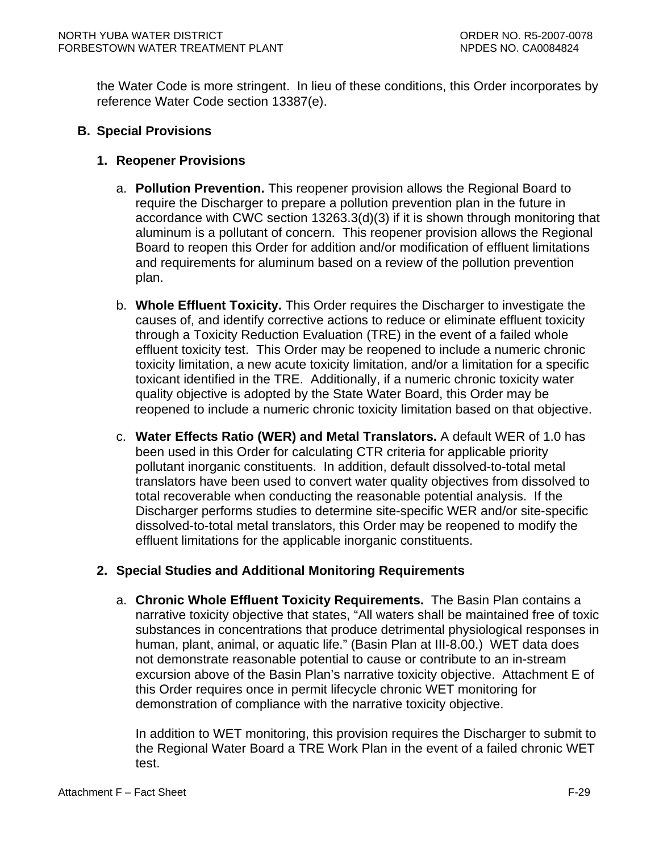the Water Code is more stringent. In lieu of these conditions, this Order incorporates by reference Water Code section 13387(e).

## **B. Special Provisions**

## **1. Reopener Provisions**

- a. **Pollution Prevention.** This reopener provision allows the Regional Board to require the Discharger to prepare a pollution prevention plan in the future in accordance with CWC section 13263.3(d)(3) if it is shown through monitoring that aluminum is a pollutant of concern. This reopener provision allows the Regional Board to reopen this Order for addition and/or modification of effluent limitations and requirements for aluminum based on a review of the pollution prevention plan.
- b. **Whole Effluent Toxicity.** This Order requires the Discharger to investigate the causes of, and identify corrective actions to reduce or eliminate effluent toxicity through a Toxicity Reduction Evaluation (TRE) in the event of a failed whole effluent toxicity test. This Order may be reopened to include a numeric chronic toxicity limitation, a new acute toxicity limitation, and/or a limitation for a specific toxicant identified in the TRE. Additionally, if a numeric chronic toxicity water quality objective is adopted by the State Water Board, this Order may be reopened to include a numeric chronic toxicity limitation based on that objective.
- c. **Water Effects Ratio (WER) and Metal Translators.** A default WER of 1.0 has been used in this Order for calculating CTR criteria for applicable priority pollutant inorganic constituents.In addition, default dissolved-to-total metal translators have been used to convert water quality objectives from dissolved to total recoverable when conducting the reasonable potential analysis. If the Discharger performs studies to determine site-specific WER and/or site-specific dissolved-to-total metal translators, this Order may be reopened to modify the effluent limitations for the applicable inorganic constituents.

### **2. Special Studies and Additional Monitoring Requirements**

a. **Chronic Whole Effluent Toxicity Requirements.** The Basin Plan contains a narrative toxicity objective that states, "All waters shall be maintained free of toxic substances in concentrations that produce detrimental physiological responses in human, plant, animal, or aquatic life." (Basin Plan at III-8.00.) WET data does not demonstrate reasonable potential to cause or contribute to an in-stream excursion above of the Basin Plan's narrative toxicity objective. Attachment E of this Order requires once in permit lifecycle chronic WET monitoring for demonstration of compliance with the narrative toxicity objective.

In addition to WET monitoring, this provision requires the Discharger to submit to the Regional Water Board a TRE Work Plan in the event of a failed chronic WET test.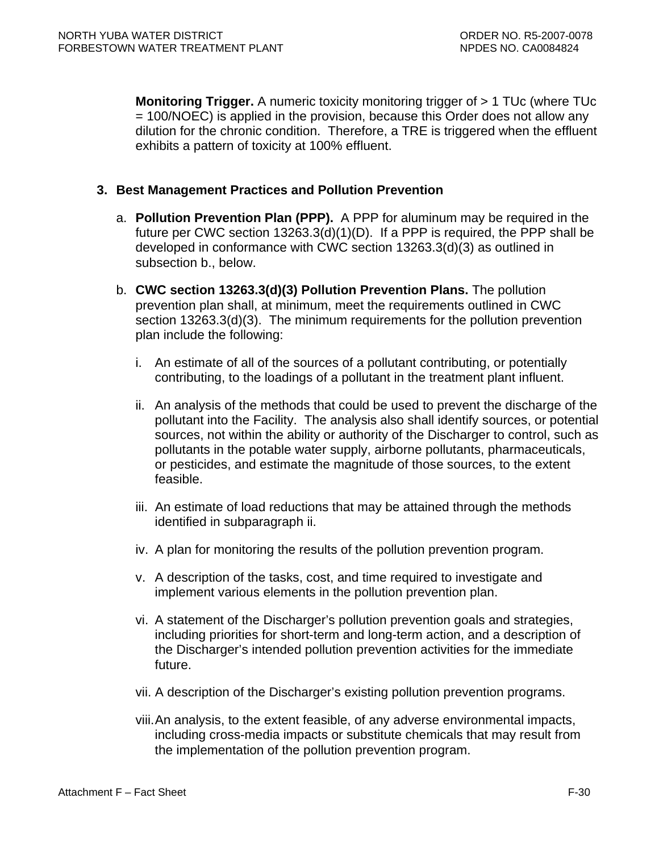**Monitoring Trigger.** A numeric toxicity monitoring trigger of  $> 1$  TUc (where TUc = 100/NOEC) is applied in the provision, because this Order does not allow any dilution for the chronic condition. Therefore, a TRE is triggered when the effluent exhibits a pattern of toxicity at 100% effluent.

### **3. Best Management Practices and Pollution Prevention**

- a. **Pollution Prevention Plan (PPP).** A PPP for aluminum may be required in the future per CWC section 13263.3(d)(1)(D). If a PPP is required, the PPP shall be developed in conformance with CWC section 13263.3(d)(3) as outlined in subsection b., below.
- b. **CWC section 13263.3(d)(3) Pollution Prevention Plans.** The pollution prevention plan shall, at minimum, meet the requirements outlined in CWC section 13263.3(d)(3). The minimum requirements for the pollution prevention plan include the following:
	- i. An estimate of all of the sources of a pollutant contributing, or potentially contributing, to the loadings of a pollutant in the treatment plant influent.
	- ii. An analysis of the methods that could be used to prevent the discharge of the pollutant into the Facility. The analysis also shall identify sources, or potential sources, not within the ability or authority of the Discharger to control, such as pollutants in the potable water supply, airborne pollutants, pharmaceuticals, or pesticides, and estimate the magnitude of those sources, to the extent feasible.
	- iii. An estimate of load reductions that may be attained through the methods identified in subparagraph ii.
	- iv. A plan for monitoring the results of the pollution prevention program.
	- v. A description of the tasks, cost, and time required to investigate and implement various elements in the pollution prevention plan.
	- vi. A statement of the Discharger's pollution prevention goals and strategies, including priorities for short-term and long-term action, and a description of the Discharger's intended pollution prevention activities for the immediate future.
	- vii. A description of the Discharger's existing pollution prevention programs.
	- viii. An analysis, to the extent feasible, of any adverse environmental impacts, including cross-media impacts or substitute chemicals that may result from the implementation of the pollution prevention program.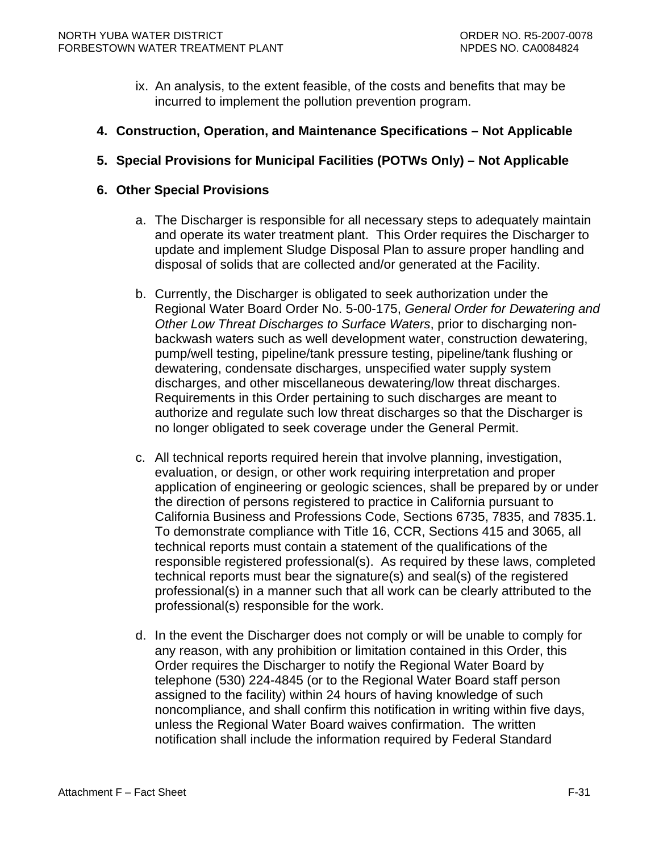- ix. An analysis, to the extent feasible, of the costs and benefits that may be incurred to implement the pollution prevention program.
- **4. Construction, Operation, and Maintenance Specifications Not Applicable**
- **5. Special Provisions for Municipal Facilities (POTWs Only) Not Applicable**

### **6. Other Special Provisions**

- a. The Discharger is responsible for all necessary steps to adequately maintain and operate its water treatment plant. This Order requires the Discharger to update and implement Sludge Disposal Plan to assure proper handling and disposal of solids that are collected and/or generated at the Facility.
- b. Currently, the Discharger is obligated to seek authorization under the Regional Water Board Order No. 5-00-175, *General Order for Dewatering and Other Low Threat Discharges to Surface Waters*, prior to discharging nonbackwash waters such as well development water, construction dewatering, pump/well testing, pipeline/tank pressure testing, pipeline/tank flushing or dewatering, condensate discharges, unspecified water supply system discharges, and other miscellaneous dewatering/low threat discharges. Requirements in this Order pertaining to such discharges are meant to authorize and regulate such low threat discharges so that the Discharger is no longer obligated to seek coverage under the General Permit.
- c. All technical reports required herein that involve planning, investigation, evaluation, or design, or other work requiring interpretation and proper application of engineering or geologic sciences, shall be prepared by or under the direction of persons registered to practice in California pursuant to California Business and Professions Code, Sections 6735, 7835, and 7835.1. To demonstrate compliance with Title 16, CCR, Sections 415 and 3065, all technical reports must contain a statement of the qualifications of the responsible registered professional(s). As required by these laws, completed technical reports must bear the signature(s) and seal(s) of the registered professional(s) in a manner such that all work can be clearly attributed to the professional(s) responsible for the work.
- d. In the event the Discharger does not comply or will be unable to comply for any reason, with any prohibition or limitation contained in this Order, this Order requires the Discharger to notify the Regional Water Board by telephone (530) 224-4845 (or to the Regional Water Board staff person assigned to the facility) within 24 hours of having knowledge of such noncompliance, and shall confirm this notification in writing within five days, unless the Regional Water Board waives confirmation. The written notification shall include the information required by Federal Standard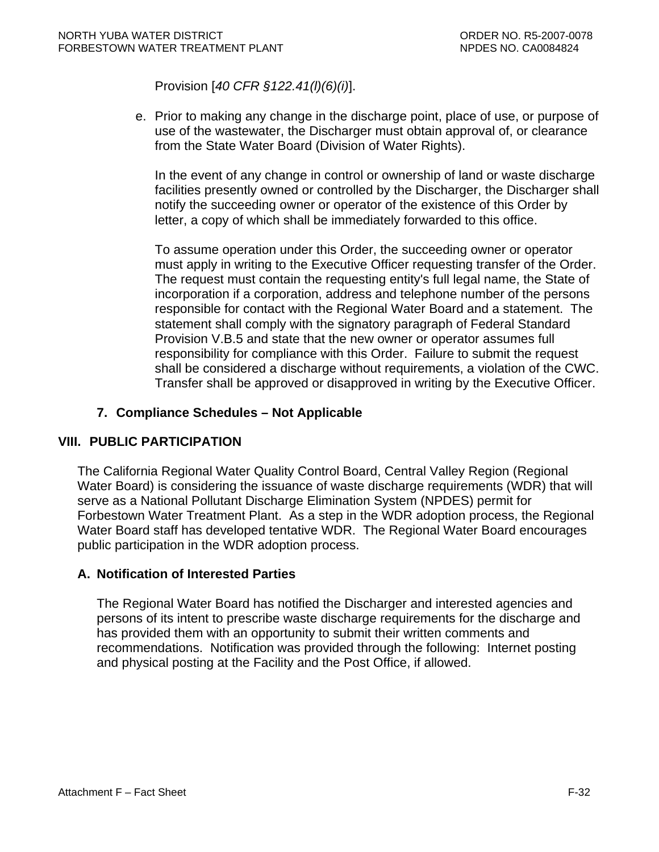Provision [*40 CFR §122.41(l)(6)(i)*].

e. Prior to making any change in the discharge point, place of use, or purpose of use of the wastewater, the Discharger must obtain approval of, or clearance from the State Water Board (Division of Water Rights).

In the event of any change in control or ownership of land or waste discharge facilities presently owned or controlled by the Discharger, the Discharger shall notify the succeeding owner or operator of the existence of this Order by letter, a copy of which shall be immediately forwarded to this office.

To assume operation under this Order, the succeeding owner or operator must apply in writing to the Executive Officer requesting transfer of the Order. The request must contain the requesting entity's full legal name, the State of incorporation if a corporation, address and telephone number of the persons responsible for contact with the Regional Water Board and a statement. The statement shall comply with the signatory paragraph of Federal Standard Provision V.B.5 and state that the new owner or operator assumes full responsibility for compliance with this Order. Failure to submit the request shall be considered a discharge without requirements, a violation of the CWC. Transfer shall be approved or disapproved in writing by the Executive Officer.

# **7. Compliance Schedules – Not Applicable**

### **VIII. PUBLIC PARTICIPATION**

The California Regional Water Quality Control Board, Central Valley Region (Regional Water Board) is considering the issuance of waste discharge requirements (WDR) that will serve as a National Pollutant Discharge Elimination System (NPDES) permit for Forbestown Water Treatment Plant. As a step in the WDR adoption process, the Regional Water Board staff has developed tentative WDR. The Regional Water Board encourages public participation in the WDR adoption process.

### **A. Notification of Interested Parties**

The Regional Water Board has notified the Discharger and interested agencies and persons of its intent to prescribe waste discharge requirements for the discharge and has provided them with an opportunity to submit their written comments and recommendations. Notification was provided through the following: Internet posting and physical posting at the Facility and the Post Office, if allowed.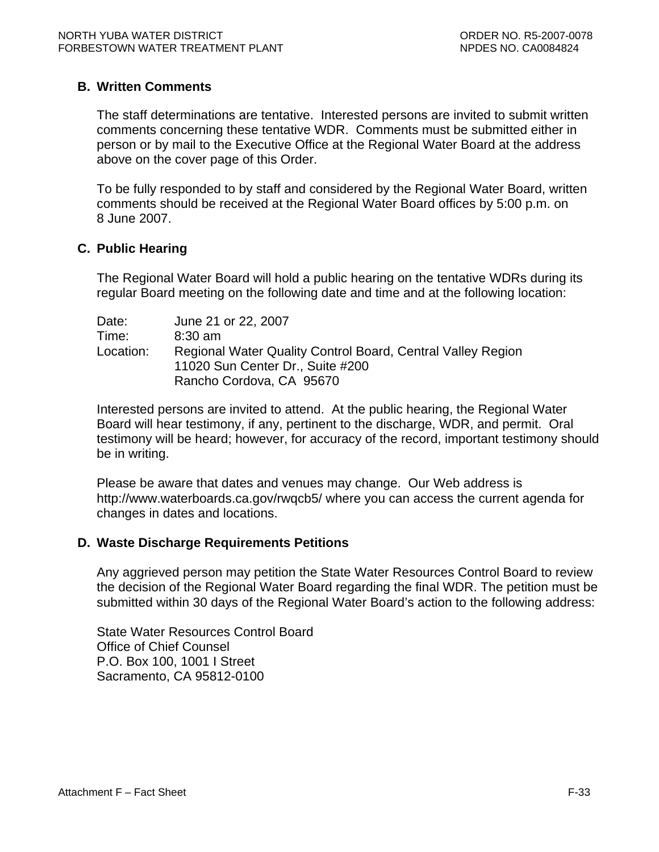### **B. Written Comments**

The staff determinations are tentative. Interested persons are invited to submit written comments concerning these tentative WDR. Comments must be submitted either in person or by mail to the Executive Office at the Regional Water Board at the address above on the cover page of this Order.

To be fully responded to by staff and considered by the Regional Water Board, written comments should be received at the Regional Water Board offices by 5:00 p.m. on 8 June 2007.

### **C. Public Hearing**

The Regional Water Board will hold a public hearing on the tentative WDRs during its regular Board meeting on the following date and time and at the following location:

| Date:     | June 21 or 22, 2007                                         |
|-----------|-------------------------------------------------------------|
| Time:     | $8:30$ am                                                   |
| Location: | Regional Water Quality Control Board, Central Valley Region |
|           | 11020 Sun Center Dr., Suite #200                            |
|           | Rancho Cordova, CA 95670                                    |

Interested persons are invited to attend. At the public hearing, the Regional Water Board will hear testimony, if any, pertinent to the discharge, WDR, and permit. Oral testimony will be heard; however, for accuracy of the record, important testimony should be in writing.

Please be aware that dates and venues may change. Our Web address is <http://www.waterboards.ca.gov/rwqcb5/> where you can access the current agenda for changes in dates and locations.

#### **D. Waste Discharge Requirements Petitions**

Any aggrieved person may petition the State Water Resources Control Board to review the decision of the Regional Water Board regarding the final WDR. The petition must be submitted within 30 days of the Regional Water Board's action to the following address:

State Water Resources Control Board Office of Chief Counsel P.O. Box 100, 1001 I Street Sacramento, CA 95812-0100